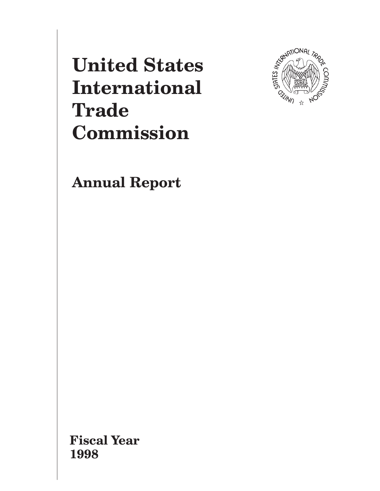**United States International Trade** Commission



**Annual Report** 

**Fiscal Year** 1998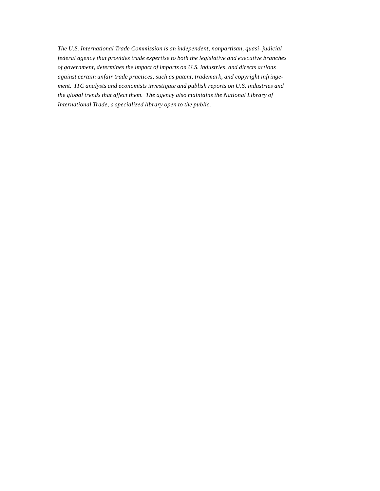*The U.S. International Trade Commission is an independent, nonpartisan, quasi–judicial federal agency that provides trade expertise to both the legislative and executive branches of government, determines the impact of imports on U.S. industries, and directs actions against certain unfair trade practices, such as patent, trademark, and copyright infringement. ITC analysts and economists investigate and publish reports on U.S. industries and the global trends that affect them. The agency also maintains the National Library of International Trade, a specialized library open to the public.*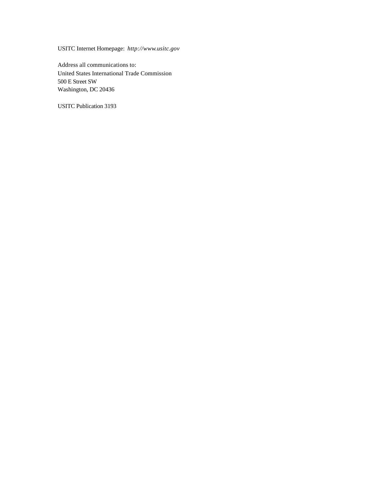USITC Internet Homepage: *http://www.usitc.gov*

Address all communications to: United States International Trade Commission 500 E Street SW Washington, DC 20436

USITC Publication 3193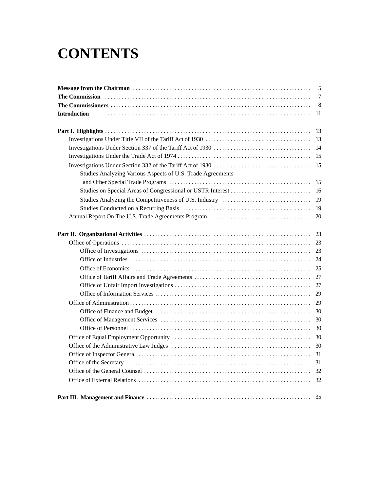# **CONTENTS**

|                                                            | 5              |
|------------------------------------------------------------|----------------|
|                                                            | $\overline{7}$ |
|                                                            | 8              |
| <b>Introduction</b>                                        | 11             |
|                                                            | 13             |
|                                                            | 13             |
|                                                            | 14             |
|                                                            | 15             |
|                                                            | 15             |
| Studies Analyzing Various Aspects of U.S. Trade Agreements |                |
|                                                            | 15             |
|                                                            | 16             |
|                                                            | 19             |
|                                                            | 19             |
|                                                            | 20             |
|                                                            | 23             |
|                                                            | 23             |
|                                                            | 23             |
|                                                            | 24             |
|                                                            | 25             |
|                                                            | 27             |
|                                                            | 27             |
|                                                            | 29             |
|                                                            | 29             |
|                                                            | 30             |
|                                                            | 30             |
|                                                            | 30             |
|                                                            | 30             |
|                                                            | 30             |
|                                                            | 31             |
|                                                            | 31             |
|                                                            |                |
|                                                            | 32             |
|                                                            | 35             |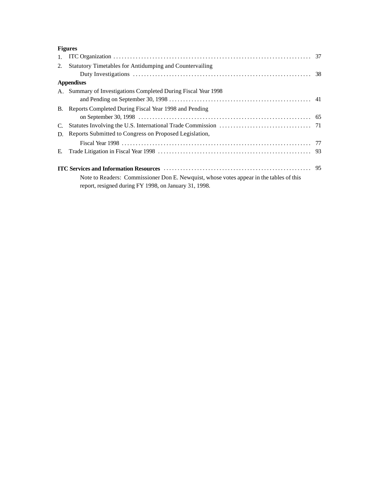| $\mathbf{1}$ . |                                                                                         |  |
|----------------|-----------------------------------------------------------------------------------------|--|
| 2.             | Statutory Timetables for Antidumping and Countervailing                                 |  |
|                |                                                                                         |  |
|                | <b>Appendixes</b>                                                                       |  |
|                | A. Summary of Investigations Completed During Fiscal Year 1998                          |  |
|                |                                                                                         |  |
|                | B. Reports Completed During Fiscal Year 1998 and Pending                                |  |
|                |                                                                                         |  |
| $C_{\cdot}$    |                                                                                         |  |
|                | D. Reports Submitted to Congress on Proposed Legislation,                               |  |
|                |                                                                                         |  |
| E.             |                                                                                         |  |
|                |                                                                                         |  |
|                | Note to Readers: Commissioner Don E. Newquist, whose votes appear in the tables of this |  |
|                | report, resigned during FY 1998, on January 31, 1998.                                   |  |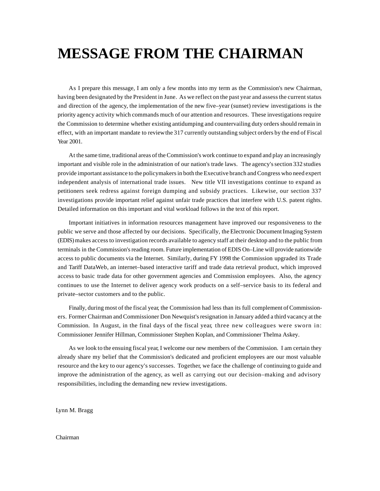## **MESSAGE FROM THE CHAIRMAN**

As I prepare this message, I am only a few months into my term as the Commission's new Chairman, having been designated by the President in June. As we reflect on the past year and assess the current status and direction of the agency, the implementation of the new five–year (sunset) review investigations is the priority agency activity which commands much of our attention and resources. These investigations require the Commission to determine whether existing antidumping and countervailing duty orders should remain in effect, with an important mandate to review the 317 currently outstanding subject orders by the end of Fiscal Year 2001.

At the same time, traditional areas of the Commission's work continue to expand and play an increasingly important and visible role in the administration of our nation's trade laws. The agency's section 332 studies provide important assistance to the policymakers in both the Executive branch and Congress who need expert independent analysis of international trade issues. New title VII investigations continue to expand as petitioners seek redress against foreign dumping and subsidy practices. Likewise, our section 337 investigations provide important relief against unfair trade practices that interfere with U.S. patent rights. Detailed information on this important and vital workload follows in the text of this report.

Important initiatives in information resources management have improved our responsiveness to the public we serve and those affected by our decisions. Specifically, the Electronic Document Imaging System (EDIS) makes access to investigation records available to agency staff at their desktop and to the public from terminals in the Commission's reading room. Future implementation of EDIS On–Line will provide nationwide access to public documents via the Internet. Similarly, during FY 1998 the Commission upgraded its Trade and Tariff DataWeb, an internet–based interactive tariff and trade data retrieval product, which improved access to basic trade data for other government agencies and Commission employees. Also, the agency continues to use the Internet to deliver agency work products on a self–service basis to its federal and private–sector customers and to the public.

Finally, during most of the fiscal year, the Commission had less than its full complement of Commissioners. Former Chairman and Commissioner Don Newquist's resignation in January added a third vacancy at the Commission. In August, in the final days of the fiscal year, three new colleagues were sworn in: Commissioner Jennifer Hillman, Commissioner Stephen Koplan, and Commissioner Thelma Askey.

As we look to the ensuing fiscal year, I welcome our new members of the Commission. I am certain they already share my belief that the Commission's dedicated and proficient employees are our most valuable resource and the key to our agency's successes. Together, we face the challenge of continuing to guide and improve the administration of the agency, as well as carrying out our decision–making and advisory responsibilities, including the demanding new review investigations.

Lynn M. Bragg

#### Chairman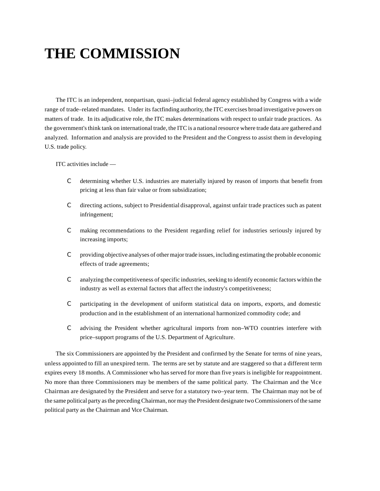# **THE COMMISSION**

The ITC is an independent, nonpartisan, quasi–judicial federal agency established by Congress with a wide range of trade–related mandates. Under its factfinding authority, the ITC exercises broad investigative powers on matters of trade. In its adjudicative role, the ITC makes determinations with respect to unfair trade practices. As the government's think tank on international trade, the ITC is a national resource where trade data are gathered and analyzed. Information and analysis are provided to the President and the Congress to assist them in developing U.S. trade policy.

ITC activities include —

- C determining whether U.S. industries are materially injured by reason of imports that benefit from pricing at less than fair value or from subsidization;
- C directing actions, subject to Presidential disapproval, against unfair trade practices such as patent infringement;
- C making recommendations to the President regarding relief for industries seriously injured by increasing imports;
- C providing objective analyses of other major trade issues, including estimating the probable economic effects of trade agreements;
- C analyzing the competitiveness of specific industries, seeking to identify economic factors within the industry as well as external factors that affect the industry's competitiveness;
- C participating in the development of uniform statistical data on imports, exports, and domestic production and in the establishment of an international harmonized commodity code; and
- C advising the President whether agricultural imports from non–WTO countries interfere with price–support programs of the U.S. Department of Agriculture.

The six Commissioners are appointed by the President and confirmed by the Senate for terms of nine years, unless appointed to fill an unexpired term. The terms are set by statute and are staggered so that a different term expires every 18 months. A Commissioner who has served for more than five years is ineligible for reappointment. No more than three Commissioners may be members of the same political party. The Chairman and the Vice Chairman are designated by the President and serve for a statutory two–year term. The Chairman may not be of the same political party as the preceding Chairman, nor may the President designate two Commissioners of the same political party as the Chairman and Vice Chairman.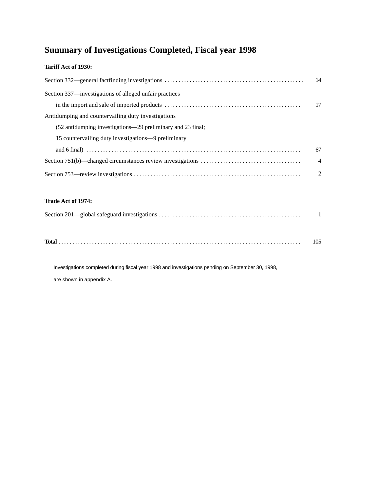## **Summary of Investigations Completed, Fiscal year 1998**

### **Tariff Act of 1930:**

| Section 332—general fact finding investigations $\dots \dots \dots \dots \dots \dots \dots \dots \dots \dots \dots \dots \dots \dots \dots$ | 14             |
|---------------------------------------------------------------------------------------------------------------------------------------------|----------------|
| Section 337—investigations of alleged unfair practices                                                                                      |                |
|                                                                                                                                             | 17             |
| Antidumping and countervailing duty investigations                                                                                          |                |
| (52 antidumping investigations—29 preliminary and 23 final;                                                                                 |                |
| 15 countervailing duty investigations—9 preliminary                                                                                         |                |
|                                                                                                                                             | 67             |
|                                                                                                                                             | $\overline{4}$ |
|                                                                                                                                             | 2              |

### **Trade Act of 1974:**

|  | 105 |
|--|-----|
|--|-----|

Investigations completed during fiscal year 1998 and investigations pending on September 30, 1998, are shown in appendix A.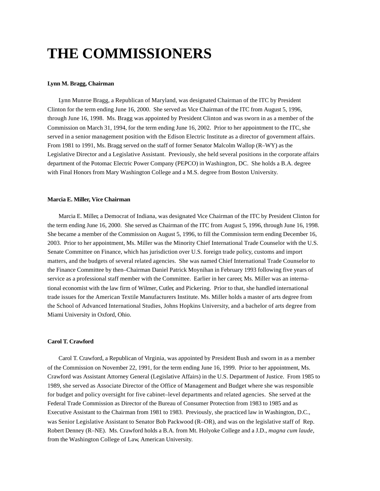## **THE COMMISSIONERS**

#### **Lynn M. Bragg, Chairman**

Lynn Munroe Bragg, a Republican of Maryland, was designated Chairman of the ITC by President Clinton for the term ending June 16, 2000. She served as Vice Chairman of the ITC from August 5, 1996, through June 16, 1998. Ms. Bragg was appointed by President Clinton and was sworn in as a member of the Commission on March 31, 1994, for the term ending June 16, 2002. Prior to her appointment to the ITC, she served in a senior management position with the Edison Electric Institute as a director of government affairs. From 1981 to 1991, Ms. Bragg served on the staff of former Senator Malcolm Wallop (R–WY) as the Legislative Director and a Legislative Assistant. Previously, she held several positions in the corporate affairs department of the Potomac Electric Power Company (PEPCO) in Washington, DC. She holds a B.A. degree with Final Honors from Mary Washington College and a M.S. degree from Boston University.

#### **Marcia E. Miller, Vice Chairman**

Marcia E. Miller, a Democrat of Indiana, was designated Vice Chairman of the ITC by President Clinton for the term ending June 16, 2000. She served as Chairman of the ITC from August 5, 1996, through June 16, 1998. She became a member of the Commission on August 5, 1996, to fill the Commission term ending December 16, 2003. Prior to her appointment, Ms. Miller was the Minority Chief International Trade Counselor with the U.S. Senate Committee on Finance, which has jurisdiction over U.S. foreign trade policy, customs and import matters, and the budgets of several related agencies. She was named Chief International Trade Counselor to the Finance Committee by then–Chairman Daniel Patrick Moynihan in February 1993 following five years of service as a professional staff member with the Committee. Earlier in her career, Ms. Miller was an international economist with the law firm of Wilmer, Cutler, and Pickering. Prior to that, she handled international trade issues for the American Textile Manufacturers Institute. Ms. Miller holds a master of arts degree from the School of Advanced International Studies, Johns Hopkins University, and a bachelor of arts degree from Miami University in Oxford, Ohio.

#### **Carol T. Crawford**

Carol T. Crawford, a Republican of Virginia, was appointed by President Bush and sworn in as a member of the Commission on November 22, 1991, for the term ending June 16, 1999. Prior to her appointment, Ms. Crawford was Assistant Attorney General (Legislative Affairs) in the U.S. Department of Justice. From 1985 to 1989, she served as Associate Director of the Office of Management and Budget where she was responsible for budget and policy oversight for five cabinet–level departments and related agencies. She served at the Federal Trade Commission as Director of the Bureau of Consumer Protection from 1983 to 1985 and as Executive Assistant to the Chairman from 1981 to 1983. Previously, she practiced law in Washington, D.C., was Senior Legislative Assistant to Senator Bob Packwood (R–OR), and was on the legislative staff of Rep. Robert Denney (R–NE). Ms. Crawford holds a B.A. from Mt. Holyoke College and a J.D., *magna cum laude,* from the Washington College of Law, American University.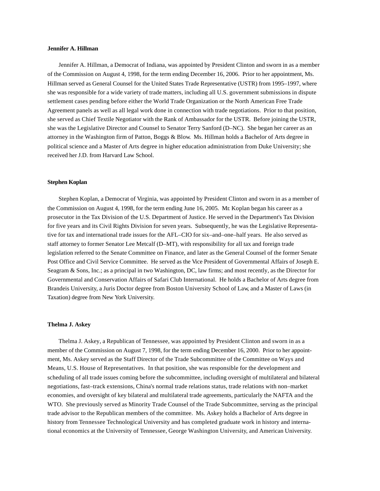#### **Jennifer A. Hillman**

Jennifer A. Hillman, a Democrat of Indiana, was appointed by President Clinton and sworn in as a member of the Commission on August 4, 1998, for the term ending December 16, 2006. Prior to her appointment, Ms. Hillman served as General Counsel for the United States Trade Representative (USTR) from 1995–1997, where she was responsible for a wide variety of trade matters, including all U.S. government submissions in dispute settlement cases pending before either the World Trade Organization or the North American Free Trade Agreement panels as well as all legal work done in connection with trade negotiations. Prior to that position, she served as Chief Textile Negotiator with the Rank of Ambassador for the USTR. Before joining the USTR, she was the Legislative Director and Counsel to Senator Terry Sanford (D–NC). She began her career as an attorney in the Washington firm of Patton, Boggs & Blow. Ms. Hillman holds a Bachelor of Arts degree in political science and a Master of Arts degree in higher education administration from Duke University; she received her J.D. from Harvard Law School.

#### **Stephen Koplan**

Stephen Koplan, a Democrat of Virginia, was appointed by President Clinton and sworn in as a member of the Commission on August 4, 1998, for the term ending June 16, 2005. Mr. Koplan began his career as a prosecutor in the Tax Division of the U.S. Department of Justice. He served in the Department's Tax Division for five years and its Civil Rights Division for seven years. Subsequently, he was the Legislative Representative for tax and international trade issues for the AFL–CIO for six–and–one–half years. He also served as staff attorney to former Senator Lee Metcalf (D–MT), with responsibility for all tax and foreign trade legislation referred to the Senate Committee on Finance, and later as the General Counsel of the former Senate Post Office and Civil Service Committee. He served as the Vice President of Governmental Affairs of Joseph E. Seagram & Sons, Inc.; as a principal in two Washington, DC, law firms; and most recently, as the Director for Governmental and Conservation Affairs of Safari Club International. He holds a Bachelor of Arts degree from Brandeis University, a Juris Doctor degree from Boston University School of Law, and a Master of Laws (in Taxation) degree from New York University.

#### **Thelma J. Askey**

Thelma J. Askey, a Republican of Tennessee, was appointed by President Clinton and sworn in as a member of the Commission on August 7, 1998, for the term ending December 16, 2000. Prior to her appointment, Ms. Askey served as the Staff Director of the Trade Subcommittee of the Committee on Ways and Means, U.S. House of Representatives. In that position, she was responsible for the development and scheduling of all trade issues coming before the subcommittee, including oversight of multilateral and bilateral negotiations, fast–track extensions, China's normal trade relations status, trade relations with non–market economies, and oversight of key bilateral and multilateral trade agreements, particularly the NAFTA and the WTO. She previously served as Minority Trade Counsel of the Trade Subcommittee, serving as the principal trade advisor to the Republican members of the committee. Ms. Askey holds a Bachelor of Arts degree in history from Tennessee Technological University and has completed graduate work in history and international economics at the University of Tennessee, George Washington University, and American University.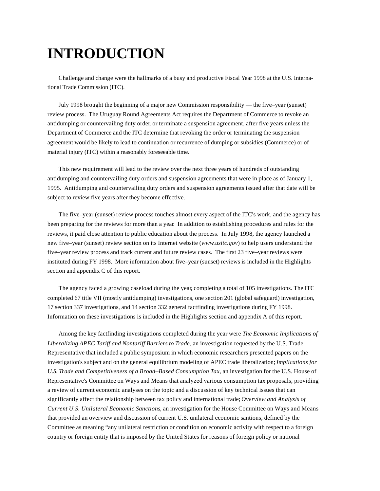## **INTRODUCTION**

Challenge and change were the hallmarks of a busy and productive Fiscal Year 1998 at the U.S. International Trade Commission (ITC).

July 1998 brought the beginning of a major new Commission responsibility — the five–year (sunset) review process. The Uruguay Round Agreements Act requires the Department of Commerce to revoke an antidumping or countervailing duty order, or terminate a suspension agreement, after five years unless the Department of Commerce and the ITC determine that revoking the order or terminating the suspension agreement would be likely to lead to continuation or recurrence of dumping or subsidies (Commerce) or of material injury (ITC) within a reasonably foreseeable time.

This new requirement will lead to the review over the next three years of hundreds of outstanding antidumping and countervailing duty orders and suspension agreements that were in place as of January 1, 1995. Antidumping and countervailing duty orders and suspension agreements issued after that date will be subject to review five years after they become effective.

The five–year (sunset) review process touches almost every aspect of the ITC's work, and the agency has been preparing for the reviews for more than a year. In addition to establishing procedures and rules for the reviews, it paid close attention to public education about the process. In July 1998, the agency launched a new five–year (sunset) review section on its Internet website (*www.usitc.gov*) to help users understand the five–year review process and track current and future review cases. The first 23 five–year reviews were instituted during FY 1998. More information about five–year (sunset) reviews is included in the Highlights section and appendix C of this report.

The agency faced a growing caseload during the year, completing a total of 105 investigations. The ITC completed 67 title VII (mostly antidumping) investigations, one section 201 (global safeguard) investigation, 17 section 337 investigations, and 14 section 332 general factfinding investigations during FY 1998. Information on these investigations is included in the Highlights section and appendix A of this report.

Among the key factfinding investigations completed during the year were *The Economic Implications of Liberalizing APEC Tariff and Nontariff Barriers to Trade*, an investigation requested by the U.S. Trade Representative that included a public symposium in which economic researchers presented papers on the investigation's subject and on the general equilibrium modeling of APEC trade liberalization; *Implications for U.S. Trade and Competitiveness of a Broad–Based Consumption Tax*, an investigation for the U.S. House of Representative's Committee on Ways and Means that analyzed various consumption tax proposals, providing a review of current economic analyses on the topic and a discussion of key technical issues that can significantly affect the relationship between tax policy and international trade; *Overview and Analysis of Current U.S. Unilateral Economic Sanctions*, an investigation for the House Committee on Ways and Means that provided an overview and discussion of current U.S. unilateral economic santions, defined by the Committee as meaning "any unilateral restriction or condition on economic activity with respect to a foreign country or foreign entity that is imposed by the United States for reasons of foreign policy or national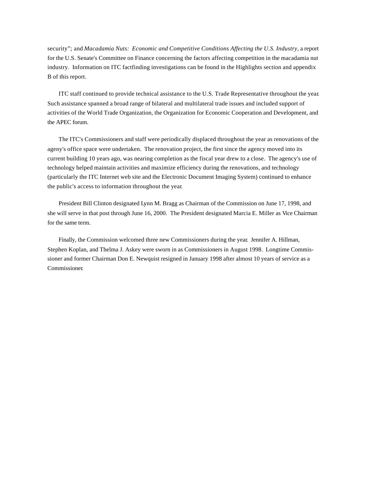security"; and *Macadamia Nuts: Economic and Competitive Conditions Affecting the U.S. Industry*, a report for the U.S. Senate's Committee on Finance concerning the factors affecting competition in the macadamia nut industry. Information on ITC factfinding investigations can be found in the Highlights section and appendix B of this report.

ITC staff continued to provide technical assistance to the U.S. Trade Representative throughout the year. Such assistance spanned a broad range of bilateral and multilateral trade issues and included support of activities of the World Trade Organization, the Organization for Economic Cooperation and Development, and the APEC forum.

The ITC's Commissioners and staff were periodically displaced throughout the year as renovations of the ageny's office space were undertaken. The renovation project, the first since the agency moved into its current building 10 years ago, was nearing completion as the fiscal year drew to a close. The agency's use of technology helped maintain activities and maximize efficiency during the renovations, and technology (particularly the ITC Internet web site and the Electronic Document Imaging System) continued to enhance the public's access to information throughout the year.

President Bill Clinton designated Lynn M. Bragg as Chairman of the Commission on June 17, 1998, and she will serve in that post through June 16, 2000. The President designated Marcia E. Miller as Vice Chairman for the same term.

Finally, the Commission welcomed three new Commissioners during the year. Jennifer A. Hillman, Stephen Koplan, and Thelma J. Askey were sworn in as Commissioners in August 1998. Longtime Commissioner and former Chairman Don E. Newquist resigned in January 1998 after almost 10 years of service as a Commissioner.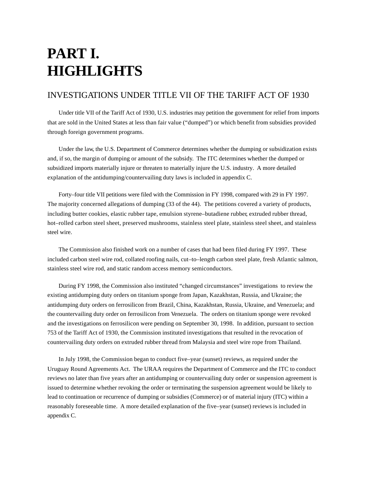## **PART I. HIGHLIGHTS**

## INVESTIGATIONS UNDER TITLE VII OF THE TARIFF ACT OF 1930

Under title VII of the Tariff Act of 1930, U.S. industries may petition the government for relief from imports that are sold in the United States at less than fair value ("dumped") or which benefit from subsidies provided through foreign government programs.

Under the law, the U.S. Department of Commerce determines whether the dumping or subsidization exists and, if so, the margin of dumping or amount of the subsidy. The ITC determines whether the dumped or subsidized imports materially injure or threaten to materially injure the U.S. industry. A more detailed explanation of the antidumping/countervailing duty laws is included in appendix C.

Forty–four title VII petitions were filed with the Commission in FY 1998, compared with 29 in FY 1997. The majority concerned allegations of dumping (33 of the 44). The petitions covered a variety of products, including butter cookies, elastic rubber tape, emulsion styrene–butadiene rubber, extruded rubber thread, hot–rolled carbon steel sheet, preserved mushrooms, stainless steel plate, stainless steel sheet, and stainless steel wire.

The Commission also finished work on a number of cases that had been filed during FY 1997. These included carbon steel wire rod, collated roofing nails, cut–to–length carbon steel plate, fresh Atlantic salmon, stainless steel wire rod, and static random access memory semiconductors.

During FY 1998, the Commission also instituted "changed circumstances" investigations to review the existing antidumping duty orders on titanium sponge from Japan, Kazakhstan, Russia, and Ukraine; the antidumping duty orders on ferrosilicon from Brazil, China, Kazakhstan, Russia, Ukraine, and Venezuela; and the countervailing duty order on ferrosilicon from Venezuela. The orders on titanium sponge were revoked and the investigations on ferrosilicon were pending on September 30, 1998. In addition, pursuant to section 753 of the Tariff Act of 1930, the Commission instituted investigations that resulted in the revocation of countervailing duty orders on extruded rubber thread from Malaysia and steel wire rope from Thailand.

In July 1998, the Commission began to conduct five–year (sunset) reviews, as required under the Uruguay Round Agreements Act. The URAA requires the Department of Commerce and the ITC to conduct reviews no later than five years after an antidumping or countervailing duty order or suspension agreement is issued to determine whether revoking the order or terminating the suspension agreement would be likely to lead to continuation or recurrence of dumping or subsidies (Commerce) or of material injury (ITC) within a reasonably foreseeable time. A more detailed explanation of the five–year (sunset) reviews is included in appendix C.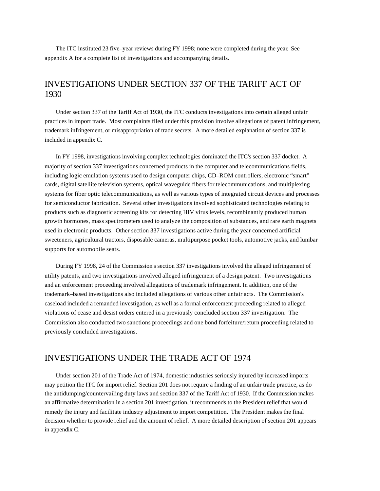The ITC instituted 23 five–year reviews during FY 1998; none were completed during the year. See appendix A for a complete list of investigations and accompanying details.

## INVESTIGATIONS UNDER SECTION 337 OF THE TARIFF ACT OF 1930

Under section 337 of the Tariff Act of 1930, the ITC conducts investigations into certain alleged unfair practices in import trade. Most complaints filed under this provision involve allegations of patent infringement, trademark infringement, or misappropriation of trade secrets. A more detailed explanation of section 337 is included in appendix C.

In FY 1998, investigations involving complex technologies dominated the ITC's section 337 docket. A majority of section 337 investigations concerned products in the computer and telecommunications fields, including logic emulation systems used to design computer chips, CD–ROM controllers, electronic "smart" cards, digital satellite television systems, optical waveguide fibers for telecommunications, and multiplexing systems for fiber optic telecommunications, as well as various types of integrated circuit devices and processes for semiconductor fabrication. Several other investigations involved sophisticated technologies relating to products such as diagnostic screening kits for detecting HIV virus levels, recombinantly produced human growth hormones, mass spectrometers used to analyze the composition of substances, and rare earth magnets used in electronic products. Other section 337 investigations active during the year concerned artificial sweeteners, agricultural tractors, disposable cameras, multipurpose pocket tools, automotive jacks, and lumbar supports for automobile seats.

During FY 1998, 24 of the Commission's section 337 investigations involved the alleged infringement of utility patents, and two investigations involved alleged infringement of a design patent. Two investigations and an enforcement proceeding involved allegations of trademark infringement. In addition, one of the trademark–based investigations also included allegations of various other unfair acts. The Commission's caseload included a remanded investigation, as well as a formal enforcement proceeding related to alleged violations of cease and desist orders entered in a previously concluded section 337 investigation. The Commission also conducted two sanctions proceedings and one bond forfeiture/return proceeding related to previously concluded investigations.

## INVESTIGATIONS UNDER THE TRADE ACT OF 1974

Under section 201 of the Trade Act of 1974, domestic industries seriously injured by increased imports may petition the ITC for import relief. Section 201 does not require a finding of an unfair trade practice, as do the antidumping/countervailing duty laws and section 337 of the Tariff Act of 1930. If the Commission makes an affirmative determination in a section 201 investigation, it recommends to the President relief that would remedy the injury and facilitate industry adjustment to import competition. The President makes the final decision whether to provide relief and the amount of relief. A more detailed description of section 201 appears in appendix C.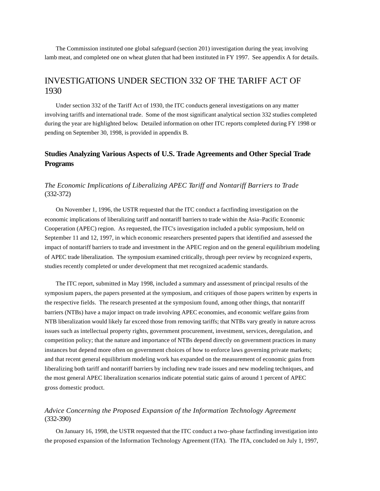The Commission instituted one global safeguard (section 201) investigation during the year, involving lamb meat, and completed one on wheat gluten that had been instituted in FY 1997. See appendix A for details.

## INVESTIGATIONS UNDER SECTION 332 OF THE TARIFF ACT OF 1930

Under section 332 of the Tariff Act of 1930, the ITC conducts general investigations on any matter involving tariffs and international trade. Some of the most significant analytical section 332 studies completed during the year are highlighted below. Detailed information on other ITC reports completed during FY 1998 or pending on September 30, 1998, is provided in appendix B.

## **Studies Analyzing Various Aspects of U.S. Trade Agreements and Other Special Trade Programs**

### *The Economic Implications of Liberalizing APEC Tariff and Nontariff Barriers to Trade* (332-372)

On November 1, 1996, the USTR requested that the ITC conduct a factfinding investigation on the economic implications of liberalizing tariff and nontariff barriers to trade within the Asia–Pacific Economic Cooperation (APEC) region. As requested, the ITC's investigation included a public symposium, held on September 11 and 12, 1997, in which economic researchers presented papers that identified and assessed the impact of nontariff barriers to trade and investment in the APEC region and on the general equilibrium modeling of APEC trade liberalization. The symposium examined critically, through peer review by recognized experts, studies recently completed or under development that met recognized academic standards.

The ITC report, submitted in May 1998, included a summary and assessment of principal results of the symposium papers, the papers presented at the symposium, and critiques of those papers written by experts in the respective fields. The research presented at the symposium found, among other things, that nontariff barriers (NTBs) have a major impact on trade involving APEC economies, and economic welfare gains from NTB liberalization would likely far exceed those from removing tariffs; that NTBs vary greatly in nature across issues such as intellectual property rights, government procurement, investment, services, deregulation, and competition policy; that the nature and importance of NTBs depend directly on government practices in many instances but depend more often on government choices of how to enforce laws governing private markets; and that recent general equilibrium modeling work has expanded on the measurement of economic gains from liberalizing both tariff and nontariff barriers by including new trade issues and new modeling techniques, and the most general APEC liberalization scenarios indicate potential static gains of around 1 percent of APEC gross domestic product.

### *Advice Concerning the Proposed Expansion of the Information Technology Agreement* (332-390)

On January 16, 1998, the USTR requested that the ITC conduct a two–phase factfinding investigation into the proposed expansion of the Information Technology Agreement (ITA). The ITA, concluded on July 1, 1997,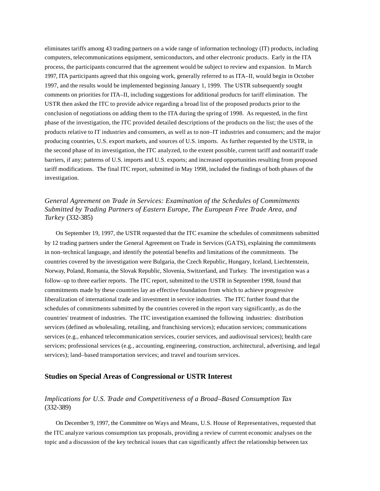eliminates tariffs among 43 trading partners on a wide range of information technology (IT) products, including computers, telecommunications equipment, semiconductors, and other electronic products. Early in the ITA process, the participants concurred that the agreement would be subject to review and expansion. In March 1997, ITA participants agreed that this ongoing work, generally referred to as ITA–II, would begin in October 1997, and the results would be implemented beginning January 1, 1999. The USTR subsequently sought comments on priorities for ITA–II, including suggestions for additional products for tariff elimination. The USTR then asked the ITC to provide advice regarding a broad list of the proposed products prior to the conclusion of negotiations on adding them to the ITA during the spring of 1998. As requested, in the first phase of the investigation, the ITC provided detailed descriptions of the products on the list; the uses of the products relative to IT industries and consumers, as well as to non–IT industries and consumers; and the major producing countries, U.S. export markets, and sources of U.S. imports. As further requested by the USTR, in the second phase of its investigation, the ITC analyzed, to the extent possible, current tariff and nontariff trade barriers, if any; patterns of U.S. imports and U.S. exports; and increased opportunities resulting from proposed tariff modifications. The final ITC report, submitted in May 1998, included the findings of both phases of the investigation.

### *General Agreement on Trade in Services: Examination of the Schedules of Commitments Submitted by Trading Partners of Eastern Europe, The European Free Trade Area, and Turkey* (332-385)

On September 19, 1997, the USTR requested that the ITC examine the schedules of commitments submitted by 12 trading partners under the General Agreement on Trade in Services (GATS), explaining the commitments in non–technical language, and identify the potential benefits and limitations of the commitments. The countries covered by the investigation were Bulgaria, the Czech Republic, Hungary, Iceland, Liechtenstein, Norway, Poland, Romania, the Slovak Republic, Slovenia, Switzerland, and Turkey. The investigation was a follow–up to three earlier reports. The ITC report, submitted to the USTR in September 1998, found that commitments made by these countries lay an effective foundation from which to achieve progressive liberalization of international trade and investment in service industries. The ITC further found that the schedules of commitments submitted by the countries covered in the report vary significantly, as do the countries' treatment of industries. The ITC investigation examined the following industries: distribution services (defined as wholesaling, retailing, and franchising services); education services; communications services (e.g., enhanced telecommunication services, courier services, and audiovisual services); health care services; professional services (e.g., accounting, engineering, construction, architectural, advertising, and legal services); land–based transportation services; and travel and tourism services.

#### **Studies on Special Areas of Congressional or USTR Interest**

### *Implications for U.S. Trade and Competitiveness of a Broad–Based Consumption Tax*  (332-389)

On December 9, 1997, the Committee on Ways and Means, U.S. House of Representatives, requested that the ITC analyze various consumption tax proposals, providing a review of current economic analyses on the topic and a discussion of the key technical issues that can significantly affect the relationship between tax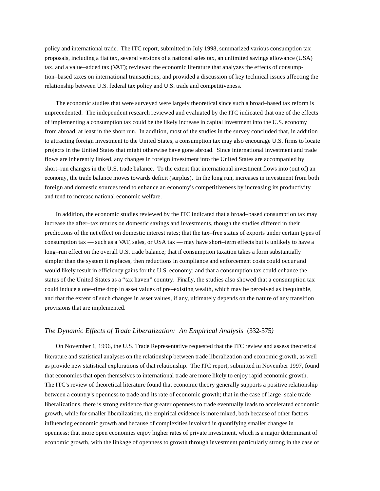policy and international trade. The ITC report, submitted in July 1998, summarized various consumption tax proposals, including a flat tax, several versions of a national sales tax, an unlimited savings allowance (USA) tax, and a value–added tax (VAT); reviewed the economic literature that analyzes the effects of consumption–based taxes on international transactions; and provided a discussion of key technical issues affecting the relationship between U.S. federal tax policy and U.S. trade and competitiveness.

The economic studies that were surveyed were largely theoretical since such a broad–based tax reform is unprecedented. The independent research reviewed and evaluated by the ITC indicated that one of the effects of implementing a consumption tax could be the likely increase in capital investment into the U.S. economy from abroad, at least in the short run. In addition, most of the studies in the survey concluded that, in addition to attracting foreign investment to the United States, a consumption tax may also encourage U.S. firms to locate projects in the United States that might otherwise have gone abroad. Since international investment and trade flows are inherently linked, any changes in foreign investment into the United States are accompanied by short–run changes in the U.S. trade balance. To the extent that international investment flows into (out of) an economy, the trade balance moves towards deficit (surplus). In the long run, increases in investment from both foreign and domestic sources tend to enhance an economy's competitiveness by increasing its productivity and tend to increase national economic welfare.

In addition, the economic studies reviewed by the ITC indicated that a broad–based consumption tax may increase the after–tax returns on domestic savings and investments, though the studies differed in their predictions of the net effect on domestic interest rates; that the tax–free status of exports under certain types of consumption tax — such as a VAT, sales, or USA tax — may have short–term effects but is unlikely to have a long–run effect on the overall U.S. trade balance; that if consumption taxation takes a form substantially simpler than the system it replaces, then reductions in compliance and enforcement costs could occur and would likely result in efficiency gains for the U.S. economy; and that a consumption tax could enhance the status of the United States as a "tax haven" country. Finally, the studies also showed that a consumption tax could induce a one–time drop in asset values of pre–existing wealth, which may be perceived as inequitable, and that the extent of such changes in asset values, if any, ultimately depends on the nature of any transition provisions that are implemented.

#### *The Dynamic Effects of Trade Liberalization: An Empirical Analysis* (332-375*)*

On November 1, 1996, the U.S. Trade Representative requested that the ITC review and assess theoretical literature and statistical analyses on the relationship between trade liberalization and economic growth, as well as provide new statistical explorations of that relationship. The ITC report, submitted in November 1997, found that economies that open themselves to international trade are more likely to enjoy rapid economic growth. The ITC's review of theoretical literature found that economic theory generally supports a positive relationship between a country's openness to trade and its rate of economic growth; that in the case of large–scale trade liberalizations, there is strong evidence that greater openness to trade eventually leads to accelerated economic growth, while for smaller liberalizations, the empirical evidence is more mixed, both because of other factors influencing economic growth and because of complexities involved in quantifying smaller changes in openness; that more open economies enjoy higher rates of private investment, which is a major determinant of economic growth, with the linkage of openness to growth through investment particularly strong in the case of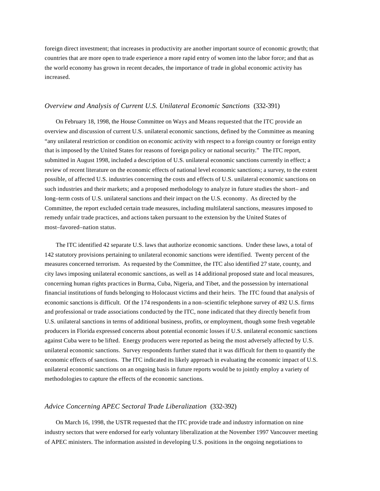foreign direct investment; that increases in productivity are another important source of economic growth; that countries that are more open to trade experience a more rapid entry of women into the labor force; and that as the world economy has grown in recent decades, the importance of trade in global economic activity has increased.

#### *Overview and Analysis of Current U.S. Unilateral Economic Sanctions* (332-391)

On February 18, 1998, the House Committee on Ways and Means requested that the ITC provide an overview and discussion of current U.S. unilateral economic sanctions, defined by the Committee as meaning "any unilateral restriction or condition on economic activity with respect to a foreign country or foreign entity that is imposed by the United States for reasons of foreign policy or national security." The ITC report, submitted in August 1998, included a description of U.S. unilateral economic sanctions currently in effect; a review of recent literature on the economic effects of national level economic sanctions; a survey, to the extent possible, of affected U.S. industries concerning the costs and effects of U.S. unilateral economic sanctions on such industries and their markets; and a proposed methodology to analyze in future studies the short– and long–term costs of U.S. unilateral sanctions and their impact on the U.S. economy. As directed by the Committee, the report excluded certain trade measures, including multilateral sanctions, measures imposed to remedy unfair trade practices, and actions taken pursuant to the extension by the United States of most–favored–nation status.

The ITC identified 42 separate U.S. laws that authorize economic sanctions. Under these laws, a total of 142 statutory provisions pertaining to unilateral economic sanctions were identified. Twenty percent of the measures concerned terrorism. As requested by the Committee, the ITC also identified 27 state, county, and city laws imposing unilateral economic sanctions, as well as 14 additional proposed state and local measures, concerning human rights practices in Burma, Cuba, Nigeria, and Tibet, and the possession by international financial institutions of funds belonging to Holocaust victims and their heirs. The ITC found that analysis of economic sanctions is difficult. Of the 174 respondents in a non–scientific telephone survey of 492 U.S. firms and professional or trade associations conducted by the ITC, none indicated that they directly benefit from U.S. unilateral sanctions in terms of additional business, profits, or employment, though some fresh vegetable producers in Florida expressed concerns about potential economic losses if U.S. unilateral economic sanctions against Cuba were to be lifted. Energy producers were reported as being the most adversely affected by U.S. unilateral economic sanctions. Survey respondents further stated that it was difficult for them to quantify the economic effects of sanctions. The ITC indicated its likely approach in evaluating the economic impact of U.S. unilateral economic sanctions on an ongoing basis in future reports would be to jointly employ a variety of methodologies to capture the effects of the economic sanctions.

#### *Advice Concerning APEC Sectoral Trade Liberalization* (332-392)

On March 16, 1998, the USTR requested that the ITC provide trade and industry information on nine industry sectors that were endorsed for early voluntary liberalization at the November 1997 Vancouver meeting of APEC ministers. The information assisted in developing U.S. positions in the ongoing negotiations to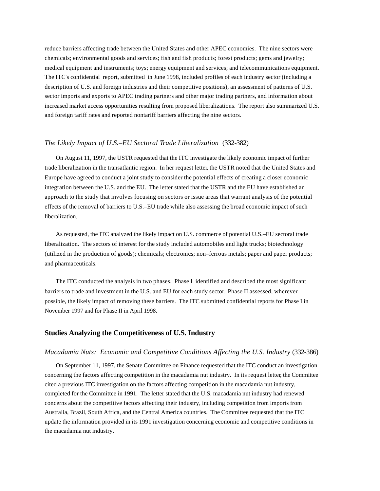reduce barriers affecting trade between the United States and other APEC economies. The nine sectors were chemicals; environmental goods and services; fish and fish products; forest products; gems and jewelry; medical equipment and instruments; toys; energy equipment and services; and telecommunications equipment. The ITC's confidential report, submitted in June 1998, included profiles of each industry sector (including a description of U.S. and foreign industries and their competitive positions), an assessment of patterns of U.S. sector imports and exports to APEC trading partners and other major trading partners, and information about increased market access opportunities resulting from proposed liberalizations. The report also summarized U.S. and foreign tariff rates and reported nontariff barriers affecting the nine sectors.

#### *The Likely Impact of U.S.–EU Sectoral Trade Liberalization* (332-382)

On August 11, 1997, the USTR requested that the ITC investigate the likely economic impact of further trade liberalization in the transatlantic region. In her request letter, the USTR noted that the United States and Europe have agreed to conduct a joint study to consider the potential effects of creating a closer economic integration between the U.S. and the EU. The letter stated that the USTR and the EU have established an approach to the study that involves focusing on sectors or issue areas that warrant analysis of the potential effects of the removal of barriers to U.S.–EU trade while also assessing the broad economic impact of such liberalization.

As requested, the ITC analyzed the likely impact on U.S. commerce of potential U.S.–EU sectoral trade liberalization. The sectors of interest for the study included automobiles and light trucks; biotechnology (utilized in the production of goods); chemicals; electronics; non–ferrous metals; paper and paper products; and pharmaceuticals.

The ITC conducted the analysis in two phases. Phase I identified and described the most significant barriers to trade and investment in the U.S. and EU for each study sector. Phase II assessed, wherever possible, the likely impact of removing these barriers. The ITC submitted confidential reports for Phase I in November 1997 and for Phase II in April 1998.

#### **Studies Analyzing the Competitiveness of U.S. Industry**

#### *Macadamia Nuts: Economic and Competitive Conditions Affecting the U.S. Industry* (332-386)

On September 11, 1997, the Senate Committee on Finance requested that the ITC conduct an investigation concerning the factors affecting competition in the macadamia nut industry. In its request letter, the Committee cited a previous ITC investigation on the factors affecting competition in the macadamia nut industry, completed for the Committee in 1991. The letter stated that the U.S. macadamia nut industry had renewed concerns about the competitive factors affecting their industry, including competition from imports from Australia, Brazil, South Africa, and the Central America countries. The Committee requested that the ITC update the information provided in its 1991 investigation concerning economic and competitive conditions in the macadamia nut industry.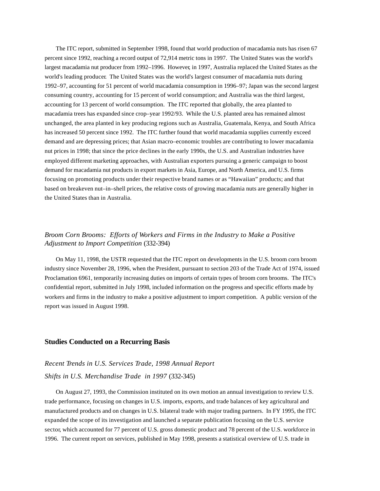The ITC report, submitted in September 1998, found that world production of macadamia nuts has risen 67 percent since 1992, reaching a record output of 72,914 metric tons in 1997. The United States was the world's largest macadamia nut producer from 1992–1996. However, in 1997, Australia replaced the United States as the world's leading producer. The United States was the world's largest consumer of macadamia nuts during 1992–97, accounting for 51 percent of world macadamia consumption in 1996–97; Japan was the second largest consuming country, accounting for 15 percent of world consumption; and Australia was the third largest, accounting for 13 percent of world consumption. The ITC reported that globally, the area planted to macadamia trees has expanded since crop–year 1992/93. While the U.S. planted area has remained almost unchanged, the area planted in key producing regions such as Australia, Guatemala, Kenya, and South Africa has increased 50 percent since 1992. The ITC further found that world macadamia supplies currently exceed demand and are depressing prices; that Asian macro–economic troubles are contributing to lower macadamia nut prices in 1998; that since the price declines in the early 1990s, the U.S. and Australian industries have employed different marketing approaches, with Australian exporters pursuing a generic campaign to boost demand for macadamia nut products in export markets in Asia, Europe, and North America, and U.S. firms focusing on promoting products under their respective brand names or as "Hawaiian" products; and that based on breakeven nut–in–shell prices, the relative costs of growing macadamia nuts are generally higher in the United States than in Australia.

## *Broom Corn Brooms: Efforts of Workers and Firms in the Industry to Make a Positive Adjustment to Import Competition* (332-394)

On May 11, 1998, the USTR requested that the ITC report on developments in the U.S. broom corn broom industry since November 28, 1996, when the President, pursuant to section 203 of the Trade Act of 1974, issued Proclamation 6961, temporarily increasing duties on imports of certain types of broom corn brooms. The ITC's confidential report, submitted in July 1998, included information on the progress and specific efforts made by workers and firms in the industry to make a positive adjustment to import competition. A public version of the report was issued in August 1998.

#### **Studies Conducted on a Recurring Basis**

## *Recent Trends in U.S. Services Trade, 1998 Annual Report Shifts in U.S. Merchandise Trade in 1997* (332-345)

On August 27, 1993, the Commission instituted on its own motion an annual investigation to review U.S. trade performance, focusing on changes in U.S. imports, exports, and trade balances of key agricultural and manufactured products and on changes in U.S. bilateral trade with major trading partners. In FY 1995, the ITC expanded the scope of its investigation and launched a separate publication focusing on the U.S. service sector, which accounted for 77 percent of U.S. gross domestic product and 78 percent of the U.S. workforce in 1996. The current report on services, published in May 1998, presents a statistical overview of U.S. trade in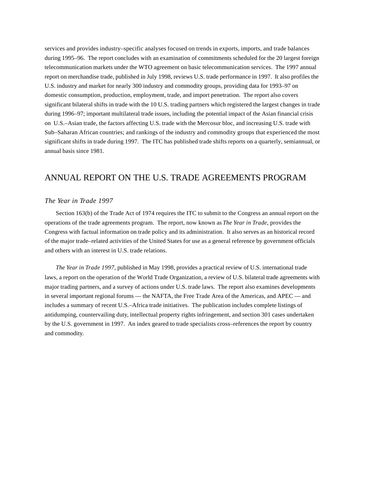services and provides industry–specific analyses focused on trends in exports, imports, and trade balances during 1995–96. The report concludes with an examination of commitments scheduled for the 20 largest foreign telecommunication markets under the WTO agreement on basic telecommunication services. The 1997 annual report on merchandise trade, published in July 1998, reviews U.S. trade performance in 1997. It also profiles the U.S. industry and market for nearly 300 industry and commodity groups, providing data for 1993–97 on domestic consumption, production, employment, trade, and import penetration. The report also covers significant bilateral shifts in trade with the 10 U.S. trading partners which registered the largest changes in trade during 1996–97; important multilateral trade issues, including the potential impact of the Asian financial crisis on U.S.–Asian trade, the factors affecting U.S. trade with the Mercosur bloc, and increasing U.S. trade with Sub–Saharan African countries; and rankings of the industry and commodity groups that experienced the most significant shifts in trade during 1997. The ITC has published trade shifts reports on a quarterly, semiannual, or annual basis since 1981.

## ANNUAL REPORT ON THE U.S. TRADE AGREEMENTS PROGRAM

#### *The Year in Trade 1997*

Section 163(b) of the Trade Act of 1974 requires the ITC to submit to the Congress an annual report on the operations of the trade agreements program. The report, now known as *The Year in Trade*, provides the Congress with factual information on trade policy and its administration. It also serves as an historical record of the major trade–related activities of the United States for use as a general reference by government officials and others with an interest in U.S. trade relations.

*The Year in Trade 1997*, published in May 1998, provides a practical review of U.S. international trade laws, a report on the operation of the World Trade Organization, a review of U.S. bilateral trade agreements with major trading partners, and a survey of actions under U.S. trade laws. The report also examines developments in several important regional forums — the NAFTA, the Free Trade Area of the Americas, and APEC — and includes a summary of recent U.S.–Africa trade initiatives. The publication includes complete listings of antidumping, countervailing duty, intellectual property rights infringement, and section 301 cases undertaken by the U.S. government in 1997. An index geared to trade specialists cross–references the report by country and commodity.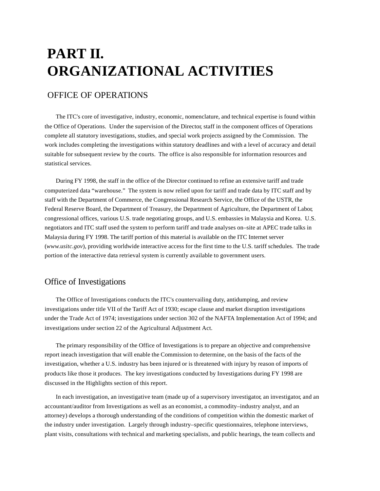# **PART II. ORGANIZATIONAL ACTIVITIES**

## OFFICE OF OPERATIONS

The ITC's core of investigative, industry, economic, nomenclature, and technical expertise is found within the Office of Operations. Under the supervision of the Director, staff in the component offices of Operations complete all statutory investigations, studies, and special work projects assigned by the Commission. The work includes completing the investigations within statutory deadlines and with a level of accuracy and detail suitable for subsequent review by the courts. The office is also responsible for information resources and statistical services.

During FY 1998, the staff in the office of the Director continued to refine an extensive tariff and trade computerized data "warehouse." The system is now relied upon for tariff and trade data by ITC staff and by staff with the Department of Commerce, the Congressional Research Service, the Office of the USTR, the Federal Reserve Board, the Department of Treasury, the Department of Agriculture, the Department of Labor, congressional offices, various U.S. trade negotiating groups, and U.S. embassies in Malaysia and Korea. U.S. negotiators and ITC staff used the system to perform tariff and trade analyses on–site at APEC trade talks in Malaysia during FY 1998. The tariff portion of this material is available on the ITC Internet server (*www.usitc.gov*), providing worldwide interactive access for the first time to the U.S. tariff schedules. The trade portion of the interactive data retrieval system is currently available to government users.

## Office of Investigations

The Office of Investigations conducts the ITC's countervailing duty, antidumping, and review investigations under title VII of the Tariff Act of 1930; escape clause and market disruption investigations under the Trade Act of 1974; investigations under section 302 of the NAFTA Implementation Act of 1994; and investigations under section 22 of the Agricultural Adjustment Act.

The primary responsibility of the Office of Investigations is to prepare an objective and comprehensive report ineach investigation that will enable the Commission to determine, on the basis of the facts of the investigation, whether a U.S. industry has been injured or is threatened with injury by reason of imports of products like those it produces. The key investigations conducted by Investigations during FY 1998 are discussed in the Highlights section of this report.

In each investigation, an investigative team (made up of a supervisory investigator, an investigator, and an accountant/auditor from Investigations as well as an economist, a commodity–industry analyst, and an attorney) develops a thorough understanding of the conditions of competition within the domestic market of the industry under investigation. Largely through industry–specific questionnaires, telephone interviews, plant visits, consultations with technical and marketing specialists, and public hearings, the team collects and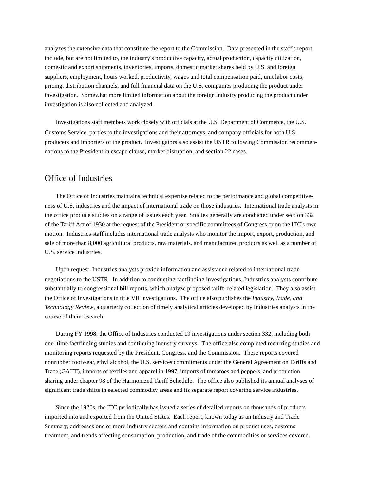analyzes the extensive data that constitute the report to the Commission. Data presented in the staff's report include, but are not limited to, the industry's productive capacity, actual production, capacity utilization, domestic and export shipments, inventories, imports, domestic market shares held by U.S. and foreign suppliers, employment, hours worked, productivity, wages and total compensation paid, unit labor costs, pricing, distribution channels, and full financial data on the U.S. companies producing the product under investigation. Somewhat more limited information about the foreign industry producing the product under investigation is also collected and analyzed.

Investigations staff members work closely with officials at the U.S. Department of Commerce, the U.S. Customs Service, parties to the investigations and their attorneys, and company officials for both U.S. producers and importers of the product. Investigators also assist the USTR following Commission recommendations to the President in escape clause, market disruption, and section 22 cases.

## Office of Industries

The Office of Industries maintains technical expertise related to the performance and global competitiveness of U.S. industries and the impact of international trade on those industries. International trade analysts in the office produce studies on a range of issues each year. Studies generally are conducted under section 332 of the Tariff Act of 1930 at the request of the President or specific committees of Congress or on the ITC's own motion. Industries staff includes international trade analysts who monitor the import, export, production, and sale of more than 8,000 agricultural products, raw materials, and manufactured products as well as a number of U.S. service industries.

Upon request, Industries analysts provide information and assistance related to international trade negotiations to the USTR. In addition to conducting factfinding investigations, Industries analysts contribute substantially to congressional bill reports, which analyze proposed tariff–related legislation. They also assist the Office of Investigations in title VII investigations. The office also publishes the *Industry, Trade, and Technology Review*, a quarterly collection of timely analytical articles developed by Industries analysts in the course of their research.

During FY 1998, the Office of Industries conducted 19 investigations under section 332, including both one–time factfinding studies and continuing industry surveys. The office also completed recurring studies and monitoring reports requested by the President, Congress, and the Commission. These reports covered nonrubber footwear, ethyl alcohol, the U.S. services commitments under the General Agreement on Tariffs and Trade (GATT), imports of textiles and apparel in 1997, imports of tomatoes and peppers, and production sharing under chapter 98 of the Harmonized Tariff Schedule. The office also published its annual analyses of significant trade shifts in selected commodity areas and its separate report covering service industries.

Since the 1920s, the ITC periodically has issued a series of detailed reports on thousands of products imported into and exported from the United States. Each report, known today as an Industry and Trade Summary, addresses one or more industry sectors and contains information on product uses, customs treatment, and trends affecting consumption, production, and trade of the commodities or services covered.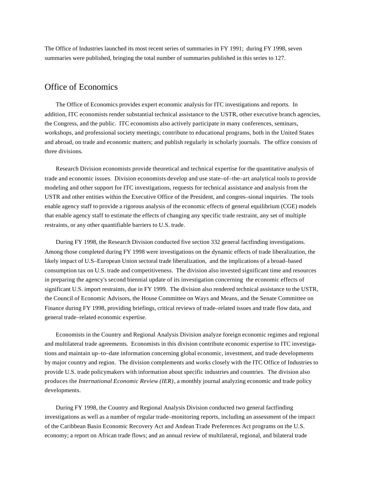The Office of Industries launched its most recent series of summaries in FY 1991; during FY 1998, seven summaries were published, bringing the total number of summaries published in this series to 127.

## Office of Economics

The Office of Economics provides expert economic analysis for ITC investigations and reports. In addition, ITC economists render substantial technical assistance to the USTR, other executive branch agencies, the Congress, and the public. ITC economists also actively participate in many conferences, seminars, workshops, and professional society meetings; contribute to educational programs, both in the United States and abroad, on trade and economic matters; and publish regularly in scholarly journals. The office consists of three divisions.

Research Division economists provide theoretical and technical expertise for the quantitative analysis of trade and economic issues. Division economists develop and use state–of–the–art analytical tools to provide modeling and other support for ITC investigations, requests for technical assistance and analysis from the USTR and other entities within the Executive Office of the President, and congres–sional inquiries. The tools enable agency staff to provide a rigorous analysis of the economic effects of general equilibrium (CGE) models that enable agency staff to estimate the effects of changing any specific trade restraint, any set of multiple restraints, or any other quantifiable barriers to U.S. trade.

During FY 1998, the Research Division conducted five section 332 general factfinding investigations. Among those completed during FY 1998 were investigations on the dynamic effects of trade liberalization, the likely impact of U.S–European Union sectoral trade liberalization, and the implications of a broad–based consumption tax on U.S. trade and competitiveness. The division also invested significant time and resources in preparing the agency's second biennial update of its investigation concerning the economic effects of significant U.S. import restraints, due in FY 1999. The division also rendered technical assistance to the USTR, the Council of Economic Advisors, the House Committee on Ways and Means, and the Senate Committee on Finance during FY 1998, providing briefings, critical reviews of trade–related issues and trade flow data, and general trade–related economic expertise.

Economists in the Country and Regional Analysis Division analyze foreign economic regimes and regional and multilateral trade agreements. Economists in this division contribute economic expertise to ITC investigations and maintain up–to–date information concerning global economic, investment, and trade developments by major country and region. The division complements and works closely with the ITC Office of Industries to provide U.S. trade policymakers with information about specific industries and countries. The division also produces the *International Economic Review (IER)*, a monthly journal analyzing economic and trade policy developments.

During FY 1998, the Country and Regional Analysis Division conducted two general factfinding investigations as well as a number of regular trade–monitoring reports, including an assessment of the impact of the Caribbean Basin Economic Recovery Act and Andean Trade Preferences Act programs on the U.S. economy; a report on African trade flows; and an annual review of multilateral, regional, and bilateral trade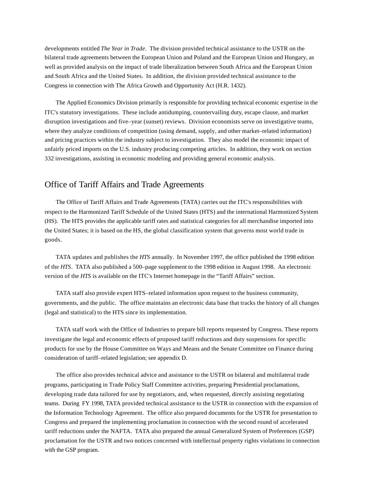developments entitled *The Year in Trade*. The division provided technical assistance to the USTR on the bilateral trade agreements between the European Union and Poland and the European Union and Hungary, as well as provided analysis on the impact of trade liberalization between South Africa and the European Union and South Africa and the United States. In addition, the division provided technical assistance to the Congress in connection with The Africa Growth and Opportunity Act (H.R. 1432).

The Applied Economics Division primarily is responsible for providing technical economic expertise in the ITC's statutory investigations. These include antidumping, countervailing duty, escape clause, and market disruption investigations and five–year (sunset) reviews. Division economists serve on investigative teams, where they analyze conditions of competition (using demand, supply, and other market–related information) and pricing practices within the industry subject to investigation. They also model the economic impact of unfairly priced imports on the U.S. industry producing competing articles. In addition, they work on section 332 investigations, assisting in economic modeling and providing general economic analysis.

## Office of Tariff Affairs and Trade Agreements

The Office of Tariff Affairs and Trade Agreements (TATA) carries out the ITC's responsibilities with respect to the Harmonized Tariff Schedule of the United States (HTS) and the international Harmonized System (HS). The HTS provides the applicable tariff rates and statistical categories for all merchandise imported into the United States; it is based on the HS, the global classification system that governs most world trade in goods.

TATA updates and publishes the *HTS* annually. In November 1997, the office published the 1998 edition of the *HTS*. TATA also published a 500–page supplement to the 1998 edition in August 1998. An electronic version of the *HTS* is available on the ITC's Internet homepage in the "Tariff Affairs" section.

TATA staff also provide expert HTS–related information upon request to the business community, governments, and the public. The office maintains an electronic data base that tracks the history of all changes (legal and statistical) to the HTS since its implementation.

TATA staff work with the Office of Industries to prepare bill reports requested by Congress. These reports investigate the legal and economic effects of proposed tariff reductions and duty suspensions for specific products for use by the House Committee on Ways and Means and the Senate Committee on Finance during consideration of tariff–related legislation; see appendix D.

The office also provides technical advice and assistance to the USTR on bilateral and multilateral trade programs, participating in Trade Policy Staff Committee activities, preparing Presidential proclamations, developing trade data tailored for use by negotiators, and, when requested, directly assisting negotiating teams. During FY 1998, TATA provided technical assistance to the USTR in connection with the expansion of the Information Technology Agreement. The office also prepared documents for the USTR for presentation to Congress and prepared the implementing proclamation in connection with the second round of accelerated tariff reductions under the NAFTA. TATA also prepared the annual Generalized System of Preferences (GSP) proclamation for the USTR and two notices concerned with intellectual property rights violations in connection with the GSP program.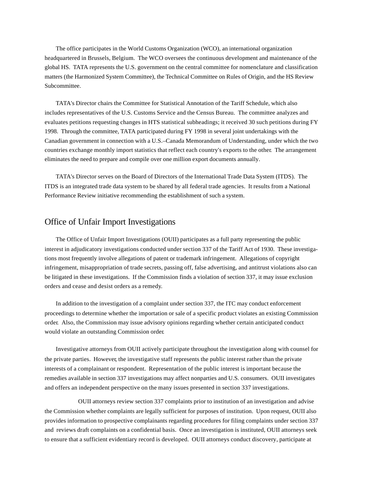The office participates in the World Customs Organization (WCO), an international organization headquartered in Brussels, Belgium. The WCO oversees the continuous development and maintenance of the global HS. TATA represents the U.S. government on the central committee for nomenclature and classification matters (the Harmonized System Committee), the Technical Committee on Rules of Origin, and the HS Review Subcommittee.

TATA's Director chairs the Committee for Statistical Annotation of the Tariff Schedule, which also includes representatives of the U.S. Customs Service and the Census Bureau. The committee analyzes and evaluates petitions requesting changes in HTS statistical subheadings; it received 30 such petitions during FY 1998. Through the committee, TATA participated during FY 1998 in several joint undertakings with the Canadian government in connection with a U.S.–Canada Memorandum of Understanding, under which the two countries exchange monthly import statistics that reflect each country's exports to the other. The arrangement eliminates the need to prepare and compile over one million export documents annually.

TATA's Director serves on the Board of Directors of the International Trade Data System (ITDS). The ITDS is an integrated trade data system to be shared by all federal trade agencies. It results from a National Performance Review initiative recommending the establishment of such a system.

### Office of Unfair Import Investigations

The Office of Unfair Import Investigations (OUII) participates as a full party representing the public interest in adjudicatory investigations conducted under section 337 of the Tariff Act of 1930. These investigations most frequently involve allegations of patent or trademark infringement. Allegations of copyright infringement, misappropriation of trade secrets, passing off, false advertising, and antitrust violations also can be litigated in these investigations. If the Commission finds a violation of section 337, it may issue exclusion orders and cease and desist orders as a remedy.

In addition to the investigation of a complaint under section 337, the ITC may conduct enforcement proceedings to determine whether the importation or sale of a specific product violates an existing Commission order. Also, the Commission may issue advisory opinions regarding whether certain anticipated conduct would violate an outstanding Commission order.

Investigative attorneys from OUII actively participate throughout the investigation along with counsel for the private parties. However, the investigative staff represents the public interest rather than the private interests of a complainant or respondent. Representation of the public interest is important because the remedies available in section 337 investigations may affect nonparties and U.S. consumers. OUII investigates and offers an independent perspective on the many issues presented in section 337 investigations.

OUII attorneys review section 337 complaints prior to institution of an investigation and advise the Commission whether complaints are legally sufficient for purposes of institution. Upon request, OUII also provides information to prospective complainants regarding procedures for filing complaints under section 337 and reviews draft complaints on a confidential basis. Once an investigation is instituted, OUII attorneys seek to ensure that a sufficient evidentiary record is developed. OUII attorneys conduct discovery, participate at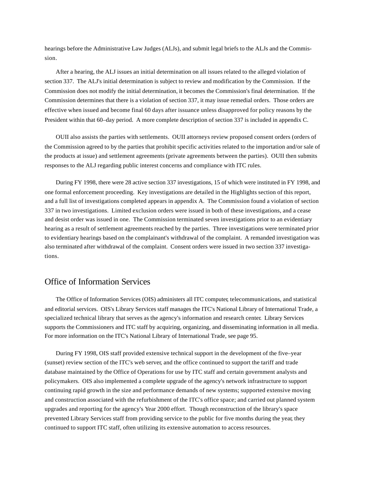hearings before the Administrative Law Judges (ALJs), and submit legal briefs to the ALJs and the Commission.

After a hearing, the ALJ issues an initial determination on all issues related to the alleged violation of section 337. The ALJ's initial determination is subject to review and modification by the Commission. If the Commission does not modify the initial determination, it becomes the Commission's final determination. If the Commission determines that there is a violation of section 337, it may issue remedial orders. Those orders are effective when issued and become final 60 days after issuance unless disapproved for policy reasons by the President within that 60–day period. A more complete description of section 337 is included in appendix C.

OUII also assists the parties with settlements. OUII attorneys review proposed consent orders (orders of the Commission agreed to by the parties that prohibit specific activities related to the importation and/or sale of the products at issue) and settlement agreements (private agreements between the parties). OUII then submits responses to the ALJ regarding public interest concerns and compliance with ITC rules.

During FY 1998, there were 28 active section 337 investigations, 15 of which were instituted in FY 1998, and one formal enforcement proceeding. Key investigations are detailed in the Highlights section of this report, and a full list of investigations completed appears in appendix A. The Commission found a violation of section 337 in two investigations. Limited exclusion orders were issued in both of these investigations, and a cease and desist order was issued in one. The Commission terminated seven investigations prior to an evidentiary hearing as a result of settlement agreements reached by the parties. Three investigations were terminated prior to evidentiary hearings based on the complainant's withdrawal of the complaint. A remanded investigation was also terminated after withdrawal of the complaint. Consent orders were issued in two section 337 investigations.

## Office of Information Services

The Office of Information Services (OIS) administers all ITC computer, telecommunications, and statistical and editorial services. OIS's Library Services staff manages the ITC's National Library of International Trade, a specialized technical library that serves as the agency's information and research center. Library Services supports the Commissioners and ITC staff by acquiring, organizing, and disseminating information in all media. For more information on the ITC's National Library of International Trade, see page 95.

During FY 1998, OIS staff provided extensive technical support in the development of the five–year (sunset) review section of the ITC's web server, and the office continued to support the tariff and trade database maintained by the Office of Operations for use by ITC staff and certain government analysts and policymakers. OIS also implemented a complete upgrade of the agency's network infrastructure to support continuing rapid growth in the size and performance demands of new systems; supported extensive moving and construction associated with the refurbishment of the ITC's office space; and carried out planned system upgrades and reporting for the agency's Year 2000 effort. Though reconstruction of the library's space prevented Library Services staff from providing service to the public for five months during the year, they continued to support ITC staff, often utilizing its extensive automation to access resources.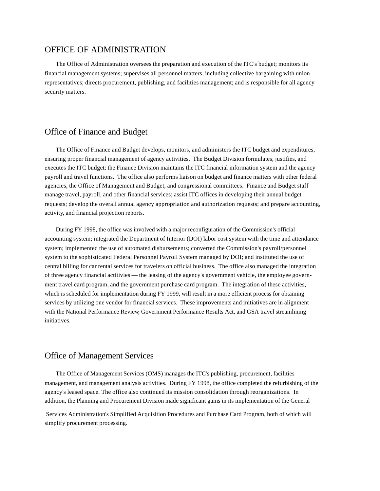### OFFICE OF ADMINISTRATION

The Office of Administration oversees the preparation and execution of the ITC's budget; monitors its financial management systems; supervises all personnel matters, including collective bargaining with union representatives; directs procurement, publishing, and facilities management; and is responsible for all agency security matters.

## Office of Finance and Budget

The Office of Finance and Budget develops, monitors, and administers the ITC budget and expenditures, ensuring proper financial management of agency activities. The Budget Division formulates, justifies, and executes the ITC budget; the Finance Division maintains the ITC financial information system and the agency payroll and travel functions. The office also performs liaison on budget and finance matters with other federal agencies, the Office of Management and Budget, and congressional committees. Finance and Budget staff manage travel, payroll, and other financial services; assist ITC offices in developing their annual budget requests; develop the overall annual agency appropriation and authorization requests; and prepare accounting, activity, and financial projection reports.

During FY 1998, the office was involved with a major reconfiguration of the Commission's official accounting system; integrated the Department of Interior (DOI) labor cost system with the time and attendance system; implemented the use of automated disbursements; converted the Commission's payroll/personnel system to the sophisticated Federal Personnel Payroll System managed by DOI; and instituted the use of central billing for car rental services for travelers on official business. The office also managed the integration of three agency financial actitivies — the leasing of the agency's government vehicle, the employee government travel card program, and the government purchase card program. The integration of these activities, which is scheduled for implementation during FY 1999, will result in a more efficient process for obtaining services by utilizing one vendor for financial services. These improvements and initiatives are in alignment with the National Performance Review, Government Performance Results Act, and GSA travel streamlining initiatives.

## Office of Management Services

The Office of Management Services (OMS) manages the ITC's publishing, procurement, facilities management, and management analysis activities. During FY 1998, the office completed the refurbishing of the agency's leased space. The office also continued its mission consolidation through reorganizations. In addition, the Planning and Procurement Division made significant gains in its implementation of the General

 Services Administration's Simplified Acquisition Procedures and Purchase Card Program, both of which will simplify procurement processing.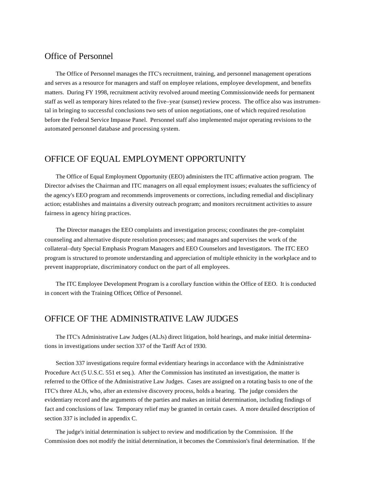## Office of Personnel

The Office of Personnel manages the ITC's recruitment, training, and personnel management operations and serves as a resource for managers and staff on employee relations, employee development, and benefits matters. During FY 1998, recruitment activity revolved around meeting Commissionwide needs for permanent staff as well as temporary hires related to the five–year (sunset) review process. The office also was instrumental in bringing to successful conclusions two sets of union negotiations, one of which required resolution before the Federal Service Impasse Panel. Personnel staff also implemented major operating revisions to the automated personnel database and processing system.

## OFFICE OF EQUAL EMPLOYMENT OPPORTUNITY

The Office of Equal Employment Opportunity (EEO) administers the ITC affirmative action program. The Director advises the Chairman and ITC managers on all equal employment issues; evaluates the sufficiency of the agency's EEO program and recommends improvements or corrections, including remedial and disciplinary action; establishes and maintains a diversity outreach program; and monitors recruitment activities to assure fairness in agency hiring practices.

The Director manages the EEO complaints and investigation process; coordinates the pre–complaint counseling and alternative dispute resolution processes; and manages and supervises the work of the collateral–duty Special Emphasis Program Managers and EEO Counselors and Investigators. The ITC EEO program is structured to promote understanding and appreciation of multiple ethnicity in the workplace and to prevent inappropriate, discriminatory conduct on the part of all employees.

The ITC Employee Development Program is a corollary function within the Office of EEO. It is conducted in concert with the Training Officer, Office of Personnel.

## OFFICE OF THE ADMINISTRATIVE LAW JUDGES

The ITC's Administrative Law Judges (ALJs) direct litigation, hold hearings, and make initial determinations in investigations under section 337 of the Tariff Act of 1930.

Section 337 investigations require formal evidentiary hearings in accordance with the Administrative Procedure Act (5 U.S.C. 551 et seq.). After the Commission has instituted an investigation, the matter is referred to the Office of the Administrative Law Judges. Cases are assigned on a rotating basis to one of the ITC's three ALJs, who, after an extensive discovery process, holds a hearing. The judge considers the evidentiary record and the arguments of the parties and makes an initial determination, including findings of fact and conclusions of law. Temporary relief may be granted in certain cases. A more detailed description of section 337 is included in appendix C.

The judge's initial determination is subject to review and modification by the Commission. If the Commission does not modify the initial determination, it becomes the Commission's final determination. If the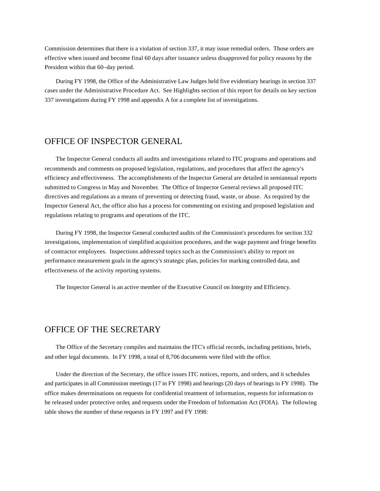Commission determines that there is a violation of section 337, it may issue remedial orders. Those orders are effective when issued and become final 60 days after issuance unless disapproved for policy reasons by the President within that 60–day period.

During FY 1998, the Office of the Administrative Law Judges held five evidentiary hearings in section 337 cases under the Administrative Procedure Act. See Highlights section of this report for details on key section 337 investigations during FY 1998 and appendix A for a complete list of investigations.

## OFFICE OF INSPECTOR GENERAL

The Inspector General conducts all audits and investigations related to ITC programs and operations and recommends and comments on proposed legislation, regulations, and procedures that affect the agency's efficiency and effectiveness. The accomplishments of the Inspector General are detailed in semiannual reports submitted to Congress in May and November. The Office of Inspector General reviews all proposed ITC directives and regulations as a means of preventing or detecting fraud, waste, or abuse. As required by the Inspector General Act, the office also has a process for commenting on existing and proposed legislation and regulations relating to programs and operations of the ITC.

During FY 1998, the Inspector General conducted audits of the Commission's procedures for section 332 investigations, implementation of simplified acquisition procedures, and the wage payment and fringe benefits of contractor employees. Inspections addressed topics such as the Commission's ability to report on performance measurement goals in the agency's strategic plan, policies for marking controlled data, and effectiveness of the activity reporting systems.

The Inspector General is an active member of the Executive Council on Integrity and Efficiency.

## OFFICE OF THE SECRETARY

The Office of the Secretary compiles and maintains the ITC's official records, including petitions, briefs, and other legal documents. In FY 1998, a total of 8,706 documents were filed with the office.

Under the direction of the Secretary, the office issues ITC notices, reports, and orders, and it schedules and participates in all Commission meetings (17 in FY 1998) and hearings (20 days of hearings in FY 1998). The office makes determinations on requests for confidential treatment of information, requests for information to be released under protective order, and requests under the Freedom of Information Act (FOIA). The following table shows the number of these requests in FY 1997 and FY 1998: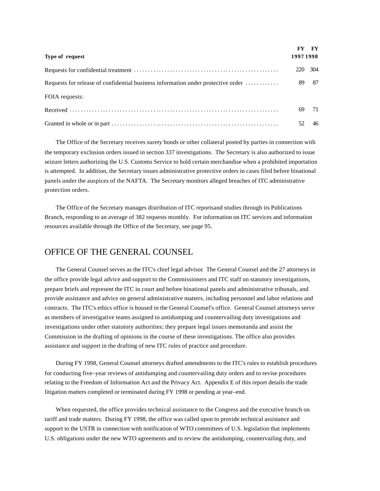| Type of request                                                                  | 1997 1998 | FY FY |
|----------------------------------------------------------------------------------|-----------|-------|
|                                                                                  | 220       | 304   |
| Requests for release of confidential business information under protective order |           | 89 87 |
| FOIA requests:                                                                   |           |       |
|                                                                                  | 69        | 71    |
|                                                                                  |           | 46    |

The Office of the Secretary receives surety bonds or other collateral posted by parties in connection with the temporary exclusion orders issued in section 337 investigations. The Secretary is also authorized to issue seizure letters authorizing the U.S. Customs Service to hold certain merchandise when a prohibited importation is attempted. In addition, the Secretary issues administrative protective orders in cases filed before binational panels under the auspices of the NAFTA. The Secretary monitors alleged breaches of ITC administrative protection orders.

The Office of the Secretary manages distribution of ITC reportsand studies through its Publications Branch, responding to an average of 382 requests monthly. For information on ITC services and information resources available through the Office of the Secretary, see page 95.

## OFFICE OF THE GENERAL COUNSEL

The General Counsel serves as the ITC's chief legal advisor. The General Counsel and the 27 attorneys in the office provide legal advice and support to the Commissioners and ITC staff on statutory investigations, prepare briefs and represent the ITC in court and before binational panels and administrative tribunals, and provide assistance and advice on general administrative matters, including personnel and labor relations and contracts. The ITC's ethics office is housed in the General Counsel's office. General Counsel attorneys serve as members of investigative teams assigned to antidumping and countervailing duty investigations and investigations under other statutory authorities; they prepare legal issues memoranda and assist the Commission in the drafting of opinions in the course of these investigations. The office also provides assistance and support in the drafting of new ITC rules of practice and procedure.

During FY 1998, General Counsel attorneys drafted amendments to the ITC's rules to establish procedures for conducting five–year reviews of antidumping and countervailing duty orders and to revise procedures relating to the Freedom of Information Act and the Privacy Act. Appendix E of this report details the trade litigation matters completed or terminated during FY 1998 or pending at year–end.

When requested, the office provides technical assistance to the Congress and the executive branch on tariff and trade matters. During FY 1998, the office was called upon to provide technical assistance and support to the USTR in connection with notification of WTO committees of U.S. legislation that implements U.S. obligations under the new WTO agreements and to review the antidumping, countervailing duty, and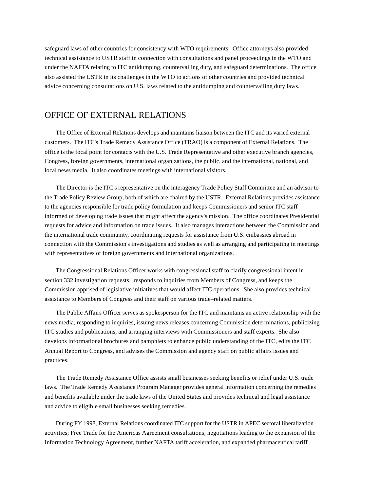safeguard laws of other countries for consistency with WTO requirements. Office attorneys also provided technical assistance to USTR staff in connection with consultations and panel proceedings in the WTO and under the NAFTA relating to ITC antidumping, countervailing duty, and safeguard determinations. The office also assisted the USTR in its challenges in the WTO to actions of other countries and provided technical advice concerning consultations on U.S. laws related to the antidumping and countervailing duty laws.

## OFFICE OF EXTERNAL RELATIONS

The Office of External Relations develops and maintains liaison between the ITC and its varied external customers. The ITC's Trade Remedy Assistance Office (TRAO) is a component of External Relations. The office is the focal point for contacts with the U.S. Trade Representative and other executive branch agencies, Congress, foreign governments, international organizations, the public, and the international, national, and local news media. It also coordinates meetings with international visitors.

The Director is the ITC's representative on the interagency Trade Policy Staff Committee and an advisor to the Trade Policy Review Group, both of which are chaired by the USTR. External Relations provides assistance to the agencies responsible for trade policy formulation and keeps Commissioners and senior ITC staff informed of developing trade issues that might affect the agency's mission. The office coordinates Presidential requests for advice and information on trade issues. It also manages interactions between the Commission and the international trade community, coordinating requests for assistance from U.S. embassies abroad in connection with the Commission's investigations and studies as well as arranging and participating in meetings with representatives of foreign governments and international organizations.

The Congressional Relations Officer works with congressional staff to clarify congressional intent in section 332 investigation requests, responds to inquiries from Members of Congress, and keeps the Commission apprised of legislative initiatives that would affect ITC operations. She also provides technical assistance to Members of Congress and their staff on various trade–related matters.

The Public Affairs Officer serves as spokesperson for the ITC and maintains an active relationship with the news media, responding to inquiries, issuing news releases concerning Commission determinations, publicizing ITC studies and publications, and arranging interviews with Commissioners and staff experts. She also develops informational brochures and pamphlets to enhance public understanding of the ITC, edits the ITC Annual Report to Congress, and advises the Commission and agency staff on public affairs issues and practices.

The Trade Remedy Assistance Office assists small businesses seeking benefits or relief under U.S. trade laws. The Trade Remedy Assistance Program Manager provides general information concerning the remedies and benefits available under the trade laws of the United States and provides technical and legal assistance and advice to eligible small businesses seeking remedies.

During FY 1998, External Relations coordinated ITC support for the USTR in APEC sectoral liberalization activities; Free Trade for the Americas Agreement consultations; negotiations leading to the expansion of the Information Technology Agreement, further NAFTA tariff acceleration, and expanded pharmaceutical tariff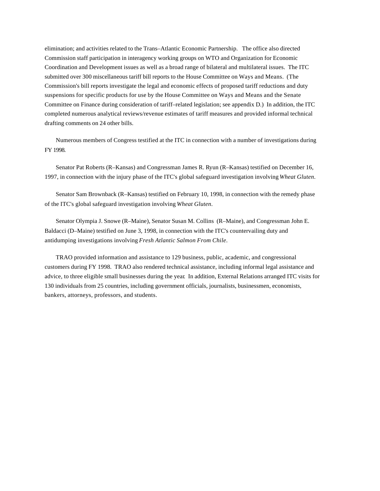elimination; and activities related to the Trans–Atlantic Economic Partnership. The office also directed Commission staff participation in interagency working groups on WTO and Organization for Economic Coordination and Development issues as well as a broad range of bilateral and multilateral issues. The ITC submitted over 300 miscellaneous tariff bill reports to the House Committee on Ways and Means. (The Commission's bill reports investigate the legal and economic effects of proposed tariff reductions and duty suspensions for specific products for use by the House Committee on Ways and Means and the Senate Committee on Finance during consideration of tariff–related legislation; see appendix D.) In addition, the ITC completed numerous analytical reviews/revenue estimates of tariff measures and provided informal technical drafting comments on 24 other bills.

Numerous members of Congress testified at the ITC in connection with a number of investigations during FY 1998.

Senator Pat Roberts (R–Kansas) and Congressman James R. Ryun (R–Kansas) testified on December 16, 1997, in connection with the injury phase of the ITC's global safeguard investigation involving *Wheat Gluten*.

Senator Sam Brownback (R–Kansas) testified on February 10, 1998, in connection with the remedy phase of the ITC's global safeguard investigation involving *Wheat Gluten*.

Senator Olympia J. Snowe (R–Maine), Senator Susan M. Collins (R–Maine), and Congressman John E. Baldacci (D–Maine) testified on June 3, 1998, in connection with the ITC's countervailing duty and antidumping investigations involving *Fresh Atlantic Salmon From Chile*.

TRAO provided information and assistance to 129 business, public, academic, and congressional customers during FY 1998. TRAO also rendered technical assistance, including informal legal assistance and advice, to three eligible small businesses during the year. In addition, External Relations arranged ITC visits for 130 individuals from 25 countries, including government officials, journalists, businessmen, economists, bankers, attorneys, professors, and students.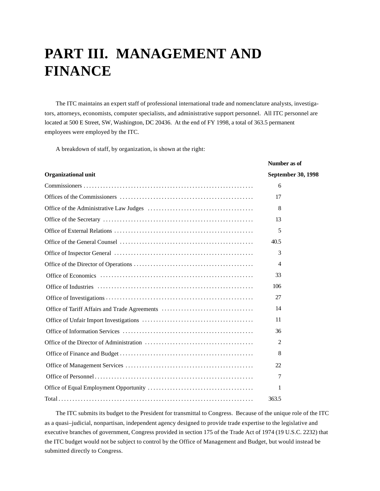## **PART III. MANAGEMENT AND FINANCE**

The ITC maintains an expert staff of professional international trade and nomenclature analysts, investigators, attorneys, economists, computer specialists, and administrative support personnel. All ITC personnel are located at 500 E Street, SW, Washington, DC 20436. At the end of FY 1998, a total of 363.5 permanent employees were employed by the ITC.

A breakdown of staff, by organization, is shown at the right:

|                                               | Number as of       |
|-----------------------------------------------|--------------------|
| <b>Organizational unit</b>                    | September 30, 1998 |
|                                               | 6                  |
|                                               | 17                 |
|                                               | 8                  |
|                                               | 13                 |
|                                               | 5                  |
|                                               | 40.5               |
|                                               | 3                  |
|                                               | 4                  |
|                                               | 33                 |
|                                               | 106                |
|                                               | 27                 |
| Office of Tariff Affairs and Trade Agreements | 14                 |
|                                               | 11                 |
|                                               | 36                 |
|                                               | 2                  |
|                                               | 8                  |
|                                               | 22                 |
|                                               | 7                  |
|                                               | 1                  |
|                                               | 363.5              |

The ITC submits its budget to the President for transmittal to Congress. Because of the unique role of the ITC as a quasi–judicial, nonpartisan, independent agency designed to provide trade expertise to the legislative and executive branches of government, Congress provided in section 175 of the Trade Act of 1974 (19 U.S.C. 2232) that the ITC budget would not be subject to control by the Office of Management and Budget, but would instead be submitted directly to Congress.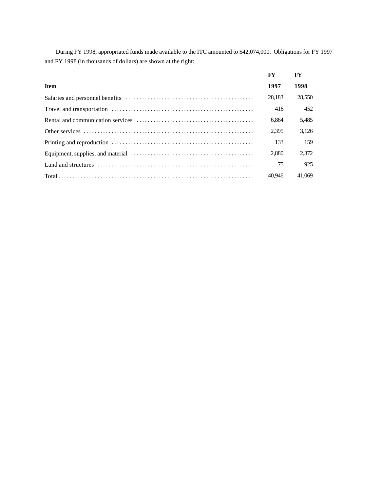During FY 1998, appropriated funds made available to the ITC amounted to \$42,074,000. Obligations for FY 1997 and FY 1998 (in thousands of dollars) are shown at the right:

|                                                                                                                                         | FY     | FY     |
|-----------------------------------------------------------------------------------------------------------------------------------------|--------|--------|
| <b>Item</b>                                                                                                                             | 1997   | 1998   |
|                                                                                                                                         | 28,183 | 28,550 |
|                                                                                                                                         | 416    | 452    |
|                                                                                                                                         | 6.864  | 5,485  |
|                                                                                                                                         | 2.395  | 3,126  |
|                                                                                                                                         | 133    | 159    |
|                                                                                                                                         | 2.880  | 2.372  |
| Land and structures $\dots \dots \dots \dots \dots \dots \dots \dots \dots \dots \dots \dots \dots \dots \dots \dots \dots \dots \dots$ | 75     | 925    |
|                                                                                                                                         | 40.946 | 41.069 |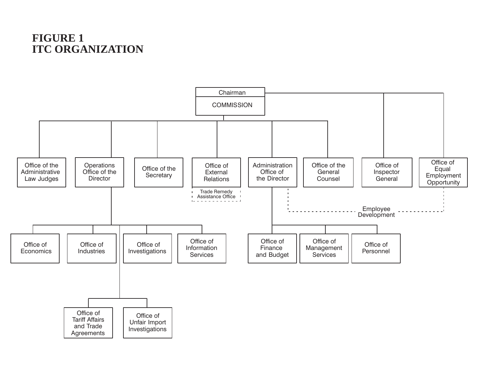## **FIGURE 1 ITC ORGANIZATION**

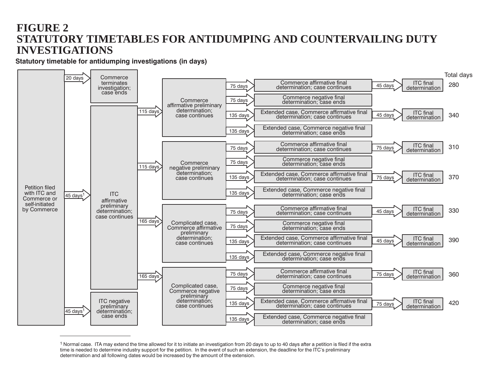# **FIGURE 2** STATUTORY TIMETABLES FOR ANTIDUMPING AND COUNTERVAILING DUTY **INVESTIGATIONS**

Statutory timetable for antidumping investigations (in days)



<sup>&</sup>lt;sup>1</sup> Normal case. ITA may extend the time allowed for it to initiate an investigation from 20 days to up to 40 days after a petition is filed if the extra time is needed to determine industry support for the petition. In the event of such an extension, the deadline for the ITC's preliminary determination and all following dates would be increased by the amount of the extension.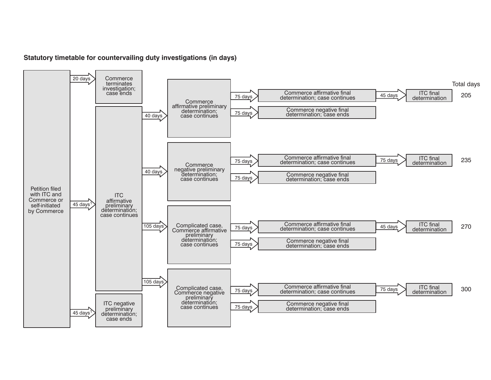### Statutory timetable for countervailing duty investigations (in days)

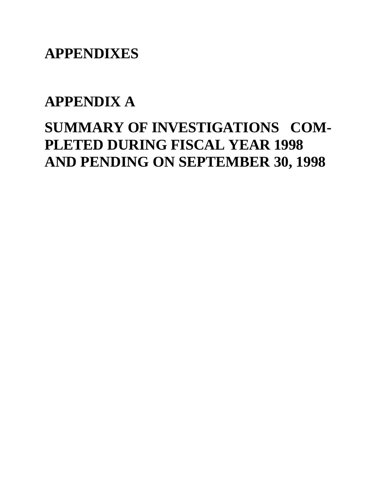**APPENDIXES**

# **APPENDIX A**

# **SUMMARY OF INVESTIGATIONS COM-PLETED DURING FISCAL YEAR 1998 AND PENDING ON SEPTEMBER 30, 1998**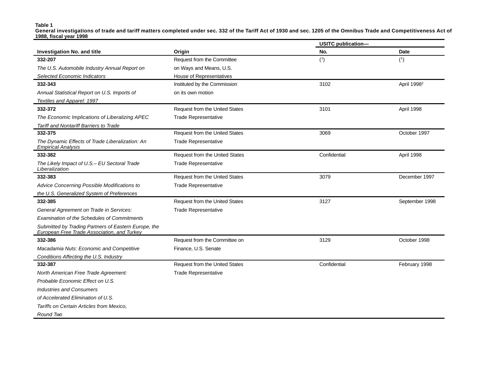**Table 1**

**General investigations of trade and tariff matters completed under sec. 332 of the Tariff Act of 1930 and sec. 1205 of the Omnibus Trade and Competitiveness Act of 1988, fiscal year 1998**

|                                                                                                     |                                       | <b>USITC publication-</b> |                         |
|-----------------------------------------------------------------------------------------------------|---------------------------------------|---------------------------|-------------------------|
| <b>Investigation No. and title</b>                                                                  | Origin                                | No.                       | Date                    |
| 332-207                                                                                             | Request from the Committee            | (1)                       | (1)                     |
| The U.S. Automobile Industry Annual Report on                                                       | on Ways and Means, U.S.               |                           |                         |
| <b>Selected Economic Indicators</b>                                                                 | <b>House of Representatives</b>       |                           |                         |
| 332-343                                                                                             | Instituted by the Commission          | 3102                      | April 1998 <sup>2</sup> |
| Annual Statistical Report on U.S. Imports of                                                        | on its own motion                     |                           |                         |
| Textiles and Apparel: 1997                                                                          |                                       |                           |                         |
| 332-372                                                                                             | Request from the United States        | 3101                      | April 1998              |
| The Economic Implications of Liberalizing APEC                                                      | <b>Trade Representative</b>           |                           |                         |
| Tariff and Nontariff Barriers to Trade                                                              |                                       |                           |                         |
| 332-375                                                                                             | <b>Request from the United States</b> | 3069                      | October 1997            |
| The Dynamic Effects of Trade Liberalization: An<br><b>Empirical Analysis</b>                        | <b>Trade Representative</b>           |                           |                         |
| 332-382                                                                                             | Request from the United States        | Confidential              | April 1998              |
| The Likely Impact of U.S.- EU Sectoral Trade<br>Liberalization                                      | <b>Trade Representative</b>           |                           |                         |
| 332-383                                                                                             | Request from the United States        | 3079                      | December 1997           |
| Advice Concerning Possible Modifications to                                                         | <b>Trade Representative</b>           |                           |                         |
| the U.S. Generalized System of Preferences                                                          |                                       |                           |                         |
| 332-385                                                                                             | Request from the United States        | 3127                      | September 1998          |
| General Agreement on Trade in Services:                                                             | <b>Trade Representative</b>           |                           |                         |
| <b>Examination of the Schedules of Commitments</b>                                                  |                                       |                           |                         |
| Submitted by Trading Partners of Eastern Europe, the<br>European Free Trade Association, and Turkey |                                       |                           |                         |
| 332-386                                                                                             | Request from the Committee on         | 3129                      | October 1998            |
| Macadamia Nuts: Economic and Competitive                                                            | Finance, U.S. Senate                  |                           |                         |
| Conditions Affecting the U.S. Industry                                                              |                                       |                           |                         |
| 332-387                                                                                             | Request from the United States        | Confidential              | February 1998           |
| North American Free Trade Agreement:                                                                | <b>Trade Representative</b>           |                           |                         |
| Probable Economic Effect on U.S.                                                                    |                                       |                           |                         |
| <b>Industries and Consumers</b>                                                                     |                                       |                           |                         |
| of Accelerated Elimination of U.S.                                                                  |                                       |                           |                         |
| Tariffs on Certain Articles from Mexico,                                                            |                                       |                           |                         |
| Round Two                                                                                           |                                       |                           |                         |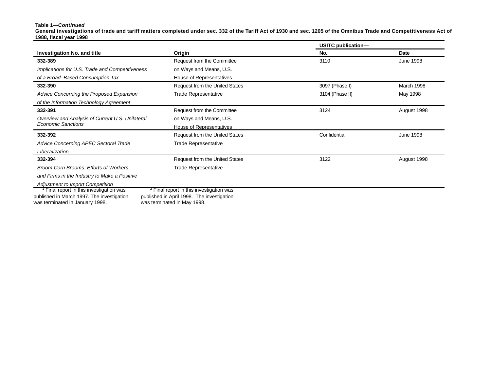#### **Table 1—***Continued*

**General investigations of trade and tariff matters completed under sec. 332 of the Tariff Act of 1930 and sec. 1205 of the Omnibus Trade and Competitiveness Act of 1988, fiscal year 1998**

|                                                                               |                                                                           | USITC publication- |                  |
|-------------------------------------------------------------------------------|---------------------------------------------------------------------------|--------------------|------------------|
| <b>Investigation No. and title</b>                                            | Origin                                                                    | No.                | Date             |
| 332-389                                                                       | Request from the Committee                                                | 3110               | <b>June 1998</b> |
| Implications for U.S. Trade and Competitiveness                               | on Ways and Means, U.S.                                                   |                    |                  |
| of a Broad-Based Consumption Tax                                              | House of Representatives                                                  |                    |                  |
| 332-390                                                                       | Request from the United States                                            | 3097 (Phase I)     | March 1998       |
| Advice Concerning the Proposed Expansion                                      | <b>Trade Representative</b>                                               | 3104 (Phase II)    | May 1998         |
| of the Information Technology Agreement                                       |                                                                           |                    |                  |
| 332-391                                                                       | Request from the Committee                                                | 3124               | August 1998      |
| Overview and Analysis of Current U.S. Unilateral                              | on Ways and Means, U.S.                                                   |                    |                  |
| <b>Economic Sanctions</b>                                                     | House of Representatives                                                  |                    |                  |
| 332-392                                                                       | Request from the United States                                            | Confidential       | <b>June 1998</b> |
| Advice Concerning APEC Sectoral Trade                                         | <b>Trade Representative</b>                                               |                    |                  |
| Liberalization                                                                |                                                                           |                    |                  |
| 332-394                                                                       | Request from the United States                                            | 3122               | August 1998      |
| <b>Broom Corn Brooms: Efforts of Workers</b>                                  | <b>Trade Representative</b>                                               |                    |                  |
| and Firms in the Industry to Make a Positive                                  |                                                                           |                    |                  |
| <b>Adjustment to Import Competition</b>                                       |                                                                           |                    |                  |
| <sup>1</sup> Final report in this investigation was                           | <sup>2</sup> Final report in this investigation was                       |                    |                  |
| published in March 1997. The investigation<br>was terminated in January 1998. | published in April 1998. The investigation<br>was terminated in May 1998. |                    |                  |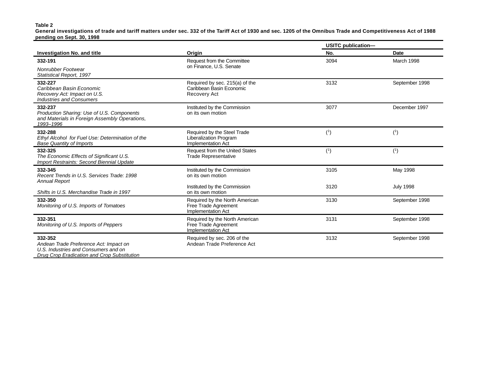#### **Table 2**

**General investigations of trade and tariff matters under sec. 332 of the Tariff Act of 1930 and sec. 1205 of the Omnibus Trade and Competitiveness Act of 1988 pending on Sept. 30, 1998**

|                                                                                                                                          |                                                                                     | <b>USITC publication-</b> |                  |
|------------------------------------------------------------------------------------------------------------------------------------------|-------------------------------------------------------------------------------------|---------------------------|------------------|
| Investigation No. and title                                                                                                              | Origin                                                                              | No.                       | Date             |
| 332-191                                                                                                                                  | Request from the Committee                                                          | 3094                      | March 1998       |
| Nonrubber Footwear<br>Statistical Report, 1997                                                                                           | on Finance, U.S. Senate                                                             |                           |                  |
| 332-227<br>Caribbean Basin Economic<br>Recovery Act: Impact on U.S.<br><b>Industries and Consumers</b>                                   | Required by sec. 215(a) of the<br>Caribbean Basin Economic<br>Recovery Act          | 3132                      | September 1998   |
| 332-237<br>Production Sharing: Use of U.S. Components<br>and Materials in Foreign Assembly Operations,<br>1993-1996                      | Instituted by the Commission<br>on its own motion                                   | 3077                      | December 1997    |
| 332-288<br>Ethyl Alcohol for Fuel Use: Determination of the<br><b>Base Quantity of Imports</b>                                           | Required by the Steel Trade<br>Liberalization Program<br><b>Implementation Act</b>  | (1)                       | (1)              |
| 332-325<br>The Economic Effects of Significant U.S.<br>Import Restraints: Second Biennial Update                                         | Request from the United States<br><b>Trade Representative</b>                       | (1)                       | (1)              |
| 332-345<br>Recent Trends in U.S. Services Trade: 1998<br><b>Annual Report</b>                                                            | Instituted by the Commission<br>on its own motion                                   | 3105                      | May 1998         |
| Shifts in U.S. Merchandise Trade in 1997                                                                                                 | Instituted by the Commission<br>on its own motion                                   | 3120                      | <b>July 1998</b> |
| 332-350<br>Monitoring of U.S. Imports of Tomatoes                                                                                        | Required by the North American<br>Free Trade Agreement<br><b>Implementation Act</b> | 3130                      | September 1998   |
| 332-351<br>Monitoring of U.S. Imports of Peppers                                                                                         | Required by the North American<br>Free Trade Agreement<br><b>Implementation Act</b> | 3131                      | September 1998   |
| 332-352<br>Andean Trade Preference Act: Impact on<br>U.S. Industries and Consumers and on<br>Drug Crop Eradication and Crop Substitution | Required by sec. 206 of the<br>Andean Trade Preference Act                          | 3132                      | September 1998   |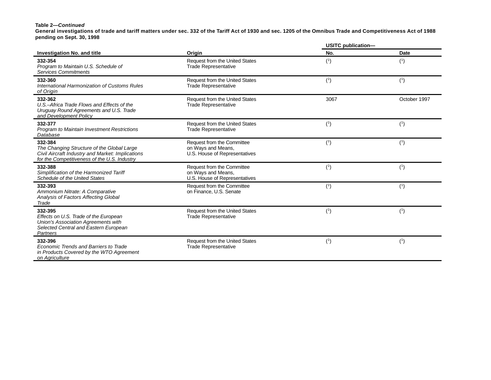#### **Table 2—***Continued*

**General investigations of trade and tariff matters under sec. 332 of the Tariff Act of 1930 and sec. 1205 of the Omnibus Trade and Competitiveness Act of 1988 pending on Sept. 30, 1998**

|                                                                                                                                                           |                                                                                          | USITC publication- |              |
|-----------------------------------------------------------------------------------------------------------------------------------------------------------|------------------------------------------------------------------------------------------|--------------------|--------------|
| <b>Investigation No. and title</b>                                                                                                                        | Origin                                                                                   | No.                | Date         |
| 332-354<br>Program to Maintain U.S. Schedule of<br><b>Services Commitments</b>                                                                            | <b>Request from the United States</b><br><b>Trade Representative</b>                     | (1)                | (1)          |
| 332-360<br>International Harmonization of Customs Rules<br>of Origin                                                                                      | <b>Request from the United States</b><br><b>Trade Representative</b>                     | (1)                | (1)          |
| 332-362<br>U.S.-Africa Trade Flows and Effects of the<br>Uruguay Round Agreements and U.S. Trade<br>and Development Policy                                | Request from the United States<br><b>Trade Representative</b>                            | 3067               | October 1997 |
| 332-377<br><b>Program to Maintain Investment Restrictions</b><br>Database                                                                                 | <b>Request from the United States</b><br><b>Trade Representative</b>                     | (1)                | (1)          |
| 332-384<br>The Changing Structure of the Global Large<br>Civil Aircraft Industry and Market: Implications<br>for the Competitiveness of the U.S. Industry | Request from the Committee<br>on Ways and Means,<br>U.S. House of Representatives        | (1)                | (1)          |
| 332-388<br>Simplification of the Harmonized Tariff<br><b>Schedule of the United States</b>                                                                | <b>Request from the Committee</b><br>on Ways and Means,<br>U.S. House of Representatives | (1)                | (1)          |
| 332-393<br>Ammonium Nitrate: A Comparative<br>Analysis of Factors Affecting Global<br>Trade                                                               | <b>Request from the Committee</b><br>on Finance, U.S. Senate                             | (1)                | (1)          |
| 332-395<br>Effects on U.S. Trade of the European<br>Union's Association Agreements with<br>Selected Central and Eastern European<br>Partners              | Request from the United States<br><b>Trade Representative</b>                            | (1)                | (1)          |
| 332-396<br>Economic Trends and Barriers to Trade<br>in Products Covered by the WTO Agreement<br>on Agriculture                                            | <b>Request from the United States</b><br><b>Trade Representative</b>                     | (1)                | (1)          |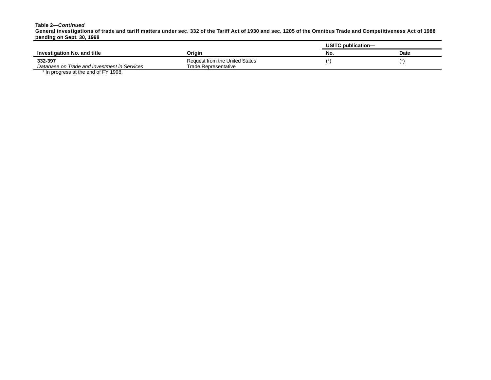#### **Table 2—***Continued*

**General investigations of trade and tariff matters under sec. 332 of the Tariff Act of 1930 and sec. 1205 of the Omnibus Trade and Competitiveness Act of 1988 pending on Sept. 30, 1998**

|                                                 |                                | USITC publication- |             |
|-------------------------------------------------|--------------------------------|--------------------|-------------|
| Investigation No. and title                     | Origin                         | No.                | <b>Date</b> |
| 332-397                                         | Request from the United States |                    |             |
| Database on Trade and Investment in Services    | Trade Representative           |                    |             |
| <sup>1</sup> In progress at the end of FY 1998. |                                |                    |             |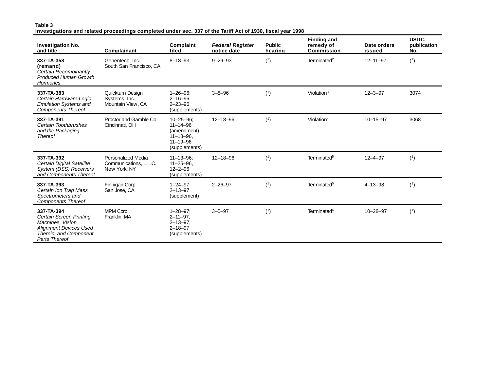#### **Table 3 Investigations and related proceedings completed under sec. 337 of the Tariff Act of 1930, fiscal year 1998**

| <b>Investigation No.</b><br>and title                                                                                                        | Complainant                                                         | Complaint<br>filed                                                                                     | <b>Federal Register</b><br>notice date | <b>Public</b><br>hearing | <b>Finding and</b><br>remedy of<br>Commission | Date orders<br>issued | <b>USITC</b><br>publication<br>No. |
|----------------------------------------------------------------------------------------------------------------------------------------------|---------------------------------------------------------------------|--------------------------------------------------------------------------------------------------------|----------------------------------------|--------------------------|-----------------------------------------------|-----------------------|------------------------------------|
| 337-TA-358<br>(remand)<br>Certain Recombinantly<br><b>Produced Human Growth</b><br>Hormones                                                  | Genentech. Inc.<br>South San Francisco, CA                          | $8 - 18 - 93$                                                                                          | $9 - 29 - 93$                          | (1)                      | Terminated <sup>2</sup>                       | $12 - 11 - 97$        | (1)                                |
| 337-TA-383<br>Certain Hardware Logic<br><b>Emulation Systems and</b><br><b>Components Thereof</b>                                            | Quickturn Desian<br>Systems, Inc.<br>Mountain View, CA              | $1 - 26 - 96$ :<br>$2 - 16 - 96$ .<br>$2 - 23 - 96$<br>(supplements)                                   | $3 - 8 - 96$                           | (1)                      | Violation $3$                                 | $12 - 3 - 97$         | 3074                               |
| 337-TA-391<br>Certain Toothbrushes<br>and the Packaging<br><b>Thereof</b>                                                                    | Proctor and Gamble Co.<br>Cincinnati, OH                            | $10 - 25 - 96$<br>$11 - 14 - 96$<br>(amendment)<br>$11 - 18 - 96$ .<br>$11 - 19 - 96$<br>(supplements) | $12 - 18 - 96$                         | (1)                      | Violation $4$                                 | $10 - 15 - 97$        | 3068                               |
| 337-TA-392<br>Certain Digital Satellite<br>System (DSS) Receivers<br>and Components Thereof                                                  | <b>Personalized Media</b><br>Communications, L.L.C.<br>New York, NY | $11 - 13 - 96$<br>$11 - 25 - 96$<br>$12 - 2 - 96$<br>(supplements)                                     | $12 - 18 - 96$                         | (1)                      | Terminated <sup>5</sup>                       | $12 - 4 - 97$         | (1)                                |
| 337-TA-393<br>Certain Ion Trap Mass<br>Spectrometers and<br><b>Components Thereof</b>                                                        | Finnigan Corp.<br>San Jose, CA                                      | $1 - 24 - 97$ ;<br>$2 - 13 - 97$<br>(supplement)                                                       | $2 - 26 - 97$                          | (1)                      | Terminated <sup>5</sup>                       | $4 - 13 - 98$         | (1)                                |
| 337-TA-394<br>Certain Screen Printing<br>Machines, Vision<br><b>Alignment Devices Used</b><br>Therein, and Component<br><b>Parts Thereof</b> | MPM Corp.<br>Franklin, MA                                           | $1 - 28 - 97$ ;<br>$2 - 11 - 97$ .<br>$2 - 13 - 97$<br>$2 - 18 - 97$<br>(supplements)                  | $3 - 5 - 97$                           | (1)                      | Terminated <sup>6</sup>                       | $10 - 28 - 97$        | (1)                                |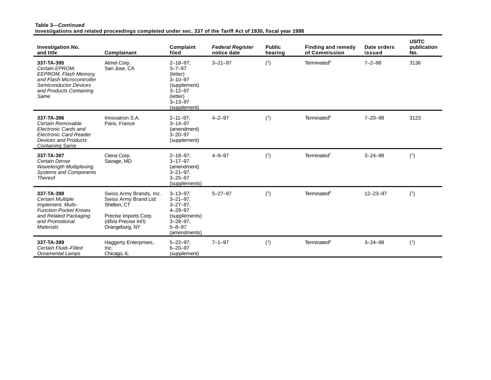#### **Table 3—***Continued* **Investigations and related proceedings completed under sec. 337 of the Tariff Act of 1930, fiscal year 1998**

| <b>Investigation No.</b><br>and title                                                                                                                 | Complainant                                                                                                                         | Complaint<br>filed                                                                                                                         | <b>Federal Register</b><br>notice date | <b>Public</b><br>hearing | <b>Finding and remedy</b><br>of Commission | Date orders<br>issued | <b>USITC</b><br>publication<br>No. |
|-------------------------------------------------------------------------------------------------------------------------------------------------------|-------------------------------------------------------------------------------------------------------------------------------------|--------------------------------------------------------------------------------------------------------------------------------------------|----------------------------------------|--------------------------|--------------------------------------------|-----------------------|------------------------------------|
| 337-TA-395<br>Certain EPROM.<br>EEPROM, Flash Memory,<br>and Flash Microcontroller<br><b>Semiconductor Devices</b><br>and Products Containing<br>Same | Atmel Corp.<br>San Jose, CA                                                                                                         | $2 - 18 - 97$ ;<br>$3 - 7 - 97$<br>(letter)<br>$3 - 10 - 97$<br>(supplement)<br>$3 - 12 - 97$<br>(letter)<br>$3 - 13 - 97$<br>(supplement) | $3 - 21 - 97$                          | (1)                      | Terminated <sup>5</sup>                    | $7 - 2 - 98$          | 3136                               |
| 337-TA-396<br>Certain Removable<br>Electronic Cards and<br><b>Electronic Card Reader</b><br><b>Devices and Products</b><br><b>Containing Same</b>     | Innovatron S.A.<br>Paris, France                                                                                                    | $2 - 11 - 97$<br>$3 - 14 - 97$<br>(amendment)<br>$3 - 20 - 97$<br>(supplement)                                                             | $4 - 2 - 97$                           | (1)                      | Terminated <sup>5</sup>                    | $7 - 20 - 98$         | 3123                               |
| 337-TA-397<br>Certain Dense<br><b>Wavelength Multiplexing</b><br><b>Systems and Components</b><br><b>Thereof</b>                                      | Ciena Corp.<br>Savage, MD                                                                                                           | $2 - 18 - 97$ :<br>$3 - 17 - 97$<br>(amendment)<br>$3 - 21 - 97$ .<br>$3 - 25 - 97$<br>(supplements)                                       | $4 - 9 - 97$                           | (1)                      | Terminated <sup>7</sup>                    | $3 - 24 - 98$         | (1)                                |
| 337-TA-398<br>Certain Multiple<br>Implement, Multi-<br><b>Function Pocket Knives</b><br>and Related Packaging<br>and Promotional<br>Materials         | Swiss Army Brands, Inc.<br>Swiss Army Brand Ltd.<br>Shelton, CT<br>Precise Imports Corp.<br>(d/b/a Precise Int'l)<br>Orangeburg, NY | $3 - 13 - 97$ :<br>$3 - 21 - 97$ .<br>$3 - 27 - 97$ .<br>$4 - 29 - 97$<br>(supplements)<br>$3 - 28 - 97$ .<br>$5 - 8 - 97$<br>(amendments) | $5 - 27 - 97$                          | (1)                      | Terminated <sup>8</sup>                    | $12 - 23 - 97$        | (1)                                |
| 337-TA-399<br>Certain Fluid-Filled<br><b>Ornamental Lamps</b>                                                                                         | Haggerty Enterprises,<br>Inc.<br>Chicago, IL                                                                                        | $5 - 22 - 97$ :<br>$6 - 20 - 97$<br>(supplement)                                                                                           | $7 - 1 - 97$                           | (1)                      | Terminated <sup>9</sup>                    | $3 - 24 - 98$         | (1)                                |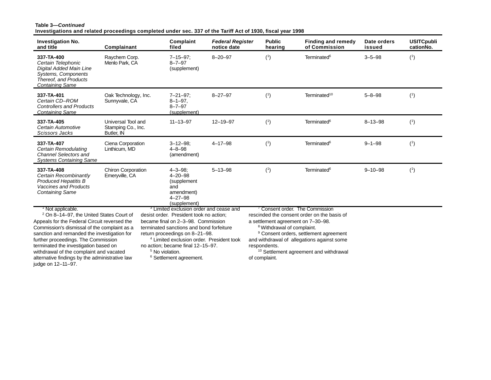#### **Table 3—***Continued* **Investigations and related proceedings completed under sec. 337 of the Tariff Act of 1930, fiscal year 1998**

| <b>Investigation No.</b><br>and title                                                                                                                                                                                                                                                                                                                                                                                                 | Complainant                                            | Complaint<br>filed                                                                                                                                                                                                                                                                                                                                                                 | <b>Federal Register</b><br>notice date | <b>Public</b><br>hearing                                                                                     | <b>Finding and remedy</b><br>of Commission                                                                                                                                                                                             | Date orders<br>issued | <b>USITCpubli</b><br>cationNo. |
|---------------------------------------------------------------------------------------------------------------------------------------------------------------------------------------------------------------------------------------------------------------------------------------------------------------------------------------------------------------------------------------------------------------------------------------|--------------------------------------------------------|------------------------------------------------------------------------------------------------------------------------------------------------------------------------------------------------------------------------------------------------------------------------------------------------------------------------------------------------------------------------------------|----------------------------------------|--------------------------------------------------------------------------------------------------------------|----------------------------------------------------------------------------------------------------------------------------------------------------------------------------------------------------------------------------------------|-----------------------|--------------------------------|
| 337-TA-400<br>Certain Telephonic<br>Digital Added Main Line<br>Systems, Components<br>Thereof, and Products<br><b>Containing Same</b>                                                                                                                                                                                                                                                                                                 | Raychem Corp.<br>Menlo Park, CA                        | $7 - 15 - 97$ ;<br>$8 - 7 - 97$<br>(supplement)                                                                                                                                                                                                                                                                                                                                    | $8 - 20 - 97$                          | (1)                                                                                                          | Terminated <sup>6</sup>                                                                                                                                                                                                                | $3 - 5 - 98$          | (1)                            |
| 337-TA-401<br>Certain CD-ROM<br><b>Controllers and Products</b><br><b>Containing Same</b>                                                                                                                                                                                                                                                                                                                                             | Oak Technology, Inc.<br>Sunnyvale, CA                  | $7 - 21 - 97$ :<br>$8 - 1 - 97$ ,<br>$8 - 7 - 97$<br>(supplement)                                                                                                                                                                                                                                                                                                                  | $8 - 27 - 97$                          | (1)                                                                                                          | Terminated <sup>10</sup>                                                                                                                                                                                                               | $5 - 8 - 98$          | (1)                            |
| 337-TA-405<br>Certain Automotive<br>Scissors Jacks                                                                                                                                                                                                                                                                                                                                                                                    | Universal Tool and<br>Stamping Co., Inc.<br>Butler, IN | $11 - 13 - 97$                                                                                                                                                                                                                                                                                                                                                                     | $12 - 19 - 97$                         | (1)                                                                                                          | Terminated <sup>6</sup>                                                                                                                                                                                                                | $8 - 13 - 98$         | (1)                            |
| 337-TA-407<br>Certain Remodulating<br>Channel Selectors and<br><b>Systems Containing Same</b>                                                                                                                                                                                                                                                                                                                                         | Ciena Corporation<br>Linthicum, MD                     | $3 - 12 - 98$ :<br>$4 - 8 - 98$<br>(amendment)                                                                                                                                                                                                                                                                                                                                     | $4 - 17 - 98$                          | (1)                                                                                                          | Terminated <sup>6</sup>                                                                                                                                                                                                                | $9 - 1 - 98$          | (1)                            |
| 337-TA-408<br>Certain Recombinantly<br><b>Produced Hepatitis B</b><br><b>Vaccines and Products</b><br><b>Containing Same</b>                                                                                                                                                                                                                                                                                                          | <b>Chiron Corporation</b><br>Emeryville, CA            | $4 - 3 - 98$ ;<br>$4 - 20 - 98$<br>(supplement<br>and<br>amendment)<br>$4 - 27 - 98$<br>(supplement)                                                                                                                                                                                                                                                                               | $5 - 13 - 98$                          | (1)                                                                                                          | Terminated <sup>6</sup>                                                                                                                                                                                                                | $9 - 10 - 98$         | (1)                            |
| <sup>1</sup> Not applicable.<br><sup>2</sup> On 8-14-97, the United States Court of<br>Appeals for the Federal Circuit reversed the<br>Commission's dismissal of the complaint as a<br>sanction and remanded the investigation for<br>further proceedings. The Commission<br>terminated the investigation based on<br>withdrawal of the complaint and vacated<br>alternative findings by the administrative law<br>judge on 12-11-97. |                                                        | <sup>3</sup> Limited exclusion order and cease and<br>desist order. President took no action;<br>became final on 2-3-98. Commission<br>terminated sanctions and bond forfeiture<br>return proceedings on 8-21-98.<br><sup>4</sup> Limited exclusion order. President took<br>no action; became final 12-15-97.<br><sup>5</sup> No violation.<br><sup>6</sup> Settlement agreement. |                                        | a settlement agreement on 7-30-98.<br><sup>8</sup> Withdrawal of complaint.<br>respondents.<br>of complaint. | ' Consent order. The Commission<br>rescinded the consent order on the basis of<br><sup>9</sup> Consent orders, settlement agreement<br>and withdrawal of allegations against some<br><sup>10</sup> Settlement agreement and withdrawal |                       |                                |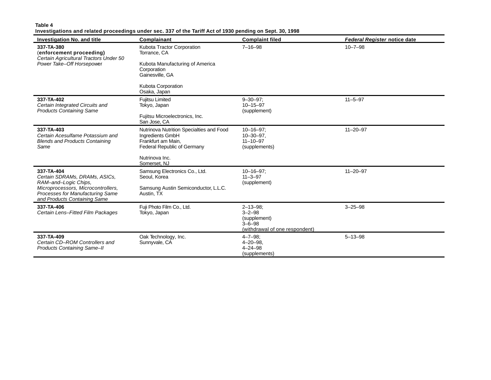#### **Table 4**

#### **Investigations and related proceedings under sec. 337 of the Tariff Act of 1930 pending on Sept. 30, 1998**

| <b>Investigation No. and title</b>                                                                                                                                            | <b>Complainant</b>                                                                                                                    | <b>Complaint filed</b>                                                                          | <b>Federal Register notice date</b> |
|-------------------------------------------------------------------------------------------------------------------------------------------------------------------------------|---------------------------------------------------------------------------------------------------------------------------------------|-------------------------------------------------------------------------------------------------|-------------------------------------|
| 337-TA-380<br>(enforcement proceeding)<br>Certain Agricultural Tractors Under 50<br>Power Take-Off Horsepower                                                                 | Kubota Tractor Corporation<br>Torrance, CA<br>Kubota Manufacturing of America<br>Corporation<br>Gainesville, GA<br>Kubota Corporation | $7 - 16 - 98$                                                                                   | $10 - 7 - 98$                       |
|                                                                                                                                                                               | Osaka, Japan                                                                                                                          |                                                                                                 |                                     |
| 337-TA-402<br>Certain Integrated Circuits and<br><b>Products Containing Same</b>                                                                                              | Fujitsu Limited<br>Tokyo, Japan                                                                                                       | $9 - 30 - 97$<br>$10 - 15 - 97$<br>(supplement)                                                 | $11 - 5 - 97$                       |
|                                                                                                                                                                               | Fujitsu Microelectronics, Inc.<br>San Jose, CA                                                                                        |                                                                                                 |                                     |
| 337-TA-403<br>Certain Acesulfame Potassium and<br><b>Blends and Products Containing</b><br>Same                                                                               | Nutrinova Nutrition Specialties and Food<br>Ingredients GmbH<br>Frankfurt am Main.<br>Federal Republic of Germany<br>Nutrinova Inc.   | $10 - 16 - 97$ ;<br>$10 - 30 - 97$ .<br>$11 - 10 - 97$<br>(supplements)                         | $11 - 20 - 97$                      |
|                                                                                                                                                                               | Somerset. NJ                                                                                                                          |                                                                                                 |                                     |
| 337-TA-404<br>Certain SDRAMs, DRAMs, ASICs,<br>RAM-and-Logic Chips,<br>Microprocessors, Microcontrollers,<br>Processes for Manufacturing Same<br>and Products Containing Same | Samsung Electronics Co., Ltd.<br>Seoul, Korea<br>Samsung Austin Semiconductor, L.L.C.<br>Austin, TX                                   | $10 - 16 - 97$ ;<br>$11 - 3 - 97$<br>(supplement)                                               | $11 - 20 - 97$                      |
| 337-TA-406<br>Certain Lens-Fitted Film Packages                                                                                                                               | Fuji Photo Film Co., Ltd.<br>Tokyo, Japan                                                                                             | $2 - 13 - 98$<br>$3 - 2 - 98$<br>(supplement)<br>$3 - 6 - 98$<br>(withdrawal of one respondent) | $3 - 25 - 98$                       |
| 337-TA-409<br>Certain CD-ROM Controllers and<br><b>Products Containing Same-II</b>                                                                                            | Oak Technology, Inc.<br>Sunnyvale, CA                                                                                                 | $4 - 7 - 98$ ;<br>$4 - 20 - 98$ .<br>$4 - 24 - 98$<br>(supplements)                             | $5 - 13 - 98$                       |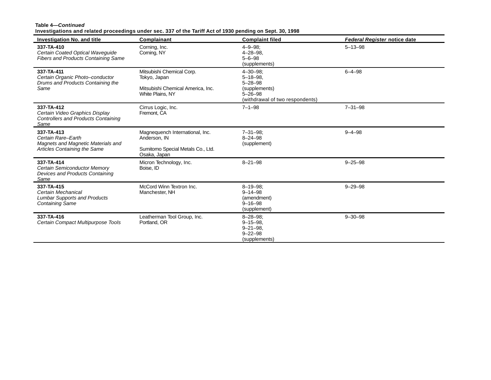#### **Table 4—***Continued*

**Investigations and related proceedings under sec. 337 of the Tariff Act of 1930 pending on Sept. 30, 1998**

| <b>Investigation No. and title</b>                                                                     | Complainant                                                                                          | <b>Complaint filed</b>                                                                                                   | <b>Federal Register notice date</b> |
|--------------------------------------------------------------------------------------------------------|------------------------------------------------------------------------------------------------------|--------------------------------------------------------------------------------------------------------------------------|-------------------------------------|
| 337-TA-410<br>Certain Coated Optical Waveguide<br><b>Fibers and Products Containing Same</b>           | Corning, Inc.<br>Corning, NY                                                                         | $4 - 9 - 98$ :<br>$4 - 28 - 98$ .<br>$5 - 6 - 98$<br>(supplements)                                                       | $5 - 13 - 98$                       |
| 337-TA-411<br>Certain Organic Photo-conductor<br>Drums and Products Containing the<br>Same             | Mitsubishi Chemical Corp.<br>Tokyo, Japan<br>Mitsubishi Chemical America, Inc.<br>White Plains, NY   | $4 - 30 - 98$ :<br>$5 - 18 - 98$ .<br>$5 - 28 - 98$<br>(supplements)<br>$5 - 26 - 98$<br>(withdrawal of two respondents) | $6 - 4 - 98$                        |
| 337-TA-412<br>Certain Video Graphics Display<br><b>Controllers and Products Containing</b><br>Same     | Cirrus Logic, Inc.<br>Fremont, CA                                                                    | $7 - 1 - 98$                                                                                                             | $7 - 31 - 98$                       |
| 337-TA-413<br>Certain Rare-Earth<br>Magnets and Magnetic Materials and<br>Articles Containing the Same | Magnequench International, Inc.<br>Anderson, IN<br>Sumitomo Special Metals Co., Ltd.<br>Osaka, Japan | $7 - 31 - 98$ :<br>$8 - 24 - 98$<br>(supplement)                                                                         | $9 - 4 - 98$                        |
| 337-TA-414<br>Certain Semiconductor Memory<br>Devices and Products Containing<br>Same                  | Micron Technology, Inc.<br>Boise, ID                                                                 | $8 - 21 - 98$                                                                                                            | $9 - 25 - 98$                       |
| 337-TA-415<br>Certain Mechanical<br><b>Lumbar Supports and Products</b><br><b>Containing Same</b>      | McCord Winn Textron Inc.<br>Manchester, NH                                                           | $8 - 19 - 98$ :<br>$9 - 14 - 98$<br>(amendment)<br>$9 - 16 - 98$<br>(supplement)                                         | $9 - 29 - 98$                       |
| 337-TA-416<br>Certain Compact Multipurpose Tools                                                       | Leatherman Tool Group, Inc.<br>Portland, OR                                                          | $8 - 28 - 98$ :<br>$9 - 15 - 98$ .<br>$9 - 21 - 98$ .<br>$9 - 22 - 98$<br>(supplements)                                  | $9 - 30 - 98$                       |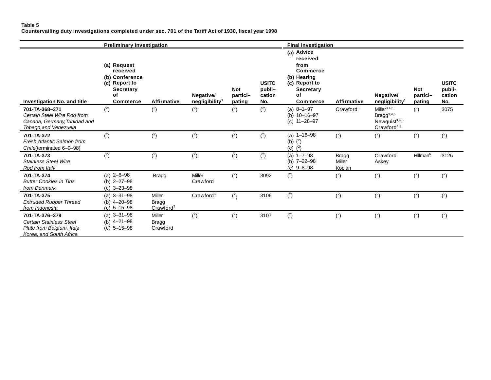#### **Table 5 Countervailing duty investigations completed under sec. 701 of the Tariff Act of 1930, fiscal year 1998**

|                                                                                                           | <b>Preliminary investigation</b>                                                                        |                                                        |                                         | <b>Final investigation</b>       |                                         |                                                                                                                                |                                         |                                                                                            |                                  |                                         |
|-----------------------------------------------------------------------------------------------------------|---------------------------------------------------------------------------------------------------------|--------------------------------------------------------|-----------------------------------------|----------------------------------|-----------------------------------------|--------------------------------------------------------------------------------------------------------------------------------|-----------------------------------------|--------------------------------------------------------------------------------------------|----------------------------------|-----------------------------------------|
| Investigation No. and title                                                                               | (a) Request<br>received<br>(b) Conference<br>(c) Report to<br><b>Secretary</b><br>of<br><b>Commerce</b> | <b>Affirmative</b>                                     | Negative/<br>negligibility <sup>1</sup> | <b>Not</b><br>partici-<br>pating | <b>USITC</b><br>publi-<br>cation<br>No. | (a) Advice<br>received<br>from<br><b>Commerce</b><br>(b) Hearing<br>(c) Report to<br><b>Secretary</b><br>οf<br><b>Commerce</b> | <b>Affirmative</b>                      | Negative/<br>negligibility <sup>1</sup>                                                    | <b>Not</b><br>partici-<br>pating | <b>USITC</b><br>publi-<br>cation<br>No. |
| 701-TA-368-371<br>Certain Steel Wire Rod from<br>Canada, Germany, Trinidad and<br>Tobago, and Venezuela   | (2)                                                                                                     | (2)                                                    | (2)                                     | (2)                              | (2)                                     | (a) $8-1-97$<br>(b) $10 - 16 - 97$<br>$(c)$ 11-28-97                                                                           | Crawford <sup>3</sup>                   | Miller $^{3,4,5}$<br>Bragg <sup>3,4,5</sup><br>Newquist $3,4,5$<br>Crawford <sup>4,5</sup> | (2)                              | 3075                                    |
| 701-TA-372<br>Fresh Atlantic Salmon from<br>Chile(terminated 6-9-98)                                      | (2)                                                                                                     | (2)                                                    | (2)                                     | (2)                              | (2)                                     | (a) $1 - 16 - 98$<br>(b) $(^{2})$<br>(c) $(^{2})$                                                                              | (2)                                     | (2)                                                                                        | (2)                              | (2)                                     |
| 701-TA-373<br><b>Stainless Steel Wire</b><br>Rod from Italy                                               | (2)                                                                                                     | (2)                                                    | (2)                                     | (2)                              | (2)                                     | (a) $1 - 7 - 98$<br>(b) $7 - 22 - 98$<br>$(c)$ 9-8-98                                                                          | <b>Bragg</b><br><b>Miller</b><br>Koplan | Crawford<br>Askey                                                                          | Hillman <sup>6</sup>             | 3126                                    |
| 701-TA-374<br><b>Butter Cookies in Tins</b><br>from Denmark                                               | (a) $2-6-98$<br>(b) $2 - 27 - 98$<br>$(c)$ 3-23-98                                                      | <b>Bragg</b>                                           | Miller<br>Crawford                      | (2)                              | 3092                                    | (2)                                                                                                                            | (2)                                     | (2)                                                                                        | (2)                              | (2)                                     |
| 701-TA-375<br><b>Extruded Rubber Thread</b><br>from Indonesia                                             | $(a)$ 3-31-98<br>(b) $4 - 20 - 98$<br>$(c)$ 5-15-98                                                     | <b>Miller</b><br><b>Bragg</b><br>Crawford <sup>7</sup> | Crawford <sup>8</sup>                   | $(^{2}$                          | 3106                                    | (2)                                                                                                                            | (2)                                     | (2)                                                                                        | (2)                              | (2)                                     |
| 701-TA-376-379<br><b>Certain Stainless Steel</b><br>Plate from Belgium, Italy,<br>Korea, and South Africa | (a) $3 - 31 - 98$<br>(b) $4 - 21 - 98$<br>$(c)$ 5-15-98                                                 | <b>Miller</b><br><b>Bragg</b><br>Crawford              | (2)                                     | (2)                              | 3107                                    | (2)                                                                                                                            | (2)                                     | (2)                                                                                        | (2)                              | (2)                                     |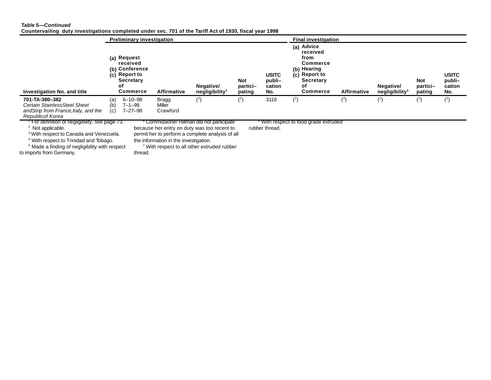#### **Table 5—***Continued*

**Countervailing duty investigations completed under sec. 701 of the Tariff Act of 1930, fiscal year 1998**

|                                                                                                                                                                                                                                                                                   |                   | <b>Preliminary investigation</b>                                                                 |                                       |                                                                                                                                                                                                       |                                  |                                         | <b>Final investigation</b>                                                                                              |                    |                                         |                                  |                                         |
|-----------------------------------------------------------------------------------------------------------------------------------------------------------------------------------------------------------------------------------------------------------------------------------|-------------------|--------------------------------------------------------------------------------------------------|---------------------------------------|-------------------------------------------------------------------------------------------------------------------------------------------------------------------------------------------------------|----------------------------------|-----------------------------------------|-------------------------------------------------------------------------------------------------------------------------|--------------------|-----------------------------------------|----------------------------------|-----------------------------------------|
| <b>Investigation No. and title</b>                                                                                                                                                                                                                                                |                   | (a) Request<br>received<br>(b) Conference<br>(c) Report to<br><b>Secretary</b><br>οf<br>Commerce | <b>Affirmative</b>                    | Negative/<br>negligibility <sup>1</sup>                                                                                                                                                               | <b>Not</b><br>partici-<br>pating | <b>USITC</b><br>publi-<br>cation<br>No. | (a) Advice<br>received<br>from<br><b>Commerce</b><br>(b) Hearing<br>(c) Report to<br><b>Secretary</b><br>οf<br>Commerce | <b>Affirmative</b> | Negative/<br>negligibility <sup>1</sup> | <b>Not</b><br>partici-<br>pating | <b>USITC</b><br>publi-<br>cation<br>No. |
| 701-TA-380-382<br>Certain StainlessSteel Sheet<br>and Strip from France, Italy, and the<br>Republicof Korea                                                                                                                                                                       | (a)<br>(b)<br>(c) | 6-10-98<br>$7 - 1 - 98$<br>$7 - 27 - 98$                                                         | Bragg<br>Miller<br>Crawford           | (2)                                                                                                                                                                                                   | $^{(2)}$                         | 3118                                    | (2)                                                                                                                     | $^{(2)}$           | (2)                                     | (2)                              | (2)                                     |
| For definition of negligibility, see page 73.<br><sup>2</sup> Not applicable.<br><sup>3</sup> With respect to Canada and Venezuela.<br><sup>4</sup> With respect to Trinidad and Tobago.<br><sup>5</sup> Made a finding of negligibility with respect<br>to imports from Germany. |                   | thread.                                                                                          | the information in the investigation. | Commissioner Hillman did not participate<br>because her entry on duty was too recent to<br>permit her to perform a complete analysis of all<br><sup>7</sup> With respect to all other extruded rubber |                                  | rubber thread.                          | • With respect to food grade extruded                                                                                   |                    |                                         |                                  |                                         |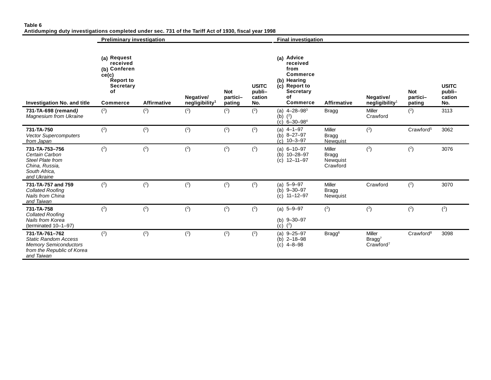|                                                                                                                           | <b>Preliminary investigation</b>                                                                    |             |                                         |                                  |                                         | <b>Final investigation</b>                                                                                                     |                                                       |                                              |                                  |                                         |
|---------------------------------------------------------------------------------------------------------------------------|-----------------------------------------------------------------------------------------------------|-------------|-----------------------------------------|----------------------------------|-----------------------------------------|--------------------------------------------------------------------------------------------------------------------------------|-------------------------------------------------------|----------------------------------------------|----------------------------------|-----------------------------------------|
| <b>Investigation No. and title</b>                                                                                        | (a) Request<br>received<br>(b) Conferen<br>ce(c)<br>Report to<br>Secretary<br>of<br><b>Commerce</b> | Affirmative | Negative/<br>negligibility <sup>1</sup> | <b>Not</b><br>partici-<br>pating | <b>USITC</b><br>publi-<br>cation<br>No. | (a) Advice<br>received<br>from<br><b>Commerce</b><br>(b) Hearing<br>(c) Report to<br><b>Secretary</b><br>of<br><b>Commerce</b> | <b>Affirmative</b>                                    | Negative/<br>negligibility <sup>1</sup>      | <b>Not</b><br>partici-<br>pating | <b>USITC</b><br>publi-<br>cation<br>No. |
| 731-TA-698 (remand)<br>Magnesium from Ukraine                                                                             | (2)                                                                                                 | (2)         | (2)                                     | (2)                              | (2)                                     | (a) $4 - 28 - 98^3$<br>(b) $(^{2})$<br>(c) $6 - 30 - 98^4$                                                                     | <b>Bragg</b>                                          | Miller<br>Crawford                           | (2)                              | 3113                                    |
| 731-TA-750<br><b>Vector Supercomputers</b><br>from Japan                                                                  | (2)                                                                                                 | (2)         | (2)                                     | (2)                              | (2)                                     | (a) $4-1-97$<br>(b) $8 - 27 - 97$<br>$(c)$ 10-3-97                                                                             | Miller<br><b>Bragg</b><br>Newquist                    | (2)                                          | Crawford <sup>5</sup>            | 3062                                    |
| 731-TA-753-756<br>Certain Carbon<br>Steel Plate from<br>China, Russia,<br>South Africa.<br>and Ukraine                    | (2)                                                                                                 | (2)         | (2)                                     | (2)                              | (2)                                     | $(a) 6 - 10 - 97$<br>$10 - 28 - 97$<br>(b)<br>$(c)$ 12-11-97                                                                   | <b>Miller</b><br><b>Bragg</b><br>Newquist<br>Crawford | (2)                                          | (2)                              | 3076                                    |
| 731-TA-757 and 759<br><b>Collated Roofing</b><br><b>Nails from China</b><br>and Taiwan                                    | (2)                                                                                                 | (2)         | (2)                                     | (2)                              | (2)                                     | $5 - 9 - 97$<br>(a)<br>$9 - 30 - 97$<br>(b)<br>$11 - 12 - 97$<br>(c)                                                           | <b>Miller</b><br><b>Bragg</b><br>Newquist             | Crawford                                     | (2)                              | 3070                                    |
| 731-TA-758<br><b>Collated Roofing</b><br>Nails from Korea<br>(terminated 10-1-97)                                         | (2)                                                                                                 | (2)         | (2)                                     | (2)                              | (2)                                     | (a) $5 - 9 - 97$<br>(b) $9 - 30 - 97$<br>$^{(2)}$<br>(c)                                                                       | (2)                                                   | (2)                                          | (2)                              | (2)                                     |
| 731-TA-761-762<br><b>Static Random Access</b><br><b>Memory Semiconductors</b><br>from the Republic of Korea<br>and Taiwan | (2)                                                                                                 | (2)         | (2)                                     | (2)                              | (2)                                     | (a) $9 - 25 - 97$<br>(b) $2 - 18 - 98$<br>$(c)$ 4-8-98                                                                         | Bragg <sup>6</sup>                                    | Miller<br>$Bragg^7$<br>Crawford <sup>7</sup> | Crawford <sup>8</sup>            | 3098                                    |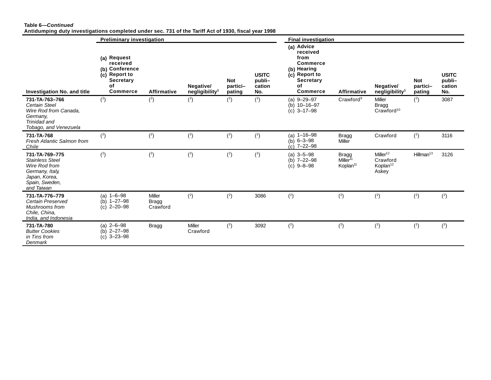#### **Table 6—***Continued* **Antidumping duty investigations completed under sec. 731 of the Tariff Act of 1930, fiscal year 1998**

|                                                                                                                               |                                                                                                         | <b>Final investigation</b>                |                                         |                                  |                                         |                                                                                                                                |                                                                           |                                                                   |                                  |                                         |
|-------------------------------------------------------------------------------------------------------------------------------|---------------------------------------------------------------------------------------------------------|-------------------------------------------|-----------------------------------------|----------------------------------|-----------------------------------------|--------------------------------------------------------------------------------------------------------------------------------|---------------------------------------------------------------------------|-------------------------------------------------------------------|----------------------------------|-----------------------------------------|
| <b>Investigation No. and title</b>                                                                                            | (a) Request<br>received<br>(b) Conference<br>(c) Report to<br><b>Secretary</b><br>of<br><b>Commerce</b> | <b>Affirmative</b>                        | Negative/<br>negligibility <sup>1</sup> | <b>Not</b><br>partici-<br>pating | <b>USITC</b><br>publi-<br>cation<br>No. | (a) Advice<br>received<br>from<br><b>Commerce</b><br>(b) Hearing<br>(c) Report to<br><b>Secretary</b><br>оf<br><b>Commerce</b> | <b>Affirmative</b>                                                        | Negative/<br>negligibility <sup>1</sup>                           | <b>Not</b><br>partici-<br>pating | <b>USITC</b><br>publi-<br>cation<br>No. |
| 731-TA-763-766<br>Certain Steel<br>Wire Rod from Canada,<br>Germany,<br>Trinidad and<br>Tobago, and Venezuela                 | (2)                                                                                                     | (2)                                       | (2)                                     | (2)                              | (2)                                     | (a) $9 - 29 - 97$<br>$(b)$ 10-16-97<br>$3 - 17 - 98$<br>(c)                                                                    | Crawford <sup>9</sup>                                                     | <b>Miller</b><br>Bragg<br>Crawford <sup>10</sup>                  | (2)                              | 3087                                    |
| 731-TA-768<br>Fresh Atlantic Salmon from<br>Chile                                                                             | (2)                                                                                                     | (2)                                       | (2)                                     | (2)                              | (2)                                     | (a) $1 - 16 - 98$<br>(b) $6 - 3 - 98$<br>$(c)$ 7-22-98                                                                         | <b>Bragg</b><br>Miller                                                    | Crawford                                                          | (2)                              | 3116                                    |
| 731-TA-769-775<br><b>Stainless Steel</b><br>Wire Rod from<br>Germany, Italy,<br>Japan, Korea,<br>Spain, Sweden,<br>and Taiwan | (2)                                                                                                     | (2)                                       | (2)                                     | (2)                              | (2)                                     | $(a)$ 3-5-98<br>(b) $7 - 22 - 98$<br>$(c)$ 9-8-98                                                                              | <b>Bragg</b><br>Miller <sup><math>11</math></sup><br>Koplan <sup>11</sup> | Miller <sup>12</sup><br>Crawford<br>Koplan <sup>12</sup><br>Askey | Hillman <sup>13</sup>            | 3126                                    |
| 731-TA-776-779<br>Certain Preserved<br>Mushrooms from<br>Chile, China,<br>India, and Indonesia                                | (a) $1-6-98$<br>$(b)$ 1-27-98<br>$(c)$ 2-20-98                                                          | <b>Miller</b><br><b>Bragg</b><br>Crawford | (2)                                     | (2)                              | 3086                                    | (2)                                                                                                                            | (2)                                                                       | (2)                                                               | (2)                              | (2)                                     |
| 731-TA-780<br><b>Butter Cookies</b><br>in Tins from<br>Denmark                                                                | (a) $2 - 6 - 98$<br>(b) $2 - 27 - 98$<br>$3 - 23 - 98$<br>(c)                                           | <b>Bragg</b>                              | Miller<br>Crawford                      | (2)                              | 3092                                    | (2)                                                                                                                            | (2)                                                                       | (2)                                                               | (2)                              | (2)                                     |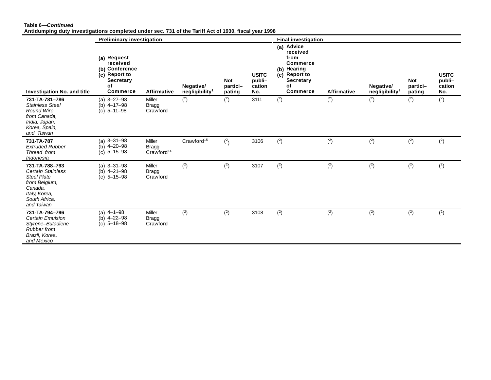#### **Table 6—***Continued* **Antidumping duty investigations completed under sec. 731 of the Tariff Act of 1930, fiscal year 1998**

|                                                                                                                                              | <b>Preliminary investigation</b>                                                                        |                                                  |                                         |                                  |                                         | <b>Final investigation</b>                                                                                                     |                    |                                         |                                  |                                         |
|----------------------------------------------------------------------------------------------------------------------------------------------|---------------------------------------------------------------------------------------------------------|--------------------------------------------------|-----------------------------------------|----------------------------------|-----------------------------------------|--------------------------------------------------------------------------------------------------------------------------------|--------------------|-----------------------------------------|----------------------------------|-----------------------------------------|
| <b>Investigation No. and title</b>                                                                                                           | (a) Request<br>received<br>(b) Conference<br>(c) Report to<br><b>Secretary</b><br>of<br><b>Commerce</b> | <b>Affirmative</b>                               | Negative/<br>negligibility <sup>1</sup> | <b>Not</b><br>partici-<br>pating | <b>USITC</b><br>publi-<br>cation<br>No. | (a) Advice<br>received<br>from<br><b>Commerce</b><br>(b) Hearing<br>(c) Report to<br><b>Secretary</b><br>οf<br><b>Commerce</b> | <b>Affirmative</b> | Negative/<br>negligibility <sup>1</sup> | <b>Not</b><br>partici-<br>pating | <b>USITC</b><br>publi-<br>cation<br>No. |
| 731-TA-781-786<br><b>Stainless Steel</b><br>Round Wire<br>from Canada.<br>India, Japan,<br>Korea, Spain,<br>and Taiwan                       | $(a)$ 3-27-98<br>(b) $4 - 17 - 98$<br>$(c)$ 5-11-98                                                     | Miller<br><b>Bragg</b><br>Crawford               | (2)                                     | (2)                              | 3111                                    | (2)                                                                                                                            | (2)                | (2)                                     | (2)                              | (2)                                     |
| 731-TA-787<br><b>Extruded Rubber</b><br>Thread from<br>Indonesia                                                                             | (a) $3 - 31 - 98$<br>(b) $4 - 20 - 98$<br>$5 - 15 - 98$<br>(c)                                          | Miller<br><b>Bragg</b><br>Crawford <sup>14</sup> | Crawford <sup>15</sup>                  | $\binom{2}{ }$                   | 3106                                    | (2)                                                                                                                            | (2)                | (2)                                     | (2)                              | (2)                                     |
| 731-TA-788-793<br><b>Certain Stainless</b><br><b>Steel Plate</b><br>from Belgium,<br>Canada,<br>Italy, Korea,<br>South Africa,<br>and Taiwan | $(a)$ 3-31-98<br>(b) $4 - 21 - 98$<br>$(c)$ 5-15-98                                                     | <b>Miller</b><br><b>Bragg</b><br>Crawford        | (2)                                     | (2)                              | 3107                                    | (2)                                                                                                                            | (2)                | (2)                                     | (2)                              | (2)                                     |
| 731-TA-794-796<br>Certain Emulsion<br>Styrene-Butadiene<br>Rubber from<br>Brazil, Korea,<br>and Mexico                                       | (a) $4-1-98$<br>(b) $4 - 22 - 98$<br>$(c)$ 5-18-98                                                      | Miller<br><b>Bragg</b><br>Crawford               | (2)                                     | (2)                              | 3108                                    | (2)                                                                                                                            | (2)                | (2)                                     | (2)                              | (2)                                     |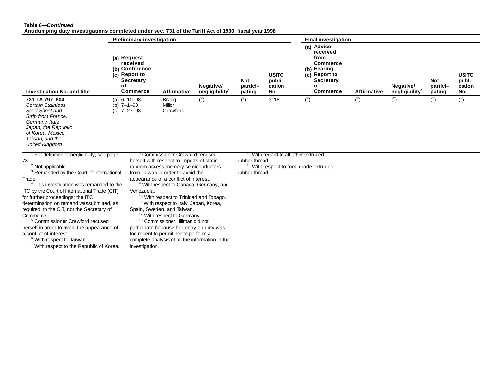#### **Table 6—***Continued*

**Antidumping duty investigations completed under sec. 731 of the Tariff Act of 1930, fiscal year 1998**

|                                                                                                                                                                                                                                                                                                                                                                                                                                                                                                                                                                                                                                          |    | <b>Preliminary investigation</b>                                                                  |                                                                                                                                                                                                                                                                                                                                                                                                                                                                                                                                                                                                                                              |                                         |                                  |                                                                                                      | <b>Final investigation</b>                                                                                                     |                    |                                         |                                  |                                         |
|------------------------------------------------------------------------------------------------------------------------------------------------------------------------------------------------------------------------------------------------------------------------------------------------------------------------------------------------------------------------------------------------------------------------------------------------------------------------------------------------------------------------------------------------------------------------------------------------------------------------------------------|----|---------------------------------------------------------------------------------------------------|----------------------------------------------------------------------------------------------------------------------------------------------------------------------------------------------------------------------------------------------------------------------------------------------------------------------------------------------------------------------------------------------------------------------------------------------------------------------------------------------------------------------------------------------------------------------------------------------------------------------------------------------|-----------------------------------------|----------------------------------|------------------------------------------------------------------------------------------------------|--------------------------------------------------------------------------------------------------------------------------------|--------------------|-----------------------------------------|----------------------------------|-----------------------------------------|
| Investigation No. and title                                                                                                                                                                                                                                                                                                                                                                                                                                                                                                                                                                                                              | οf | (a) Request<br>received<br>(b) Conference<br>(c) Report to<br><b>Secretary</b><br><b>Commerce</b> | <b>Affirmative</b>                                                                                                                                                                                                                                                                                                                                                                                                                                                                                                                                                                                                                           | Negative/<br>negligibility <sup>1</sup> | <b>Not</b><br>partici-<br>pating | <b>USITC</b><br>publi-<br>cation<br>No.                                                              | (a) Advice<br>received<br>from<br><b>Commerce</b><br>(b) Hearing<br>(c) Report to<br><b>Secretary</b><br>οf<br><b>Commerce</b> | <b>Affirmative</b> | Negative/<br>negligibility <sup>1</sup> | <b>Not</b><br>partici-<br>pating | <b>USITC</b><br>publi-<br>cation<br>No. |
| 731-TA-797-804<br><b>Certain Stainless</b><br><b>Steel Sheet and</b><br>Strip from France,<br>Germany, Italy,<br>Japan, the Republic<br>of Korea, Mexico,<br>Taiwan, and the<br><b>United Kingdom</b>                                                                                                                                                                                                                                                                                                                                                                                                                                    |    | $(a) 6 - 10 - 98$<br>(b) $7 - 1 - 98$<br>$(c)$ 7-27-98                                            | <b>Bragg</b><br>Miller<br>Crawford                                                                                                                                                                                                                                                                                                                                                                                                                                                                                                                                                                                                           | (2)                                     | (2)                              | 3118                                                                                                 | (2)                                                                                                                            | (2)                | (2)                                     | (2)                              | (2)                                     |
| <sup>1</sup> For definition of negligibility, see page<br>73.<br><sup>2</sup> Not applicable.<br><sup>3</sup> Remanded by the Court of International<br>Trade.<br><sup>4</sup> This investigation was remanded to the<br>ITC by the Court of International Trade (CIT)<br>for further proceedings; the ITC<br>determination on remand wassubmitted, as<br>required, to the CIT, not the Secretary of<br>Commerce.<br><sup>5</sup> Commissioner Crawford recused<br>herself in order to avoid the appearance of<br>a conflict of interest.<br><sup>6</sup> With respect to Taiwan.<br><sup>7</sup> With respect to the Republic of Korea. |    | Venezuela.<br>investigation.                                                                      | <sup>8</sup> Commissioner Crawford recused<br>herself with respect to imports of static<br>random access memory semiconductors<br>from Taiwan in order to avoid the<br>appearance of a conflict of interest.<br><sup>9</sup> With respect to Canada, Germany, and<br><sup>10</sup> With respect to Trinidad and Tobago.<br><sup>11</sup> With respect to Italy, Japan, Korea,<br>Spain, Sweden, and Taiwan.<br><sup>12</sup> With respect to Germany.<br><sup>13</sup> Commissioner Hillman did not<br>participate because her entry on duty was<br>too recent to permit her to perform a<br>complete analysis of all the information in the |                                         | rubber thread.<br>rubber thread. | <sup>14</sup> With regard to all other extruded<br><sup>15</sup> With respect to food grade extruded |                                                                                                                                |                    |                                         |                                  |                                         |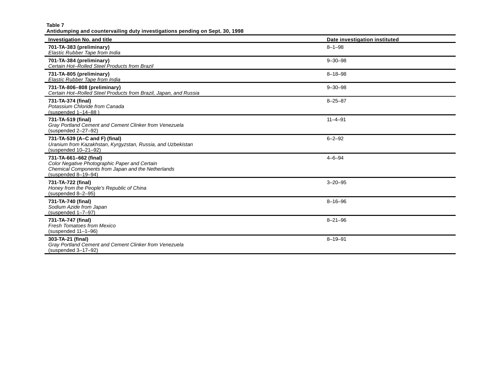**Antidumping and countervailing duty investigations pending on Sept. 30, 1998 Investigation No. and title Date investigation instituted 701-TA-383 (preliminary)** *Elastic Rubber Tape from India* 8–1–98 **701-TA-384 (preliminary)** *Certain Hot–Rolled Steel Products from Brazil* 9–30–98 **731-TA-805 (preliminary)** *Elastic Rubber Tape from India* 8–18–98 **731-TA-806–808 (preliminary)** *Certain Hot–Rolled Steel Products from Brazil, Japan, and Russia* 9–30–98 **731-TA-374 (final)** *Potassium Chloride from Canada* (suspended 1–14–88 ) 8–25–87 **731-TA-519 (final)** *Gray Portland Cement and Cement Clinker from Venezuela* (suspended 2–27–92) 11–4–91 **731-TA-539 (A–C and F) (final)** *Uranium from Kazakhstan, Kyrgyzstan, Russia, and Uzbekistan* (suspended 10–21–92) 6–2–92 **731-TA-661–662 (final)** *Color Negative Photographic Paper and Certain Chemical Components from Japan and the Netherlands* (suspended 8–19–94) 4–6–94 **731-TA-722 (final)**  *Honey from the People's Republic of China* (suspended 8–2–95) 3–20–95 **731-TA-740 (final)**  *Sodium Azide from Japan* (suspended 1–7–97) 8–16–96 **731-TA-747 (final)** *Fresh Tomatoes from Mexico* (suspended 11–1–96) 8–21–96 **303-TA-21 (final)** *Gray Portland Cement and Cement Clinker from Venezuela* (suspended 3–17–92) 8–19–91

**Table 7**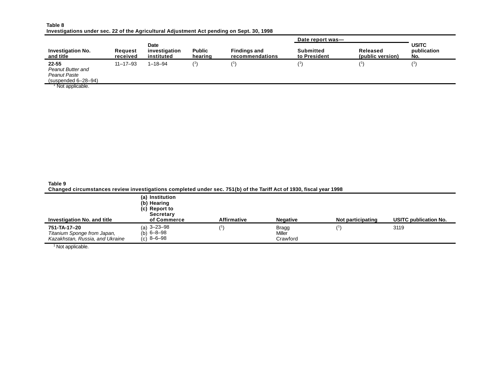| Table 8                                                                                   |  |  |  |
|-------------------------------------------------------------------------------------------|--|--|--|
| Investigations under sec. 22 of the Agricultural Adjustment Act pending on Sept. 30, 1998 |  |  |  |

|                                                                              |                            |                                            |                          |                                        | Date report was-                 |                              |                                    |
|------------------------------------------------------------------------------|----------------------------|--------------------------------------------|--------------------------|----------------------------------------|----------------------------------|------------------------------|------------------------------------|
| <b>Investigation No.</b><br>and title                                        | <b>Request</b><br>received | <b>Date</b><br>investigation<br>instituted | <b>Public</b><br>hearing | <b>Findings and</b><br>recommendations | <b>Submitted</b><br>to President | Released<br>(public version) | <b>USITC</b><br>publication<br>No. |
| $22 - 55$<br>Peanut Butter and<br><b>Peanut Paste</b><br>(suspended 6–28–94) | $11 - 17 - 93$             | $1 - 18 - 94$                              |                          |                                        |                                  |                              |                                    |
| <sup>1</sup> Not applicable.                                                 |                            |                                            |                          |                                        |                                  |                              |                                    |

**Table 9 Changed circumstances review investigations completed under sec. 751(b) of the Tariff Act of 1930, fiscal year 1998**

| Investigation No. and title                                                    | (a) Institution<br>(b) Hearing<br>(c) Report to<br><b>Secretary</b><br>of Commerce | <b>Affirmative</b> | <b>Negative</b>             | Not participating | <b>USITC publication No.</b> |
|--------------------------------------------------------------------------------|------------------------------------------------------------------------------------|--------------------|-----------------------------|-------------------|------------------------------|
| 751-TA-17-20<br>Titanium Sponge from Japan,<br>Kazakhstan, Russia, and Ukraine | (a) $3 - 23 - 98$<br>(b) $6 - 8 - 98$<br>$(c)$ 8-6-98                              |                    | Bragg<br>Miller<br>Crawford |                   | 3119                         |

<sup>1</sup> Not applicable.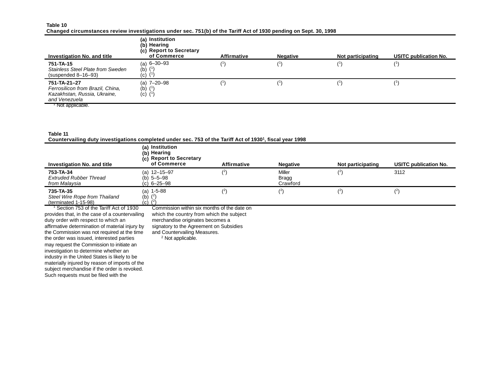#### **Table 10**

| Changed circumstances review investigations under sec. 751(b) of the Tariff Act of 1930 pending on Sept. 30, 1998 |  |  |  |
|-------------------------------------------------------------------------------------------------------------------|--|--|--|
|                                                                                                                   |  |  |  |

| Investigation No. and title                                                                       | (a) Institution<br>(b) Hearing<br>(c) Report to Secretary<br>of Commerce | <b>Affirmative</b> | <b>Negative</b> | Not participating | <b>USITC publication No.</b> |
|---------------------------------------------------------------------------------------------------|--------------------------------------------------------------------------|--------------------|-----------------|-------------------|------------------------------|
| 751-TA-15<br>Stainless Steel Plate from Sweden<br>$(suspended 8-16-93)$                           | (a) 6-30-93<br>(b) $(1)$<br>$(c)$ $(1)$                                  |                    |                 |                   |                              |
| 751-TA-21-27<br>Ferrosilicon from Brazil, China,<br>Kazakhstan, Russia, Ukraine,<br>and Venezuela | (a) 7-20-98<br>(b) $(^{1})$<br>$(c)$ $(1)$                               |                    |                 |                   |                              |
| Not applicable.                                                                                   |                                                                          |                    |                 |                   |                              |

**Table 11 Countervailing duty investigations completed under sec. 753 of the Tariff Act of 1930<sup>1</sup> , fiscal year 1998**

|                                                                    | <u>adamnan rammal aast miraamalamana aasmkidigaa amaan aagi iyo yiyina iyomiy iyoo al iyoo timaami taagaa</u> |             |                             |                   |                              |
|--------------------------------------------------------------------|---------------------------------------------------------------------------------------------------------------|-------------|-----------------------------|-------------------|------------------------------|
| <b>Investigation No. and title</b>                                 | (a) Institution<br>(b) Hearing<br>(c) Report to Secretary<br>of Commerce                                      | Affirmative | <b>Negative</b>             | Not participating | <b>USITC publication No.</b> |
| 753-TA-34<br><b>Extruded Rubber Thread</b><br>from Malaysia        | (a) $12 - 15 - 97$<br>(b) $5 - 5 - 98$<br>$(c) 6 - 25 - 98$                                                   |             | Miller<br>Bragg<br>Crawford |                   | 3112                         |
| 735-TA-35<br>Steel Wire Rope from Thailand<br>(terminated 1-15-98) | (a) $1-5-88$<br>(b)<br>(c) (1                                                                                 | .           |                             |                   |                              |

1 Section 753 of the Tariff Act of 1930 provides that, in the case of a countervailing duty order with respect to which an affirmative determination of material injury by the Commission was not required at the time the order was issued, interested parties may request the Commission to initiate an investigation to determine whether an industry in the United States is likely to be materially injured by reason of imports of the subject merchandise if the order is revoked. Such requests must be filed with the

Commission within six months of the date on

which the country from which the subject

merchandise originates becomes a

signatory to the Agreement on Subsidies

and Countervailing Measures.

<sup>2</sup> Not applicable.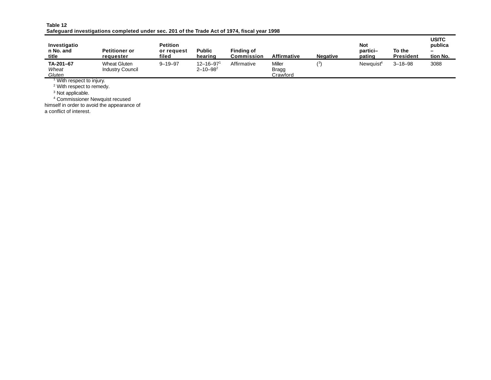| Table 12                                                                                     |  |  |
|----------------------------------------------------------------------------------------------|--|--|
| Safeguard investigations completed under sec. 201 of the Trade Act of 1974, fiscal year 1998 |  |  |

| Investigatio<br>n No. and<br>title   | <b>Petitioner or</b><br>requester              | <b>Petition</b><br>or request<br>filed | <b>Public</b><br>hearing                       | Finding of<br>Commission | Affirmative                 | <b>Negative</b> | <b>Not</b><br>partici-<br>pating | To the<br><b>President</b> | <b>USITC</b><br>publica<br>-<br>tion No. |
|--------------------------------------|------------------------------------------------|----------------------------------------|------------------------------------------------|--------------------------|-----------------------------|-----------------|----------------------------------|----------------------------|------------------------------------------|
| TA-201-67<br>Wheat<br>Gluten         | <b>Wheat Gluten</b><br><b>Industry Council</b> | $9 - 19 - 97$                          | $12 - 16 - 97$ <sup>1</sup><br>$2 - 10 - 98^2$ | Affirmative              | Miller<br>Bragg<br>Crawford | (3)             | Newauist <sup>4</sup>            | $3 - 18 - 98$              | 3088                                     |
| <sup>1</sup> With respect to injury. |                                                |                                        |                                                |                          |                             |                 |                                  |                            |                                          |
| <sup>2</sup> With respect to remedy. |                                                |                                        |                                                |                          |                             |                 |                                  |                            |                                          |
| <sup>3</sup> Not applicable.         |                                                |                                        |                                                |                          |                             |                 |                                  |                            |                                          |
|                                      | <sup>4</sup> Commissioner Newquist recused     |                                        |                                                |                          |                             |                 |                                  |                            |                                          |

himself in order to avoid the appearance of

a conflict of interest.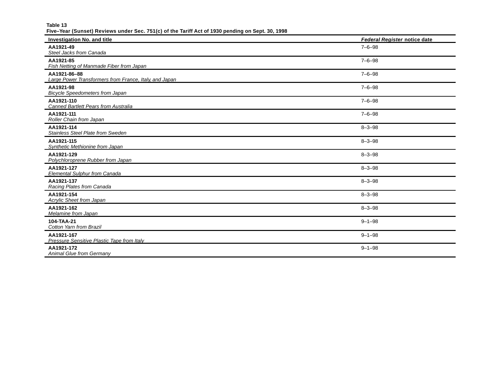**Table 13**

**Five–Year (Sunset) Reviews under Sec. 751(c) of the Tariff Act of 1930 pending on Sept. 30, 1998**

| <b>Investigation No. and title</b>                                     | Federal Register notice date |
|------------------------------------------------------------------------|------------------------------|
| AA1921-49<br>Steel Jacks from Canada                                   | $7 - 6 - 98$                 |
| AA1921-85<br>Fish Netting of Manmade Fiber from Japan                  | $7 - 6 - 98$                 |
| AA1921-86-88<br>Large Power Transformers from France, Italy, and Japan | $7 - 6 - 98$                 |
| AA1921-98<br><b>Bicycle Speedometers from Japan</b>                    | $7 - 6 - 98$                 |
| AA1921-110<br><b>Canned Bartlett Pears from Australia</b>              | $7 - 6 - 98$                 |
| AA1921-111<br>Roller Chain from Japan                                  | $7 - 6 - 98$                 |
| AA1921-114<br><b>Stainless Steel Plate from Sweden</b>                 | $8 - 3 - 98$                 |
| AA1921-115<br>Synthetic Methionine from Japan                          | $8 - 3 - 98$                 |
| AA1921-129<br>Polychloroprene Rubber from Japan                        | $8 - 3 - 98$                 |
| AA1921-127<br><b>Elemental Sulphur from Canada</b>                     | $8 - 3 - 98$                 |
| AA1921-137<br>Racing Plates from Canada                                | $8 - 3 - 98$                 |
| AA1921-154<br>Acrylic Sheet from Japan                                 | $8 - 3 - 98$                 |
| AA1921-162<br>Melamine from Japan                                      | $8 - 3 - 98$                 |
| 104-TAA-21<br>Cotton Yarn from Brazil                                  | $9 - 1 - 98$                 |
| AA1921-167<br>Pressure Sensitive Plastic Tape from Italy               | $9 - 1 - 98$                 |
| AA1921-172<br><b>Animal Glue from Germany</b>                          | $9 - 1 - 98$                 |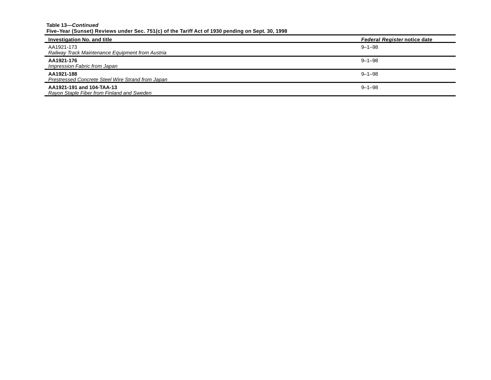#### **Table 13—***Continued* **Five–Year (Sunset) Reviews under Sec. 751(c) of the Tariff Act of 1930 pending on Sept. 30, 1998**

| Investigation No. and title                                             | <b>Federal Register notice date</b> |
|-------------------------------------------------------------------------|-------------------------------------|
| AA1921-173<br>Railway Track Maintenance Equipment from Austria          | $9 - 1 - 98$                        |
| AA1921-176<br>Impression Fabric from Japan                              | $9 - 1 - 98$                        |
| AA1921-188<br>Prestressed Concrete Steel Wire Strand from Japan         | $9 - 1 - 98$                        |
| AA1921-191 and 104-TAA-13<br>Rayon Staple Fiber from Finland and Sweden | $9 - 1 - 98$                        |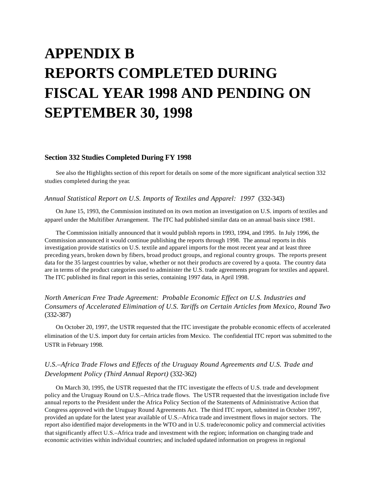# **APPENDIX B REPORTS COMPLETED DURING FISCAL YEAR 1998 AND PENDING ON SEPTEMBER 30, 1998**

#### **Section 332 Studies Completed During FY 1998**

See also the Highlights section of this report for details on some of the more significant analytical section 332 studies completed during the year.

#### *Annual Statistical Report on U.S. Imports of Textiles and Apparel: 1997* (332-343)

On June 15, 1993, the Commission instituted on its own motion an investigation on U.S. imports of textiles and apparel under the Multifiber Arrangement. The ITC had published similar data on an annual basis since 1981.

The Commission initially announced that it would publish reports in 1993, 1994, and 1995. In July 1996, the Commission announced it would continue publishing the reports through 1998. The annual reports in this investigation provide statistics on U.S. textile and apparel imports for the most recent year and at least three preceding years, broken down by fibers, broad product groups, and regional country groups. The reports present data for the 35 largest countries by value, whether or not their products are covered by a quota. The country data are in terms of the product categories used to administer the U.S. trade agreements program for textiles and apparel. The ITC published its final report in this series, containing 1997 data, in April 1998.

# *North American Free Trade Agreement: Probable Economic Effect on U.S. Industries and Consumers of Accelerated Elimination of U.S. Tariffs on Certain Articles from Mexico, Round Two*  (332-387)

On October 20, 1997, the USTR requested that the ITC investigate the probable economic effects of accelerated elimination of the U.S. import duty for certain articles from Mexico. The confidential ITC report was submitted to the USTR in February 1998.

# *U.S.–Africa Trade Flows and Effects of the Uruguay Round Agreements and U.S. Trade and Development Policy (Third Annual Report)* (332-362)

On March 30, 1995, the USTR requested that the ITC investigate the effects of U.S. trade and development policy and the Uruguay Round on U.S.–Africa trade flows. The USTR requested that the investigation include five annual reports to the President under the Africa Policy Section of the Statements of Administrative Action that Congress approved with the Uruguay Round Agreements Act. The third ITC report, submitted in October 1997, provided an update for the latest year available of U.S.–Africa trade and investment flows in major sectors. The report also identified major developments in the WTO and in U.S. trade/economic policy and commercial activities that significantly affect U.S.–Africa trade and investment with the region; information on changing trade and economic activities within individual countries; and included updated information on progress in regional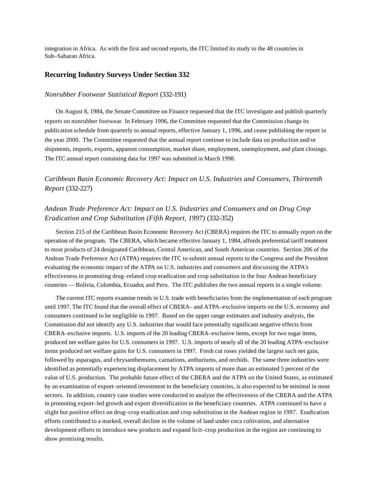integration in Africa. As with the first and second reports, the ITC limited its study to the 48 countries in Sub–Saharan Africa.

#### **Recurring Industry Surveys Under Section 332**

#### *Nonrubber Footwear Statistical Report* (332-191)

On August 8, 1984, the Senate Committee on Finance requested that the ITC investigate and publish quarterly reports on nonrubber footwear. In February 1996, the Committee requested that the Commission change its publication schedule from quarterly to annual reports, effective January 1, 1996, and cease publishing the report in the year 2000. The Committee requested that the annual report continue to include data on production and/or shipments, imports, exports, apparent consumption, market share, employment, unemployment, and plant closings. The ITC annual report containing data for 1997 was submitted in March 1998.

*Caribbean Basin Economic Recovery Act: Impact on U.S. Industries and Consumers, Thirteenth Report* (332-227)

# *Andean Trade Preference Act: Impact on U.S. Industries and Consumers and on Drug Crop Eradication and Crop Substitution (Fifth Report, 1997)* (332-352)

Section 215 of the Caribbean Basin Economic Recovery Act (CBERA) requires the ITC to annually report on the operation of the program. The CBERA, which became effective January 1, 1984, affords preferential tariff treatment to most products of 24 designated Caribbean, Central American, and South American countries. Section 206 of the Andean Trade Preference Act (ATPA) requires the ITC to submit annual reports to the Congress and the President evaluating the economic impact of the ATPA on U.S. industries and consumers and discussing the ATPA's effectiveness in promoting drug–related crop eradication and crop substitution in the four Andean beneficiary countries — Bolivia, Colombia, Ecuador, and Peru. The ITC publishes the two annual reports in a single volume.

The current ITC reports examine trends in U.S. trade with beneficiaries from the implementation of each program until 1997. The ITC found that the overall effect of CBERA– and ATPA–exclusive imports on the U.S. economy and consumers continued to be negligible in 1997. Based on the upper range estimates and industry analysis, the Commission did not identify any U.S. industries that would face potentially significant negative effects from CBERA–exclusive imports. U.S. imports of the 20 leading CBERA–exclusive items, except for two sugar items, produced net welfare gains for U.S. consumers in 1997. U.S. imports of nearly all of the 20 leading ATPA–exclusive items produced net welfare gains for U.S. consumers in 1997. Fresh cut roses yielded the largest such net gain, followed by asparagus, and chrysanthemums, carnations, anthuriums, and orchids. The same three industries were identified as potentially experiencing displacement by ATPA imports of more than an estimated 5 percent of the value of U.S. production. The probable future effect of the CBERA and the ATPA on the United States, as estimated by an examination of export–oriented investment in the beneficiary countries, is also expected to be minimal in most sectors. In addition, country case studies were conducted to analyze the effectiveness of the CBERA and the ATPA in promoting export–led growth and export diversification in the beneficiary countries. ATPA continued to have a slight but positive effect on drug–crop eradication and crop substitution in the Andean region in 1997. Eradication efforts contributed to a marked, overall decline in the volume of land under coca cultivation, and alternative development efforts to introduce new products and expand licit–crop production in the region are continuing to show promising results.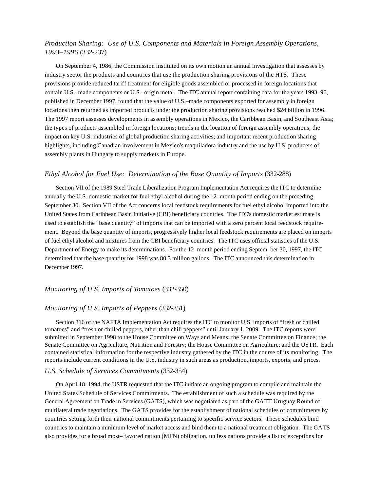### *Production Sharing: Use of U.S. Components and Materials in Foreign Assembly Operations, 1993–1996* (332-237)

On September 4, 1986, the Commission instituted on its own motion an annual investigation that assesses by industry sector the products and countries that use the production sharing provisions of the HTS. These provisions provide reduced tariff treatment for eligible goods assembled or processed in foreign locations that contain U.S.–made components or U.S.–origin metal. The ITC annual report containing data for the years 1993–96, published in December 1997, found that the value of U.S.–made components exported for assembly in foreign locations then returned as imported products under the production sharing provisions reached \$24 billion in 1996. The 1997 report assesses developments in assembly operations in Mexico, the Caribbean Basin, and Southeast Asia; the types of products assembled in foreign locations; trends in the location of foreign assembly operations; the impact on key U.S. industries of global production sharing activities; and important recent production sharing highlights, including Canadian involvement in Mexico's maquiladora industry and the use by U.S. producers of assembly plants in Hungary to supply markets in Europe.

#### *Ethyl Alcohol for Fuel Use: Determination of the Base Quantity of Imports* (332-288)

Section VII of the 1989 Steel Trade Liberalization Program Implementation Act requires the ITC to determine annually the U.S. domestic market for fuel ethyl alcohol during the 12–month period ending on the preceding September 30. Section VII of the Act concerns local feedstock requirements for fuel ethyl alcohol imported into the United States from Caribbean Basin Initiative (CBI) beneficiary countries. The ITC's domestic market estimate is used to establish the "base quantity" of imports that can be imported with a zero percent local feedstock requirement. Beyond the base quantity of imports, progressively higher local feedstock requirements are placed on imports of fuel ethyl alcohol and mixtures from the CBI beneficiary countries. The ITC uses official statistics of the U.S. Department of Energy to make its determinations. For the 12–month period ending Septem–ber 30, 1997, the ITC determined that the base quantity for 1998 was 80.3 million gallons. The ITC announced this determination in December 1997.

#### *Monitoring of U.S. Imports of Tomatoes* (332-350)

#### *Monitoring of U.S. Imports of Peppers* (332-351)

Section 316 of the NAFTA Implementation Act requires the ITC to monitor U.S. imports of "fresh or chilled tomatoes" and "fresh or chilled peppers, other than chili peppers" until January 1, 2009. The ITC reports were submitted in September 1998 to the House Committee on Ways and Means; the Senate Committee on Finance; the Senate Committee on Agriculture, Nutrition and Forestry; the House Committee on Agriculture; and the USTR. Each contained statistical information for the respective industry gathered by the ITC in the course of its monitoring. The reports include current conditions in the U.S. industry in such areas as production, imports, exports, and prices.

#### *U.S. Schedule of Services Commitments* (332-354)

On April 18, 1994, the USTR requested that the ITC initiate an ongoing program to compile and maintain the United States Schedule of Services Commitments. The establishment of such a schedule was required by the General Agreement on Trade in Services (GATS), which was negotiated as part of the GATT Uruguay Round of multilateral trade negotiations. The GATS provides for the establishment of national schedules of commitments by countries setting forth their national commitments pertaining to specific service sectors. These schedules bind countries to maintain a minimum level of market access and bind them to a national treatment obligation. The GATS also provides for a broad most– favored nation (MFN) obligation, un less nations provide a list of exceptions for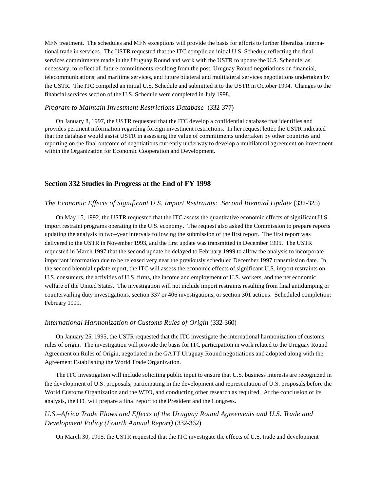MFN treatment. The schedules and MFN exceptions will provide the basis for efforts to further liberalize international trade in services. The USTR requested that the ITC compile an initial U.S. Schedule reflecting the final services commitments made in the Uruguay Round and work with the USTR to update the U.S. Schedule, as necessary, to reflect all future commitments resulting from the post–Uruguay Round negotiations on financial, telecommunications, and maritime services, and future bilateral and multilateral services negotiations undertaken by the USTR. The ITC compiled an initial U.S. Schedule and submitted it to the USTR in October 1994. Changes to the financial services section of the U.S. Schedule were completed in July 1998.

#### *Program to Maintain Investment Restrictions Database* (332-377)

On January 8, 1997, the USTR requested that the ITC develop a confidential database that identifies and provides pertinent information regarding foreign investment restrictions. In her request letter, the USTR indicated that the database would assist USTR in assessing the value of commitments undertaken by other countries and reporting on the final outcome of negotiations currently underway to develop a multilateral agreement on investment within the Organization for Economic Cooperation and Development.

#### **Section 332 Studies in Progress at the End of FY 1998**

#### *The Economic Effects of Significant U.S. Import Restraints: Second Biennial Update* (332-325)

On May 15, 1992, the USTR requested that the ITC assess the quantitative economic effects of significant U.S. import restraint programs operating in the U.S. economy. The request also asked the Commission to prepare reports updating the analysis in two–year intervals following the submission of the first report. The first report was delivered to the USTR in November 1993, and the first update was transmitted in December 1995. The USTR requested in March 1997 that the second update be delayed to February 1999 to allow the analysis to incorporate important information due to be released very near the previously scheduled December 1997 transmission date. In the second biennial update report, the ITC will assess the economic effects of significant U.S. import restraints on U.S. consumers, the activities of U.S. firms, the income and employment of U.S. workers, and the net economic welfare of the United States. The investigation will not include import restraints resulting from final antidumping or countervailing duty investigations, section 337 or 406 investigations, or section 301 actions. Scheduled completion: February 1999.

#### *International Harmonization of Customs Rules of Origin* (332-360)

On January 25, 1995, the USTR requested that the ITC investigate the international harmonization of customs rules of origin. The investigation will provide the basis for ITC participation in work related to the Uruguay Round Agreement on Rules of Origin, negotiated in the GATT Uruguay Round negotiations and adopted along with the Agreement Establishing the World Trade Organization.

The ITC investigation will include soliciting public input to ensure that U.S. business interests are recognized in the development of U.S. proposals, participating in the development and representation of U.S. proposals before the World Customs Organization and the WTO, and conducting other research as required. At the conclusion of its analysis, the ITC will prepare a final report to the President and the Congress.

# *U.S.–Africa Trade Flows and Effects of the Uruguay Round Agreements and U.S. Trade and Development Policy (Fourth Annual Report)* (332-362)

On March 30, 1995, the USTR requested that the ITC investigate the effects of U.S. trade and development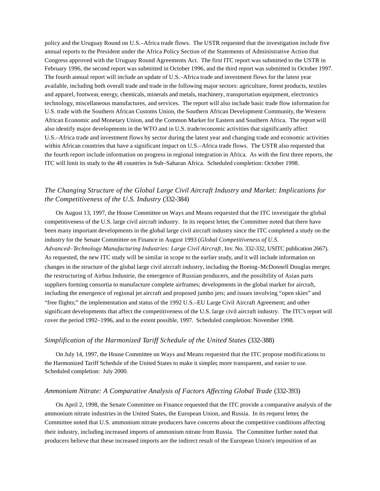policy and the Uruguay Round on U.S.–Africa trade flows. The USTR requested that the investigation include five annual reports to the President under the Africa Policy Section of the Statements of Administrative Action that Congress approved with the Uruguay Round Agreements Act. The first ITC report was submitted to the USTR in February 1996, the second report was submitted in October 1996, and the third report was submitted in October 1997. The fourth annual report will include an update of U.S.–Africa trade and investment flows for the latest year available, including both overall trade and trade in the following major sectors: agriculture, forest products, textiles and apparel, footwear, energy, chemicals, minerals and metals, machinery, transportation equipment, electronics technology, miscellaneous manufactures, and services. The report will also include basic trade flow information for U.S. trade with the Southern African Customs Union, the Southern African Development Community, the Western African Economic and Monetary Union, and the Common Market for Eastern and Southern Africa. The report will also identify major developments in the WTO and in U.S. trade/economic activities that significantly affect U.S.–Africa trade and investment flows by sector during the latest year and changing trade and economic activities within African countries that have a significant impact on U.S.–Africa trade flows. The USTR also requested that the fourth report include information on progress in regional integration in Africa. As with the first three reports, the ITC will limit its study to the 48 countries in Sub–Saharan Africa. Scheduled completion: October 1998.

### *The Changing Structure of the Global Large Civil Aircraft Industry and Market: Implications for the Competitiveness of the U.S. Industry* (332-384)

On August 13, 1997, the House Committee on Ways and Means requested that the ITC investigate the global competitiveness of the U.S. large civil aircraft industry. In its request letter, the Committee noted that there have been many important developments in the global large civil aircraft industry since the ITC completed a study on the industry for the Senate Committee on Finance in August 1993 (*Global Competitiveness of U.S. Advanced–Technology Manufacturing Industries: Large Civil Aircraft*, Inv. No. 332-332, USITC publication 2667). As requested, the new ITC study will be similar in scope to the earlier study, and it will include information on changes in the structure of the global large civil aircraft industry, including the Boeing–McDonnell Douglas merger, the restructuring of Airbus Industrie, the emergence of Russian producers, and the possibility of Asian parts suppliers forming consortia to manufacture complete airframes; developments in the global market for aircraft, including the emergence of regional jet aircraft and proposed jumbo jets; and issues involving "open skies" and "free flights;" the implementation and status of the 1992 U.S.–EU Large Civil Aircraft Agreement; and other significant developments that affect the competitiveness of the U.S. large civil aircraft industry. The ITC's report will cover the period 1992–1996, and to the extent possible, 1997. Scheduled completion: November 1998.

#### *Simplification of the Harmonized Tariff Schedule of the United States* (332-388)

On July 14, 1997, the House Committee on Ways and Means requested that the ITC propose modifications to the Harmonized Tariff Schedule of the United States to make it simpler, more transparent, and easier to use. Scheduled completion: July 2000.

#### *Ammonium Nitrate: A Comparative Analysis of Factors Affecting Global Trade* (332-393)

On April 2, 1998, the Senate Committee on Finance requested that the ITC provide a comparative analysis of the ammonium nitrate industries in the United States, the European Union, and Russia. In its request letter, the Committee noted that U.S. ammonium nitrate producers have concerns about the competitive conditions affecting their industry, including increased imports of ammonium nitrate from Russia. The Committee further noted that producers believe that these increased imports are the indirect result of the European Union's imposition of an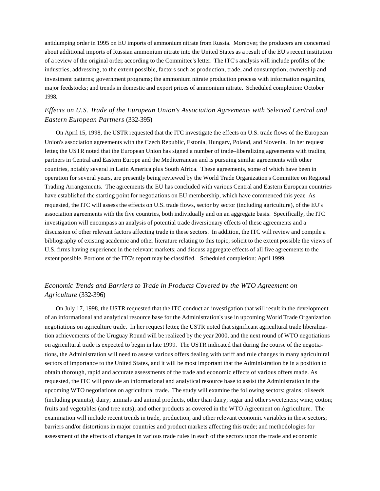antidumping order in 1995 on EU imports of ammonium nitrate from Russia. Moreover, the producers are concerned about additional imports of Russian ammonium nitrate into the United States as a result of the EU's recent institution of a review of the original order, according to the Committee's letter. The ITC's analysis will include profiles of the industries, addressing, to the extent possible, factors such as production, trade, and consumption; ownership and investment patterns; government programs; the ammonium nitrate production process with information regarding major feedstocks; and trends in domestic and export prices of ammonium nitrate. Scheduled completion: October 1998.

# *Effects on U.S. Trade of the European Union's Association Agreements with Selected Central and Eastern European Partners* (332-395)

On April 15, 1998, the USTR requested that the ITC investigate the effects on U.S. trade flows of the European Union's association agreements with the Czech Republic, Estonia, Hungary, Poland, and Slovenia. In her request letter, the USTR noted that the European Union has signed a number of trade–liberalizing agreements with trading partners in Central and Eastern Europe and the Mediterranean and is pursuing similar agreements with other countries, notably several in Latin America plus South Africa. These agreements, some of which have been in operation for several years, are presently being reviewed by the World Trade Organization's Committee on Regional Trading Arrangements. The agreements the EU has concluded with various Central and Eastern European countries have established the starting point for negotiations on EU membership, which have commenced this year. As requested, the ITC will assess the effects on U.S. trade flows, sector by sector (including agriculture), of the EU's association agreements with the five countries, both individually and on an aggregate basis. Specifically, the ITC investigation will encompass an analysis of potential trade diversionary effects of these agreements and a discussion of other relevant factors affecting trade in these sectors. In addition, the ITC will review and compile a bibliography of existing academic and other literature relating to this topic; solicit to the extent possible the views of U.S. firms having experience in the relevant markets; and discuss aggregate effects of all five agreements to the extent possible. Portions of the ITC's report may be classified. Scheduled completion: April 1999.

# *Economic Trends and Barriers to Trade in Products Covered by the WTO Agreement on Agriculture* (332-396)

On July 17, 1998, the USTR requested that the ITC conduct an investigation that will result in the development of an informational and analytical resource base for the Administration's use in upcoming World Trade Organization negotiations on agriculture trade. In her request letter, the USTR noted that significant agricultural trade liberalization achievements of the Uruguay Round will be realized by the year 2000, and the next round of WTO negotiations on agricultural trade is expected to begin in late 1999. The USTR indicated that during the course of the negotiations, the Administration will need to assess various offers dealing with tariff and rule changes in many agricultural sectors of importance to the United States, and it will be most important that the Administration be in a position to obtain thorough, rapid and accurate assessments of the trade and economic effects of various offers made. As requested, the ITC will provide an informational and analytical resource base to assist the Administration in the upcoming WTO negotiations on agricultural trade. The study will examine the following sectors: grains; oilseeds (including peanuts); dairy; animals and animal products, other than dairy; sugar and other sweeteners; wine; cotton; fruits and vegetables (and tree nuts); and other products as covered in the WTO Agreement on Agriculture. The examination will include recent trends in trade, production, and other relevant economic variables in these sectors; barriers and/or distortions in major countries and product markets affecting this trade; and methodologies for assessment of the effects of changes in various trade rules in each of the sectors upon the trade and economic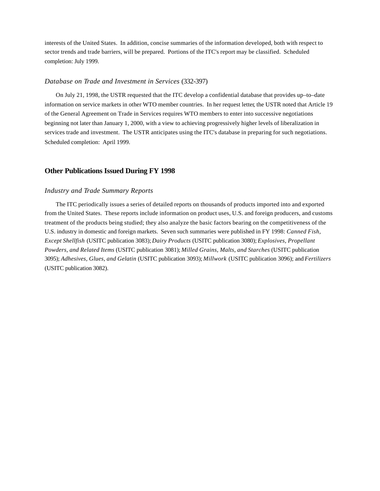interests of the United States. In addition, concise summaries of the information developed, both with respect to sector trends and trade barriers, will be prepared. Portions of the ITC's report may be classified. Scheduled completion: July 1999.

#### *Database on Trade and Investment in Services* (332-397)

On July 21, 1998, the USTR requested that the ITC develop a confidential database that provides up–to–date information on service markets in other WTO member countries. In her request letter, the USTR noted that Article 19 of the General Agreement on Trade in Services requires WTO members to enter into successive negotiations beginning not later than January 1, 2000, with a view to achieving progressively higher levels of liberalization in services trade and investment. The USTR anticipates using the ITC's database in preparing for such negotiations. Scheduled completion: April 1999.

#### **Other Publications Issued During FY 1998**

#### *Industry and Trade Summary Reports*

The ITC periodically issues a series of detailed reports on thousands of products imported into and exported from the United States. These reports include information on product uses, U.S. and foreign producers, and customs treatment of the products being studied; they also analyze the basic factors bearing on the competitiveness of the U.S. industry in domestic and foreign markets. Seven such summaries were published in FY 1998: *Canned Fish, Except Shellfish* (USITC publication 3083); *Dairy Products* (USITC publication 3080); *Explosives, Propellant Powders, and Related Items* (USITC publication 3081); *Milled Grains, Malts, and Starches* (USITC publication 3095); *Adhesives, Glues, and Gelatin* (USITC publication 3093); *Millwork* (USITC publication 3096); and *Fertilizers* (USITC publication 3082).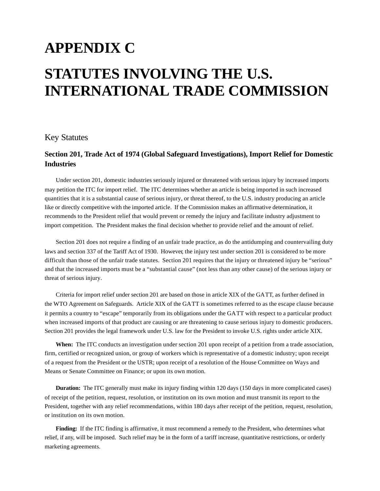# **APPENDIX C STATUTES INVOLVING THE U.S. INTERNATIONAL TRADE COMMISSION**

# Key Statutes

# **Section 201, Trade Act of 1974 (Global Safeguard Investigations), Import Relief for Domestic Industries**

Under section 201, domestic industries seriously injured or threatened with serious injury by increased imports may petition the ITC for import relief. The ITC determines whether an article is being imported in such increased quantities that it is a substantial cause of serious injury, or threat thereof, to the U.S. industry producing an article like or directly competitive with the imported article. If the Commission makes an affirmative determination, it recommends to the President relief that would prevent or remedy the injury and facilitate industry adjustment to import competition. The President makes the final decision whether to provide relief and the amount of relief.

Section 201 does not require a finding of an unfair trade practice, as do the antidumping and countervailing duty laws and section 337 of the Tariff Act of 1930. However, the injury test under section 201 is considered to be more difficult than those of the unfair trade statutes. Section 201 requires that the injury or threatened injury be "serious" and that the increased imports must be a "substantial cause" (not less than any other cause) of the serious injury or threat of serious injury.

Criteria for import relief under section 201 are based on those in article XIX of the GATT, as further defined in the WTO Agreement on Safeguards. Article XIX of the GATT is sometimes referred to as the escape clause because it permits a country to "escape" temporarily from its obligations under the GATT with respect to a particular product when increased imports of that product are causing or are threatening to cause serious injury to domestic producers. Section 201 provides the legal framework under U.S. law for the President to invoke U.S. rights under article XIX.

When: The ITC conducts an investigation under section 201 upon receipt of a petition from a trade association, firm, certified or recognized union, or group of workers which is representative of a domestic industry; upon receipt of a request from the President or the USTR; upon receipt of a resolution of the House Committee on Ways and Means or Senate Committee on Finance; or upon its own motion.

**Duration:** The ITC generally must make its injury finding within 120 days (150 days in more complicated cases) of receipt of the petition, request, resolution, or institution on its own motion and must transmit its report to the President, together with any relief recommendations, within 180 days after receipt of the petition, request, resolution, or institution on its own motion.

**Finding:** If the ITC finding is affirmative, it must recommend a remedy to the President, who determines what relief, if any, will be imposed. Such relief may be in the form of a tariff increase, quantitative restrictions, or orderly marketing agreements.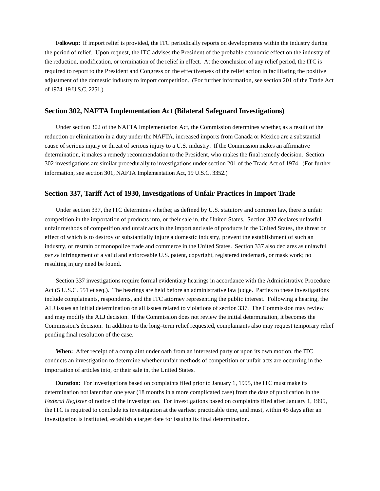**Followup:** If import relief is provided, the ITC periodically reports on developments within the industry during the period of relief. Upon request, the ITC advises the President of the probable economic effect on the industry of the reduction, modification, or termination of the relief in effect. At the conclusion of any relief period, the ITC is required to report to the President and Congress on the effectiveness of the relief action in facilitating the positive adjustment of the domestic industry to import competition. (For further information, see section 201 of the Trade Act of 1974, 19 U.S.C. 2251.)

#### **Section 302, NAFTA Implementation Act (Bilateral Safeguard Investigations)**

Under section 302 of the NAFTA Implementation Act, the Commission determines whether, as a result of the reduction or elimination in a duty under the NAFTA, increased imports from Canada or Mexico are a substantial cause of serious injury or threat of serious injury to a U.S. industry. If the Commission makes an affirmative determination, it makes a remedy recommendation to the President, who makes the final remedy decision. Section 302 investigations are similar procedurally to investigations under section 201 of the Trade Act of 1974. (For further information, see section 301, NAFTA Implementation Act, 19 U.S.C. 3352.)

#### **Section 337, Tariff Act of 1930, Investigations of Unfair Practices in Import Trade**

Under section 337, the ITC determines whether, as defined by U.S. statutory and common law, there is unfair competition in the importation of products into, or their sale in, the United States. Section 337 declares unlawful unfair methods of competition and unfair acts in the import and sale of products in the United States, the threat or effect of which is to destroy or substantially injure a domestic industry, prevent the establishment of such an industry, or restrain or monopolize trade and commerce in the United States. Section 337 also declares as unlawful *per se* infringement of a valid and enforceable U.S. patent, copyright, registered trademark, or mask work; no resulting injury need be found.

Section 337 investigations require formal evidentiary hearings in accordance with the Administrative Procedure Act (5 U.S.C. 551 et seq.). The hearings are held before an administrative law judge. Parties to these investigations include complainants, respondents, and the ITC attorney representing the public interest. Following a hearing, the ALJ issues an initial determination on all issues related to violations of section 337. The Commission may review and may modify the ALJ decision. If the Commission does not review the initial determination, it becomes the Commission's decision. In addition to the long–term relief requested, complainants also may request temporary relief pending final resolution of the case.

**When:** After receipt of a complaint under oath from an interested party or upon its own motion, the ITC conducts an investigation to determine whether unfair methods of competition or unfair acts are occurring in the importation of articles into, or their sale in, the United States.

**Duration:** For investigations based on complaints filed prior to January 1, 1995, the ITC must make its determination not later than one year (18 months in a more complicated case) from the date of publication in the *Federal Register* of notice of the investigation. For investigations based on complaints filed after January 1, 1995, the ITC is required to conclude its investigation at the earliest practicable time, and must, within 45 days after an investigation is instituted, establish a target date for issuing its final determination.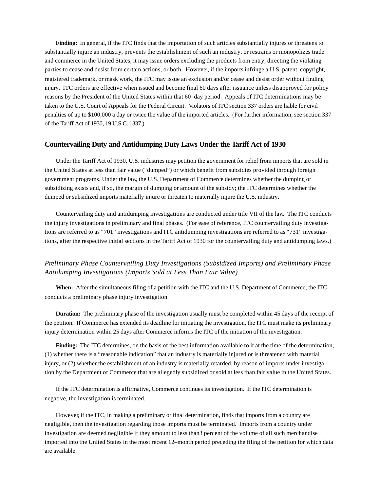**Finding:** In general, if the ITC finds that the importation of such articles substantially injures or threatens to substantially injure an industry, prevents the establishment of such an industry, or restrains or monopolizes trade and commerce in the United States, it may issue orders excluding the products from entry, directing the violating parties to cease and desist from certain actions, or both. However, if the imports infringe a U.S. patent, copyright, registered trademark, or mask work, the ITC may issue an exclusion and/or cease and desist order without finding injury. ITC orders are effective when issued and become final 60 days after issuance unless disapproved for policy reasons by the President of the United States within that 60–day period. Appeals of ITC determinations may be taken to the U.S. Court of Appeals for the Federal Circuit. Violators of ITC section 337 orders are liable for civil penalties of up to \$100,000 a day or twice the value of the imported articles. (For further information, see section 337 of the Tariff Act of 1930, 19 U.S.C. 1337.)

#### **Countervailing Duty and Antidumping Duty Laws Under the Tariff Act of 1930**

Under the Tariff Act of 1930, U.S. industries may petition the government for relief from imports that are sold in the United States at less than fair value ("dumped") or which benefit from subsidies provided through foreign government programs. Under the law, the U.S. Department of Commerce determines whether the dumping or subsidizing exists and, if so, the margin of dumping or amount of the subsidy; the ITC determines whether the dumped or subsidized imports materially injure or threaten to materially injure the U.S. industry.

Countervailing duty and antidumping investigations are conducted under title VII of the law. The ITC conducts the injury investigations in preliminary and final phases. (For ease of reference, ITC countervailing duty investigations are referred to as "701" investigations and ITC antidumping investigations are referred to as "731" investigations, after the respective initial sections in the Tariff Act of 1930 for the countervailing duty and antidumping laws.)

# *Preliminary Phase Countervailing Duty Investigations (Subsidized Imports) and Preliminary Phase Antidumping Investigations (Imports Sold at Less Than Fair Value)*

**When:** After the simultaneous filing of a petition with the ITC and the U.S. Department of Commerce, the ITC conducts a preliminary phase injury investigation.

**Duration:** The preliminary phase of the investigation usually must be completed within 45 days of the receipt of the petition. If Commerce has extended its deadline for initiating the investigation, the ITC must make its preliminary injury determination within 25 days after Commerce informs the ITC of the initiation of the investigation.

**Finding:** The ITC determines, on the basis of the best information available to it at the time of the determination, (1) whether there is a "reasonable indication" that an industry is materially injured or is threatened with material injury, or (2) whether the establishment of an industry is materially retarded, by reason of imports under investigation by the Department of Commerce that are allegedly subsidized or sold at less than fair value in the United States.

If the ITC determination is affirmative, Commerce continues its investigation. If the ITC determination is negative, the investigation is terminated.

However, if the ITC, in making a preliminary or final determination, finds that imports from a country are negligible, then the investigation regarding those imports must be terminated. Imports from a country under investigation are deemed negligible if they amount to less than3 percent of the volume of all such merchandise imported into the United States in the most recent 12–month period preceding the filing of the petition for which data are available.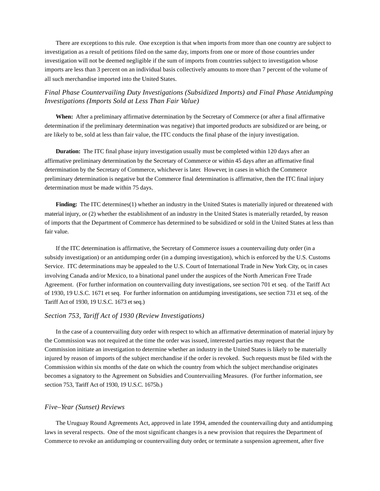There are exceptions to this rule. One exception is that when imports from more than one country are subject to investigation as a result of petitions filed on the same day, imports from one or more of those countries under investigation will not be deemed negligible if the sum of imports from countries subject to investigation whose imports are less than 3 percent on an individual basis collectively amounts to more than 7 percent of the volume of all such merchandise imported into the United States.

### *Final Phase Countervailing Duty Investigations (Subsidized Imports) and Final Phase Antidumping Investigations (Imports Sold at Less Than Fair Value)*

**When:** After a preliminary affirmative determination by the Secretary of Commerce (or after a final affirmative determination if the preliminary determination was negative) that imported products are subsidized or are being, or are likely to be, sold at less than fair value, the ITC conducts the final phase of the injury investigation.

**Duration:** The ITC final phase injury investigation usually must be completed within 120 days after an affirmative preliminary determination by the Secretary of Commerce or within 45 days after an affirmative final determination by the Secretary of Commerce, whichever is later. However, in cases in which the Commerce preliminary determination is negative but the Commerce final determination is affirmative, then the ITC final injury determination must be made within 75 days.

**Finding:** The ITC determines(1) whether an industry in the United States is materially injured or threatened with material injury, or (2) whether the establishment of an industry in the United States is materially retarded, by reason of imports that the Department of Commerce has determined to be subsidized or sold in the United States at less than fair value.

If the ITC determination is affirmative, the Secretary of Commerce issues a countervailing duty order (in a subsidy investigation) or an antidumping order (in a dumping investigation), which is enforced by the U.S. Customs Service. ITC determinations may be appealed to the U.S. Court of International Trade in New York City, or, in cases involving Canada and/or Mexico, to a binational panel under the auspices of the North American Free Trade Agreement. (For further information on countervailing duty investigations, see section 701 et seq. of the Tariff Act of 1930, 19 U.S.C. 1671 et seq. For further information on antidumping investigations, see section 731 et seq. of the Tariff Act of 1930, 19 U.S.C. 1673 et seq.)

#### *Section 753, Tariff Act of 1930 (Review Investigations)*

In the case of a countervailing duty order with respect to which an affirmative determination of material injury by the Commission was not required at the time the order was issued, interested parties may request that the Commission initiate an investigation to determine whether an industry in the United States is likely to be materially injured by reason of imports of the subject merchandise if the order is revoked. Such requests must be filed with the Commission within six months of the date on which the country from which the subject merchandise originates becomes a signatory to the Agreement on Subsidies and Countervailing Measures. (For further information, see section 753, Tariff Act of 1930, 19 U.S.C. 1675b.)

#### *Five–Year (Sunset) Reviews*

The Uruguay Round Agreements Act, approved in late 1994, amended the countervailing duty and antidumping laws in several respects. One of the most significant changes is a new provision that requires the Department of Commerce to revoke an antidumping or countervailing duty order, or terminate a suspension agreement, after five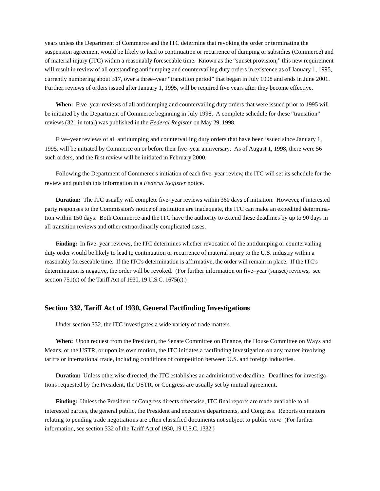years unless the Department of Commerce and the ITC determine that revoking the order or terminating the suspension agreement would be likely to lead to continuation or recurrence of dumping or subsidies (Commerce) and of material injury (ITC) within a reasonably foreseeable time. Known as the "sunset provision," this new requirement will result in review of all outstanding antidumping and countervailing duty orders in existence as of January 1, 1995, currently numbering about 317, over a three–year "transition period" that began in July 1998 and ends in June 2001. Further, reviews of orders issued after January 1, 1995, will be required five years after they become effective.

**When:** Five–year reviews of all antidumping and countervailing duty orders that were issued prior to 1995 will be initiated by the Department of Commerce beginning in July 1998. A complete schedule for these "transition" reviews (321 in total) was published in the *Federal Register* on May 29, 1998.

Five–year reviews of all antidumping and countervailing duty orders that have been issued since January 1, 1995, will be initiated by Commerce on or before their five–year anniversary. As of August 1, 1998, there were 56 such orders, and the first review will be initiated in February 2000.

Following the Department of Commerce's initiation of each five–year review, the ITC will set its schedule for the review and publish this information in a *Federal Register* notice.

**Duration:** The ITC usually will complete five–year reviews within 360 days of initiation. However, if interested party responses to the Commission's notice of institution are inadequate, the ITC can make an expedited determination within 150 days. Both Commerce and the ITC have the authority to extend these deadlines by up to 90 days in all transition reviews and other extraordinarily complicated cases.

**Finding:** In five–year reviews, the ITC determines whether revocation of the antidumping or countervailing duty order would be likely to lead to continuation or recurrence of material injury to the U.S. industry within a reasonably foreseeable time. If the ITC's determination is affirmative, the order will remain in place. If the ITC's determination is negative, the order will be revoked. (For further information on five–year (sunset) reviews, see section 751(c) of the Tariff Act of 1930, 19 U.S.C. 1675(c).)

### **Section 332, Tariff Act of 1930, General Factfinding Investigations**

Under section 332, the ITC investigates a wide variety of trade matters.

**When:** Upon request from the President, the Senate Committee on Finance, the House Committee on Ways and Means, or the USTR, or upon its own motion, the ITC initiates a factfinding investigation on any matter involving tariffs or international trade, including conditions of competition between U.S. and foreign industries.

**Duration:** Unless otherwise directed, the ITC establishes an administrative deadline. Deadlines for investigations requested by the President, the USTR, or Congress are usually set by mutual agreement.

**Finding:** Unless the President or Congress directs otherwise, ITC final reports are made available to all interested parties, the general public, the President and executive departments, and Congress. Reports on matters relating to pending trade negotiations are often classified documents not subject to public view. (For further information, see section 332 of the Tariff Act of 1930, 19 U.S.C. 1332.)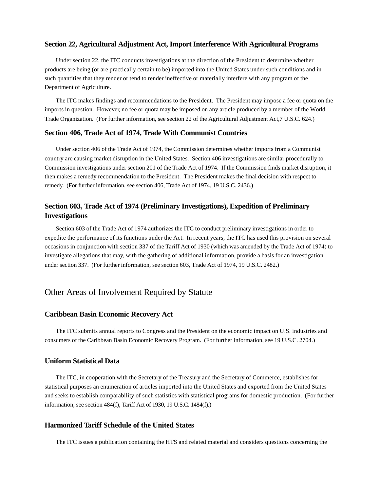#### **Section 22, Agricultural Adjustment Act, Import Interference With Agricultural Programs**

Under section 22, the ITC conducts investigations at the direction of the President to determine whether products are being (or are practically certain to be) imported into the United States under such conditions and in such quantities that they render or tend to render ineffective or materially interfere with any program of the Department of Agriculture.

The ITC makes findings and recommendations to the President. The President may impose a fee or quota on the imports in question. However, no fee or quota may be imposed on any article produced by a member of the World Trade Organization. (For further information, see section 22 of the Agricultural Adjustment Act,7 U.S.C. 624.)

### **Section 406, Trade Act of 1974, Trade With Communist Countries**

Under section 406 of the Trade Act of 1974, the Commission determines whether imports from a Communist country are causing market disruption in the United States. Section 406 investigations are similar procedurally to Commission investigations under section 201 of the Trade Act of 1974. If the Commission finds market disruption, it then makes a remedy recommendation to the President. The President makes the final decision with respect to remedy. (For further information, see section 406, Trade Act of 1974, 19 U.S.C. 2436.)

# **Section 603, Trade Act of 1974 (Preliminary Investigations), Expedition of Preliminary Investigations**

Section 603 of the Trade Act of 1974 authorizes the ITC to conduct preliminary investigations in order to expedite the performance of its functions under the Act. In recent years, the ITC has used this provision on several occasions in conjunction with section 337 of the Tariff Act of 1930 (which was amended by the Trade Act of 1974) to investigate allegations that may, with the gathering of additional information, provide a basis for an investigation under section 337. (For further information, see section 603, Trade Act of 1974, 19 U.S.C. 2482.)

# Other Areas of Involvement Required by Statute

#### **Caribbean Basin Economic Recovery Act**

The ITC submits annual reports to Congress and the President on the economic impact on U.S. industries and consumers of the Caribbean Basin Economic Recovery Program. (For further information, see 19 U.S.C. 2704.)

### **Uniform Statistical Data**

The ITC, in cooperation with the Secretary of the Treasury and the Secretary of Commerce, establishes for statistical purposes an enumeration of articles imported into the United States and exported from the United States and seeks to establish comparability of such statistics with statistical programs for domestic production. (For further information, see section 484(f), Tariff Act of 1930, 19 U.S.C. 1484(f).)

#### **Harmonized Tariff Schedule of the United States**

The ITC issues a publication containing the HTS and related material and considers questions concerning the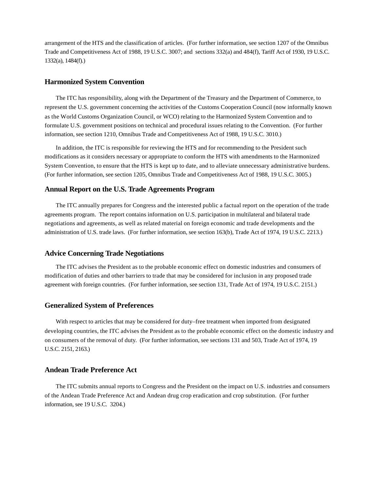arrangement of the HTS and the classification of articles. (For further information, see section 1207 of the Omnibus Trade and Competitiveness Act of 1988, 19 U.S.C. 3007; and sections 332(a) and 484(f), Tariff Act of 1930, 19 U.S.C. 1332(a), 1484(f).)

#### **Harmonized System Convention**

The ITC has responsibility, along with the Department of the Treasury and the Department of Commerce, to represent the U.S. government concerning the activities of the Customs Cooperation Council (now informally known as the World Customs Organization Council, or WCO) relating to the Harmonized System Convention and to formulate U.S. government positions on technical and procedural issues relating to the Convention. (For further information, see section 1210, Omnibus Trade and Competitiveness Act of 1988, 19 U.S.C. 3010.)

In addition, the ITC is responsible for reviewing the HTS and for recommending to the President such modifications as it considers necessary or appropriate to conform the HTS with amendments to the Harmonized System Convention, to ensure that the HTS is kept up to date, and to alleviate unnecessary administrative burdens. (For further information, see section 1205, Omnibus Trade and Competitiveness Act of 1988, 19 U.S.C. 3005.)

### **Annual Report on the U.S. Trade Agreements Program**

The ITC annually prepares for Congress and the interested public a factual report on the operation of the trade agreements program. The report contains information on U.S. participation in multilateral and bilateral trade negotiations and agreements, as well as related material on foreign economic and trade developments and the administration of U.S. trade laws. (For further information, see section 163(b), Trade Act of 1974, 19 U.S.C. 2213.)

#### **Advice Concerning Trade Negotiations**

The ITC advises the President as to the probable economic effect on domestic industries and consumers of modification of duties and other barriers to trade that may be considered for inclusion in any proposed trade agreement with foreign countries. (For further information, see section 131, Trade Act of 1974, 19 U.S.C. 2151.)

#### **Generalized System of Preferences**

With respect to articles that may be considered for duty–free treatment when imported from designated developing countries, the ITC advises the President as to the probable economic effect on the domestic industry and on consumers of the removal of duty. (For further information, see sections 131 and 503, Trade Act of 1974, 19 U.S.C. 2151, 2163.)

### **Andean Trade Preference Act**

The ITC submits annual reports to Congress and the President on the impact on U.S. industries and consumers of the Andean Trade Preference Act and Andean drug crop eradication and crop substitution. (For further information, see 19 U.S.C. 3204.)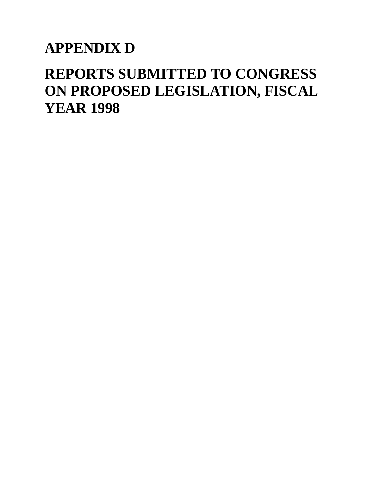# **APPENDIX D**

# **REPORTS SUBMITTED TO CONGRESS ON PROPOSED LEGISLATION, FISCAL YEAR 1998**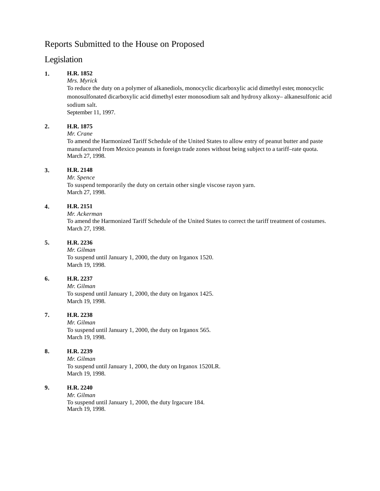# Reports Submitted to the House on Proposed

# Legislation

# **1. H.R. 1852**

*Mrs. Myrick*

To reduce the duty on a polymer of alkanediols, monocyclic dicarboxylic acid dimethyl ester, monocyclic monosulfonated dicarboxylic acid dimethyl ester monosodium salt and hydroxy alkoxy– alkanesulfonic acid sodium salt.

September 11, 1997.

### **2. H.R. 1875**

#### *Mr. Crane*

To amend the Harmonized Tariff Schedule of the United States to allow entry of peanut butter and paste manufactured from Mexico peanuts in foreign trade zones without being subject to a tariff–rate quota. March 27, 1998.

### **3. H.R. 2148**

*Mr. Spence*

To suspend temporarily the duty on certain other single viscose rayon yarn. March 27, 1998.

# **4. H.R. 2151**

*Mr. Ackerman* To amend the Harmonized Tariff Schedule of the United States to correct the tariff treatment of costumes. March 27, 1998.

### **5. H.R. 2236**

*Mr. Gilman* To suspend until January 1, 2000, the duty on Irganox 1520. March 19, 1998.

### **6. H.R. 2237**

*Mr. Gilman* To suspend until January 1, 2000, the duty on Irganox 1425. March 19, 1998.

# **7. H.R. 2238**

*Mr. Gilman* To suspend until January 1, 2000, the duty on Irganox 565. March 19, 1998.

### **8. H.R. 2239**

*Mr. Gilman* To suspend until January 1, 2000, the duty on Irganox 1520LR. March 19, 1998.

#### **9. H.R. 2240**

*Mr. Gilman* To suspend until January 1, 2000, the duty Irgacure 184. March 19, 1998.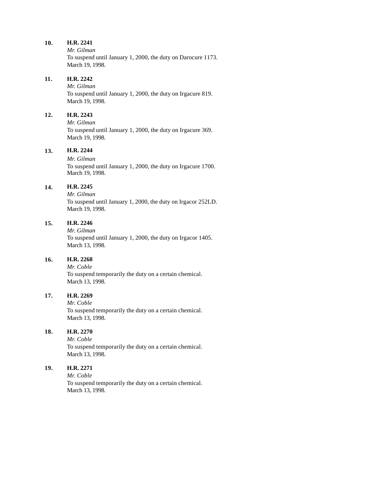*Mr. Gilman* To suspend until January 1, 2000, the duty on Darocure 1173. March 19, 1998.

# **11. H.R. 2242**

*Mr. Gilman* To suspend until January 1, 2000, the duty on Irgacure 819. March 19, 1998.

### **12. H.R. 2243**

*Mr. Gilman* To suspend until January 1, 2000, the duty on Irgacure 369. March 19, 1998.

# **13. H.R. 2244**

*Mr. Gilman* To suspend until January 1, 2000, the duty on Irgacure 1700. March 19, 1998.

#### **14. H.R. 2245**

*Mr. Gilman* To suspend until January 1, 2000, the duty on Irgacor 252LD. March 19, 1998.

### **15. H.R. 2246**

*Mr. Gilman*

To suspend until January 1, 2000, the duty on Irgacor 1405. March 13, 1998.

# **16. H.R. 2268**

*Mr. Coble* To suspend temporarily the duty on a certain chemical. March 13, 1998.

#### **17. H.R. 2269**

*Mr. Coble*

To suspend temporarily the duty on a certain chemical. March 13, 1998.

### **18. H.R. 2270**

*Mr. Coble* To suspend temporarily the duty on a certain chemical. March 13, 1998.

# **19. H.R. 2271**

*Mr. Coble* To suspend temporarily the duty on a certain chemical. March 13, 1998.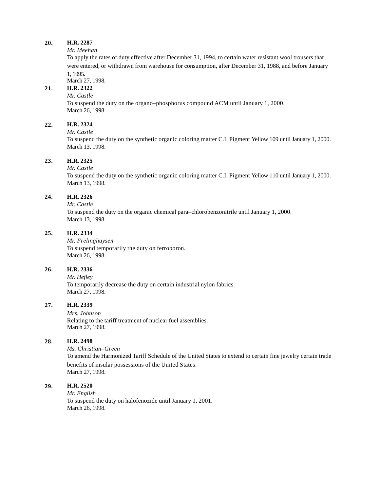#### *Mr. Meehan*

To apply the rates of duty effective after December 31, 1994, to certain water resistant wool trousers that were entered, or withdrawn from warehouse for consumption, after December 31, 1988, and before January 1, 1995.

March 27, 1998.

# **21. H.R. 2322**

### *Mr. Castle*

To suspend the duty on the organo–phosphorus compound ACM until January 1, 2000. March 26, 1998.

### **22. H.R. 2324**

*Mr. Castle*

To suspend the duty on the synthetic organic coloring matter C.I. Pigment Yellow 109 until January 1, 2000. March 13, 1998.

### **23. H.R. 2325**

#### *Mr. Castle*

To suspend the duty on the synthetic organic coloring matter C.I. Pigment Yellow 110 until January 1, 2000. March 13, 1998.

#### **24. H.R. 2326**

*Mr. Castle*

To suspend the duty on the organic chemical para–chlorobenzonitrile until January 1, 2000. March 13, 1998.

#### **25. H.R. 2334**

*Mr. Frelinghuysen* To suspend temporarily the duty on ferroboron. March 26, 1998.

#### **26. H.R. 2336**

*Mr. Hefley* To temporarily decrease the duty on certain industrial nylon fabrics. March 27, 1998.

#### **27. H.R. 2339**

*Mrs. Johnson* Relating to the tariff treatment of nuclear fuel assemblies. March 27, 1998.

#### **28. H.R. 2498**

*Ms. Christian–Green* To amend the Harmonized Tariff Schedule of the United States to extend to certain fine jewelry certain trade benefits of insular possessions of the United States. March 27, 1998.

### **29. H.R. 2520**

*Mr. English* To suspend the duty on halofenozide until January 1, 2001. March 26, 1998.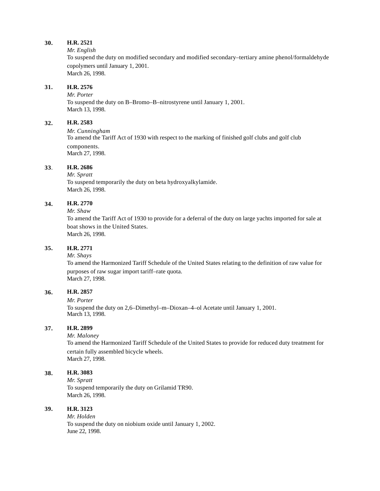*Mr. English*

To suspend the duty on modified secondary and modified secondary–tertiary amine phenol/formaldehyde copolymers until January 1, 2001. March 26, 1998.

### **31. H.R. 2576**

*Mr. Porter* To suspend the duty on B–Bromo–B–nitrostyrene until January 1, 2001. March 13, 1998.

# **32. H.R. 2583**

*Mr. Cunningham* To amend the Tariff Act of 1930 with respect to the marking of finished golf clubs and golf club components. March 27, 1998.

### **33**. **H.R. 2686**

*Mr. Spratt* To suspend temporarily the duty on beta hydroxyalkylamide. March 26, 1998.

# **34. H.R. 2770**

*Mr. Shaw*

To amend the Tariff Act of 1930 to provide for a deferral of the duty on large yachts imported for sale at boat shows in the United States. March 26, 1998.

### **35. H.R. 2771**

*Mr. Shays*

To amend the Harmonized Tariff Schedule of the United States relating to the definition of raw value for purposes of raw sugar import tariff–rate quota. March 27, 1998.

# **36. H.R. 2857**

*Mr. Porter*

To suspend the duty on 2,6–Dimethyl–m–Dioxan–4–ol Acetate until January 1, 2001. March 13, 1998.

#### **37. H.R. 2899**

*Mr. Maloney*

To amend the Harmonized Tariff Schedule of the United States to provide for reduced duty treatment for certain fully assembled bicycle wheels. March 27, 1998.

#### **38. H.R. 3083**

*Mr. Spratt* To suspend temporarily the duty on Grilamid TR90. March 26, 1998.

# **39. H.R. 3123**

*Mr. Holden* To suspend the duty on niobium oxide until January 1, 2002. June 22, 1998.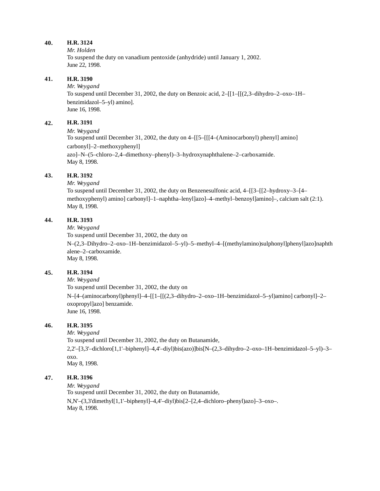*Mr. Holden*

To suspend the duty on vanadium pentoxide (anhydride) until January 1, 2002. June 22, 1998.

### **41. H.R. 3190**

*Mr. Weygand*

To suspend until December 31, 2002, the duty on Benzoic acid, 2–[[1–[[(2,3–dihydro–2–oxo–1H– benzimidazol–5–yl) amino]. June 16, 1998.

# **42. H.R. 3191**

*Mr. Weygand*

To suspend until December 31, 2002, the duty on 4–[[5–[[[4–(Aminocarbonyl) phenyl] amino] carbonyl]–2–methoxyphenyl]

azo]–N–(5–chloro–2,4–dimethoxy–phenyl)–3–hydroxynaphthalene–2–carboxamide. May 8, 1998.

# **43. H.R. 3192**

*Mr. Weygand*

To suspend until December 31, 2002, the duty on Benzenesulfonic acid, 4–[[3–[[2–hydroxy–3–[4– methoxyphenyl) amino] carbonyl]–1–naphtha–lenyl]azo]–4–methyl–benzoyl]amino]–, calcium salt (2:1). May 8, 1998.

# **44. H.R. 3193**

*Mr. Weygand*

To suspend until December 31, 2002, the duty on N–(2,3–Dihydro–2–oxo–1H–benzimidazol–5–yl)–5–methyl–4–[(methylamino)sulphonyl]phenyl]azo]naphth alene–2–carboxamide. May 8, 1998.

#### **45. H.R. 3194**

*Mr. Weygand*

To suspend until December 31, 2002, the duty on N–[4–(aminocarbonyl)phenyl]–4–[[1–[[(2,3–dihydro–2–oxo–1H–benzimidazol–5–yl)amino] carbonyl]–2– oxopropyl]azo] benzamide. June 16, 1998.

# **46. H.R. 3195**

*Mr. Weygand*

To suspend until December 31, 2002, the duty on Butanamide, 2,2'–[3,3'–dichloro[1,1'–biphenyl]–4,4'–diyl)bis(azo)]bis[N–(2,3–dihydro–2–oxo–1H–benzimidazol–5–yl)–3– oxo. May 8, 1998.

# **47. H.R. 3196**

*Mr. Weygand* To suspend until December 31, 2002, the duty on Butanamide, N,N'–(3,3'dimethyl[1,1'–biphenyl]–4,4'–diyl)bis[2–[2,4–dichloro–phenyl)azo]–3–oxo–. May 8, 1998.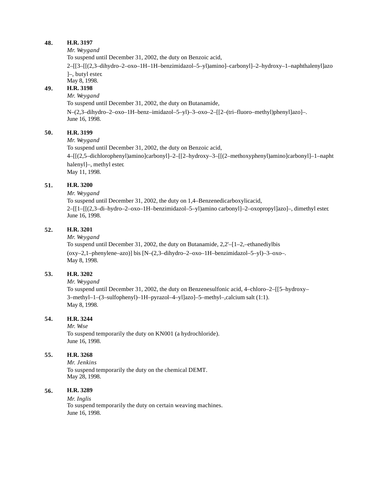*Mr. Weygand*

To suspend until December 31, 2002, the duty on Benzoic acid,

2–[[3–[[(2,3–dihydro–2–oxo–1H–1H–benzimidazol–5–yl)amino]–carbonyl]–2–hydroxy–1–naphthalenyl]azo ]–, butyl ester.

May 8, 1998.

#### **49. H.R. 3198**

#### *Mr. Weygand*

To suspend until December 31, 2002, the duty on Butanamide,

N–(2,3–dihydro–2–oxo–1H–benz–imidazol–5–yl)–3–oxo–2–[[2–(tri–fluoro–methyl)phenyl]azo]–. June 16, 1998.

### **50. H.R. 3199**

*Mr. Weygand*

To suspend until December 31, 2002, the duty on Benzoic acid,

4–[[(2,5–dichlorophenyl)amino]carbonyl]–2–[[2–hydroxy–3–[[(2–methoxyphenyl)amino]carbonyl]–1–napht halenyl]–, methyl ester.

May 11, 1998.

### **51. H.R. 3200**

*Mr. Weygand*

To suspend until December 31, 2002, the duty on 1,4–Benzenedicarboxylicacid, 2–[[1–[[(2,3–di–hydro–2–oxo–1H–benzimidazol–5–yl)amino carbonyl]–2–oxopropyl]azo]–, dimethyl ester. June 16, 1998.

### **52. H.R. 3201**

*Mr. Weygand*

To suspend until December 31, 2002, the duty on Butanamide, 2,2'–[1–2,–ethanediylbis  $(0xy-2,1-phenylene-azo)$ ] bis  $[N-(2,3-dihydro-2-oxo-1H-benzimidazo-5-yl)-3-oxo-$ . May 8, 1998.

#### **53. H.R. 3202**

*Mr. Weygand*

To suspend until December 31, 2002, the duty on Benzenesulfonic acid, 4–chloro–2–[[5–hydroxy– 3–methyl–1–(3–sulfophenyl)–1H–pyrazol–4–yl]azo]–5–methyl–,calcium salt (1:1). May 8, 1998.

#### **54. H.R. 3244**

*Mr. Wise* To suspend temporarily the duty on KN001 (a hydrochloride).

June 16, 1998.

### **55. H.R. 3268**

*Mr. Jenkins* To suspend temporarily the duty on the chemical DEMT. May 28, 1998.

#### **56. H.R. 3289**

*Mr. Inglis* To suspend temporarily the duty on certain weaving machines. June 16, 1998.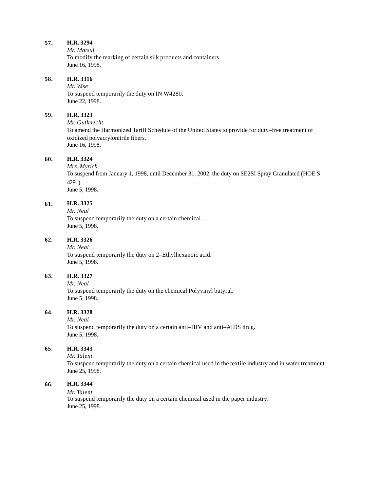*Mr. Matsui* To modify the marking of certain silk products and containers. June 16, 1998.

### **58. H.R. 3316**

*Mr. Wise* To suspend temporarily the duty on IN W4280. June 22, 1998.

#### **59. H.R. 3323**

*Mr. Gutknecht* To amend the Harmonized Tariff Schedule of the United States to provide for duty–free treatment of oxidized polyacrylonitrile fibers. June 16, 1998.

#### **60. H.R. 3324**

*Mrs. Myrick* To suspend from January 1, 1998, until December 31, 2002, the duty on SE2SI Spray Granulated (HOE S 4291). June 5, 1998.

#### **61. H.R. 3325**

*Mr. Neal* To suspend temporarily the duty on a certain chemical. June 5, 1998.

#### **62. H.R. 3326**

*Mr. Neal* To suspend temporarily the duty on 2–Ethylhexanoic acid. June 5, 1998.

# **63. H.R. 3327**

*Mr. Neal*

To suspend temporarily the duty on the chemical Polyvinyl butyral. June 5, 1998.

# **64. H.R. 3328**

*Mr. Neal* To suspend temporarily the duty on a certain anti–HIV and anti–AIDS drug. June 5, 1998.

# **65. H.R. 3343**

*Mr. Talent*

To suspend temporarily the duty on a certain chemical used in the textile industry and in water treatment. June 25, 1998.

### **66. H.R. 3344**

#### *Mr. Talent*

To suspend temporarily the duty on a certain chemical used in the paper industry. June 25, 1998.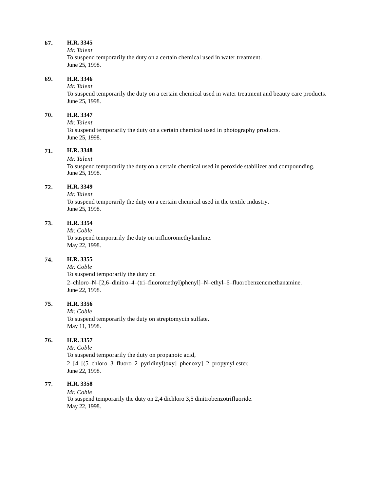#### *Mr. Talent*

To suspend temporarily the duty on a certain chemical used in water treatment. June 25, 1998.

#### **69. H.R. 3346**

*Mr. Talent*

To suspend temporarily the duty on a certain chemical used in water treatment and beauty care products. June 25, 1998.

#### **70. H.R. 3347**

*Mr. Talent*

To suspend temporarily the duty on a certain chemical used in photography products. June 25, 1998.

### **71. H.R. 3348**

#### *Mr. Talent*

To suspend temporarily the duty on a certain chemical used in peroxide stabilizer and compounding. June 25, 1998.

#### **72. H.R. 3349**

*Mr. Talent* To suspend temporarily the duty on a certain chemical used in the textile industry. June 25, 1998.

#### **73. H.R. 3354**

*Mr. Coble*

To suspend temporarily the duty on trifluoromethylaniline. May 22, 1998.

# **74. H.R. 3355**

*Mr. Coble*

To suspend temporarily the duty on 2–chloro–N–[2,6–dinitro–4–(tri–fluoromethyl)phenyl]–N–ethyl–6–fluorobenzenemethanamine. June 22, 1998.

# **75. H.R. 3356**

*Mr. Coble* To suspend temporarily the duty on streptomycin sulfate. May 11, 1998.

### **76. H.R. 3357**

*Mr. Coble* To suspend temporarily the duty on propanoic acid, 2–[4–[(5–chloro–3–fluoro–2–pyridinyl)oxy]–phenoxy]–2–propynyl ester. June 22, 1998.

# **77. H.R. 3358**

*Mr. Coble* To suspend temporarily the duty on 2,4 dichloro 3,5 dinitrobenzotrifluoride. May 22, 1998.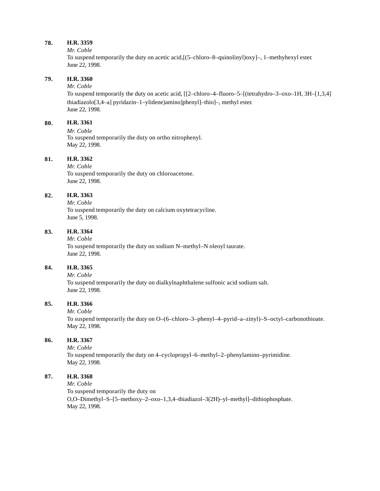#### *Mr. Coble*

To suspend temporarily the duty on acetic acid,[(5–chloro–8–quinolinyl)oxy]–, 1–methyhexyl ester. June 22, 1998.

### **79. H.R. 3360**

# *Mr. Coble*

To suspend temporarily the duty on acetic acid, [[2–chloro–4–fluoro–5–[(tetrahydro–3–oxo–1H, 3H–[1,3,4] thiadiazolo[3,4–a] pyridazin–1–ylidene)amino]phenyl]–thio]–, methyl ester. June 22, 1998.

# **80. H.R. 3361**

*Mr. Coble* To suspend temporarily the duty on ortho nitrophenyl. May 22, 1998.

#### **81. H.R. 3362**

*Mr. Coble* To suspend temporarily the duty on chloroacetone. June 22, 1998.

# **82. H.R. 3363**

*Mr. Coble* To suspend temporarily the duty on calcium oxytetracycline. June 5, 1998.

### **83. H.R. 3364**

*Mr. Coble*

To suspend temporarily the duty on sodium N–methyl–N oleoyl taurate. June 22, 1998.

#### **84. H.R. 3365**

*Mr. Coble* To suspend temporarily the duty on dialkylnaphthalene sulfonic acid sodium salt. June 22, 1998.

# **85. H.R. 3366**

*Mr. Coble*

To suspend temporarily the duty on O–(6–chloro–3–phenyl–4–pyrid–a–zinyl)–S–octyl–carbonothioate. May 22, 1998.

#### **86. H.R. 3367**

*Mr. Coble* To suspend temporarily the duty on 4–cyclopropyl–6–methyl–2–phenylamino–pyrimidine. May 22, 1998.

### **87. H.R. 3368**

*Mr. Coble*

To suspend temporarily the duty on O,O–Dimethyl–S–[5–methoxy–2–oxo–1,3,4–thiadiazol–3(2H)–yl–methyl]–dithiophosphate. May 22, 1998.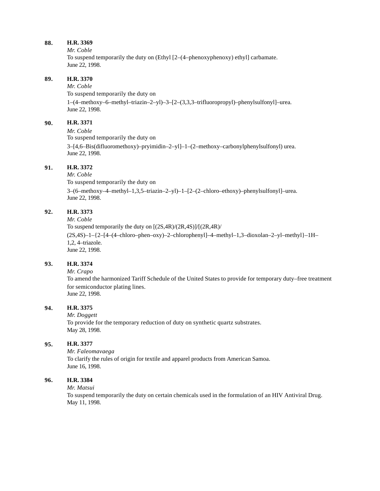*Mr. Coble*

To suspend temporarily the duty on (Ethyl [2–(4–phenoxyphenoxy) ethyl] carbamate. June 22, 1998.

### **89. H.R. 3370**

*Mr. Coble* To suspend temporarily the duty on 1–(4–methoxy–6–methyl–triazin–2–yl)–3–[2–(3,3,3–trifluoropropyl)–phenylsulfonyl]–urea. June 22, 1998.

# **90. H.R. 3371**

*Mr. Coble* To suspend temporarily the duty on 3–[4,6–Bis(difluoromethoxy)–pryimidin–2–yl]–1–(2–methoxy–carbonylphenylsulfonyl) urea. June 22, 1998.

### **91. H.R. 3372**

*Mr. Coble* To suspend temporarily the duty on 3–(6–methoxy–4–methyl–1,3,5–triazin–2–yl)–1–[2–(2–chloro–ethoxy)–phenylsulfonyl]–urea. June 22, 1998.

# **92. H.R. 3373**

*Mr. Coble*

To suspend temporarily the duty on [(2S,4R)/(2R,4S)]/[(2R,4R)/ (2S,4S)–1–{2–[4–(4–chloro–phen–oxy)–2–chlorophenyl]–4–methyl–1,3–dioxolan–2–yl–methyl}–1H– 1,2, 4–triazole. June 22, 1998.

#### **93. H.R. 3374**

#### *Mr. Crapo*

To amend the harmonized Tariff Schedule of the United States to provide for temporary duty–free treatment for semiconductor plating lines. June 22, 1998.

#### **94. H.R. 3375**

*Mr. Doggett* To provide for the temporary reduction of duty on synthetic quartz substrates. May 28, 1998.

#### **95. H.R. 3377**

*Mr. Faleomavaega* To clarify the rules of origin for textile and apparel products from American Samoa. June 16, 1998.

### **96. H.R. 3384**

#### *Mr. Matsui*

To suspend temporarily the duty on certain chemicals used in the formulation of an HIV Antiviral Drug. May 11, 1998.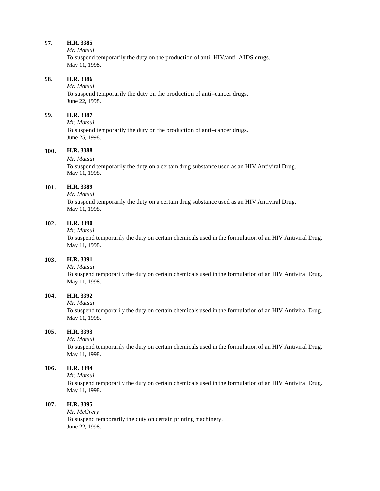*Mr. Matsui*

To suspend temporarily the duty on the production of anti–HIV/anti–AIDS drugs. May 11, 1998.

### **98. H.R. 3386**

*Mr. Matsui*

To suspend temporarily the duty on the production of anti–cancer drugs. June 22, 1998.

#### **99. H.R. 3387**

*Mr. Matsui* To suspend temporarily the duty on the production of anti–cancer drugs. June 25, 1998.

### **100. H.R. 3388**

#### *Mr. Matsui*

To suspend temporarily the duty on a certain drug substance used as an HIV Antiviral Drug. May 11, 1998.

#### **101. H.R. 3389**

*Mr. Matsui*

To suspend temporarily the duty on a certain drug substance used as an HIV Antiviral Drug. May 11, 1998.

### **102. H.R. 3390**

*Mr. Matsui*

To suspend temporarily the duty on certain chemicals used in the formulation of an HIV Antiviral Drug. May 11, 1998.

# **103. H.R. 3391**

*Mr. Matsui*

To suspend temporarily the duty on certain chemicals used in the formulation of an HIV Antiviral Drug. May 11, 1998.

### **104. H.R. 3392**

*Mr. Matsui*

To suspend temporarily the duty on certain chemicals used in the formulation of an HIV Antiviral Drug. May 11, 1998.

# **105. H.R. 3393**

*Mr. Matsui*

To suspend temporarily the duty on certain chemicals used in the formulation of an HIV Antiviral Drug. May 11, 1998.

### **106. H.R. 3394**

*Mr. Matsui*

To suspend temporarily the duty on certain chemicals used in the formulation of an HIV Antiviral Drug. May 11, 1998.

#### **107. H.R. 3395**

*Mr. McCrery* To suspend temporarily the duty on certain printing machinery. June 22, 1998.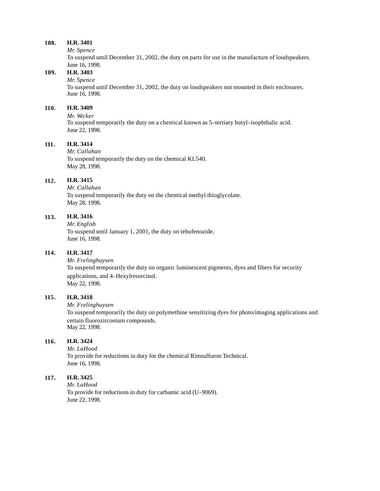*Mr. Spence*

To suspend until December 31, 2002, the duty on parts for use in the manufacture of loudspeakers. June 16, 1998.

# **109. H.R. 3403**

#### *Mr. Spence*

To suspend until December 31, 2002, the duty on loudspeakers not mounted in their enclosures. June 16, 1998.

# **110. H.R. 3409**

#### *Mr. Wicker*

To suspend temporarily the duty on a chemical known as 5–tertiary butyl–isophthalic acid. June 22, 1998.

### **111. H.R. 3414**

*Mr. Callahan* To suspend temporarily the duty on the chemical KL540. May 28, 1998.

### **112. H.R. 3415**

*Mr. Callahan* To suspend temporarily the duty on the chemical methyl thioglycolate. May 28, 1998.

### **113. H.R. 3416**

*Mr. English* To suspend until January 1, 2001, the duty on tebufenozide. June 16, 1998.

### **114. H.R. 3417**

*Mr. Frelinghuysen* To suspend temporarily the duty on organic luminescent pigments, dyes and fibers for security applications, and 4–Hexylresorcinol. May 22, 1998.

#### **115. H.R. 3418**

*Mr. Frelinghuysen*

To suspend temporarily the duty on polymethine sensitizing dyes for photo/imaging applications and certain fluorozirconium compounds. May 22, 1998.

### **116. H.R. 3424**

*Mr. LaHood* To provide for reductions in duty for the chemical Rimsulfuron Technical. June 16, 1998.

### **117. H.R. 3425**

*Mr. LaHood* To provide for reductions in duty for carbamic acid (U–9069). June 22, 1998.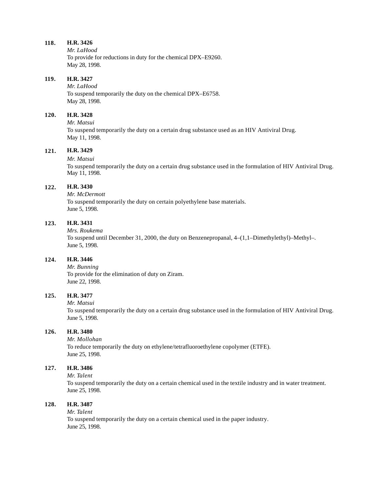*Mr. LaHood* To provide for reductions in duty for the chemical DPX–E9260. May 28, 1998.

### **119. H.R. 3427**

*Mr. LaHood* To suspend temporarily the duty on the chemical DPX–E6758. May 28, 1998.

#### **120. H.R. 3428**

*Mr. Matsui* To suspend temporarily the duty on a certain drug substance used as an HIV Antiviral Drug. May 11, 1998.

### **121. H.R. 3429**

#### *Mr. Matsui*

To suspend temporarily the duty on a certain drug substance used in the formulation of HIV Antiviral Drug. May 11, 1998.

#### **122. H.R. 3430**

*Mr. McDermott* To suspend temporarily the duty on certain polyethylene base materials. June 5, 1998.

### **123. H.R. 3431**

*Mrs. Roukema*

To suspend until December 31, 2000, the duty on Benzenepropanal, 4–(1,1–Dimethylethyl)–Methyl–. June 5, 1998.

# **124. H.R. 3446**

*Mr. Bunning* To provide for the elimination of duty on Ziram. June 22, 1998.

#### **125. H.R. 3477**

*Mr. Matsui*

To suspend temporarily the duty on a certain drug substance used in the formulation of HIV Antiviral Drug. June 5, 1998.

### **126. H.R. 3480**

*Mr. Mollohan* To reduce temporarily the duty on ethylene/tetrafluoroethylene copolymer (ETFE). June 25, 1998.

### **127. H.R. 3486**

*Mr. Talent*

To suspend temporarily the duty on a certain chemical used in the textile industry and in water treatment. June 25, 1998.

#### **128. H.R. 3487**

*Mr. Talent* To suspend temporarily the duty on a certain chemical used in the paper industry. June 25, 1998.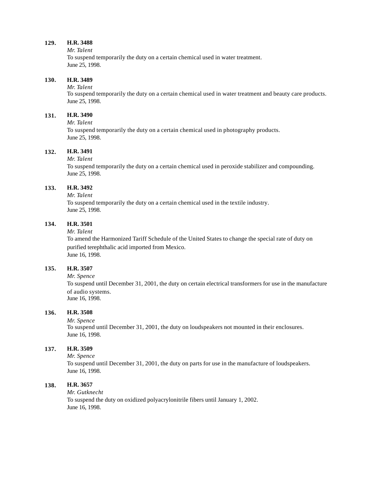#### *Mr. Talent*

To suspend temporarily the duty on a certain chemical used in water treatment. June 25, 1998.

#### **130. H.R. 3489**

#### *Mr. Talent*

To suspend temporarily the duty on a certain chemical used in water treatment and beauty care products. June 25, 1998.

#### **131. H.R. 3490**

### *Mr. Talent*

To suspend temporarily the duty on a certain chemical used in photography products. June 25, 1998.

### **132. H.R. 3491**

#### *Mr. Talent*

To suspend temporarily the duty on a certain chemical used in peroxide stabilizer and compounding. June 25, 1998.

### **133. H.R. 3492**

# *Mr. Talent*

To suspend temporarily the duty on a certain chemical used in the textile industry. June 25, 1998.

### **134. H.R. 3501**

#### *Mr. Talent*

To amend the Harmonized Tariff Schedule of the United States to change the special rate of duty on purified terephthalic acid imported from Mexico. June 16, 1998.

#### **135. H.R. 3507**

#### *Mr. Spence*

To suspend until December 31, 2001, the duty on certain electrical transformers for use in the manufacture of audio systems. June 16, 1998.

### **136. H.R. 3508**

#### *Mr. Spence*

To suspend until December 31, 2001, the duty on loudspeakers not mounted in their enclosures. June 16, 1998.

# **137. H.R. 3509**

#### *Mr. Spence*

To suspend until December 31, 2001, the duty on parts for use in the manufacture of loudspeakers. June 16, 1998.

### **138. H.R. 3657**

#### *Mr. Gutknecht*

To suspend the duty on oxidized polyacrylonitrile fibers until January 1, 2002. June 16, 1998.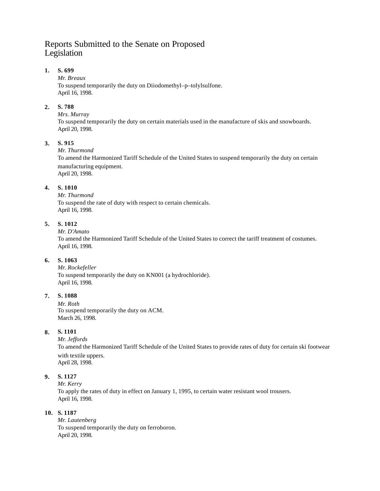# Reports Submitted to the Senate on Proposed Legislation

# **1. S. 699**

### *Mr. Breaux*

To suspend temporarily the duty on Diiodomethyl–p–tolylsulfone. April 16, 1998.

# **2. S. 788**

### *Mrs. Murray*

To suspend temporarily the duty on certain materials used in the manufacture of skis and snowboards. April 20, 1998.

# **3. S. 915**

### *Mr. Thurmond*

To amend the Harmonized Tariff Schedule of the United States to suspend temporarily the duty on certain manufacturing equipment. April 20, 1998.

# **4. S. 1010**

*Mr. Thurmond* To suspend the rate of duty with respect to certain chemicals. April 16, 1998.

# **5. S. 1012**

### *Mr. D'Amato*

To amend the Harmonized Tariff Schedule of the United States to correct the tariff treatment of costumes. April 16, 1998.

# **6. S. 1063**

*Mr. Rockefeller* To suspend temporarily the duty on KN001 (a hydrochloride). April 16, 1998.

# **7. S. 1088**

*Mr. Roth* To suspend temporarily the duty on ACM. March 26, 1998.

# **8. S. 1101**

#### *Mr. Jeffords*

To amend the Harmonized Tariff Schedule of the United States to provide rates of duty for certain ski footwear with textile uppers.

April 28, 1998.

# **9. S. 1127**

*Mr. Kerry*

To apply the rates of duty in effect on January 1, 1995, to certain water resistant wool trousers. April 16, 1998.

# **10. S. 1187**

*Mr. Lautenberg* To suspend temporarily the duty on ferroboron. April 20, 1998.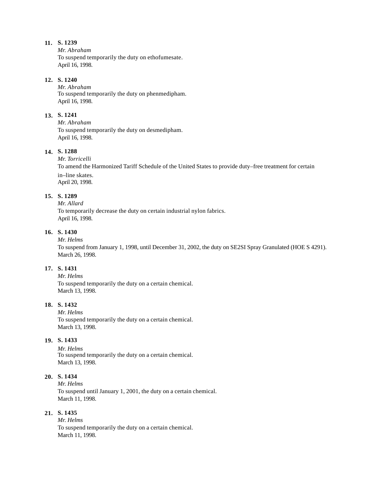*Mr. Abraham* To suspend temporarily the duty on ethofumesate. April 16, 1998.

### **12. S. 1240**

*Mr. Abraham* To suspend temporarily the duty on phenmedipham. April 16, 1998.

### **13. S. 1241**

*Mr. Abraham* To suspend temporarily the duty on desmedipham. April 16, 1998.

# **14. S. 1288**

*Mr. Torricelli* To amend the Harmonized Tariff Schedule of the United States to provide duty–free treatment for certain in–line skates. April 20, 1998.

# **15. S. 1289**

# *Mr. Allard*

To temporarily decrease the duty on certain industrial nylon fabrics. April 16, 1998.

# **16. S. 1430**

### *Mr. Helms*

To suspend from January 1, 1998, until December 31, 2002, the duty on SE2SI Spray Granulated (HOE S 4291). March 26, 1998.

# **17. S. 1431**

*Mr. Helms* To suspend temporarily the duty on a certain chemical. March 13, 1998.

# **18. S. 1432**

*Mr. Helms* To suspend temporarily the duty on a certain chemical. March 13, 1998.

### **19. S. 1433**

*Mr. Helms* To suspend temporarily the duty on a certain chemical. March 13, 1998.

# **20. S. 1434**

*Mr. Helms* To suspend until January 1, 2001, the duty on a certain chemical. March 11, 1998.

# **21. S. 1435**

*Mr. Helms* To suspend temporarily the duty on a certain chemical. March 11, 1998.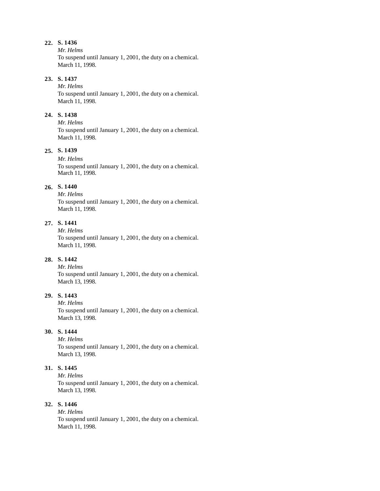*Mr. Helms*

To suspend until January 1, 2001, the duty on a chemical. March 11, 1998.

# **23. S. 1437**

*Mr. Helms* To suspend until January 1, 2001, the duty on a chemical. March 11, 1998.

#### **24. S. 1438**

*Mr. Helms* To suspend until January 1, 2001, the duty on a chemical. March 11, 1998.

# **25. S. 1439**

*Mr. Helms* To suspend until January 1, 2001, the duty on a chemical. March 11, 1998.

### **26. S. 1440**

*Mr. Helms* To suspend until January 1, 2001, the duty on a chemical. March 11, 1998.

### **27. S. 1441**

*Mr. Helms* To suspend until January 1, 2001, the duty on a chemical. March 11, 1998.

# **28. S. 1442**

*Mr. Helms* To suspend until January 1, 2001, the duty on a chemical. March 13, 1998.

#### **29. S. 1443**

*Mr. Helms*

To suspend until January 1, 2001, the duty on a chemical. March 13, 1998.

# **30. S. 1444**

*Mr. Helms* To suspend until January 1, 2001, the duty on a chemical. March 13, 1998.

# **31. S. 1445**

*Mr. Helms*

To suspend until January 1, 2001, the duty on a chemical. March 13, 1998.

# **32. S. 1446**

*Mr. Helms* To suspend until January 1, 2001, the duty on a chemical. March 11, 1998.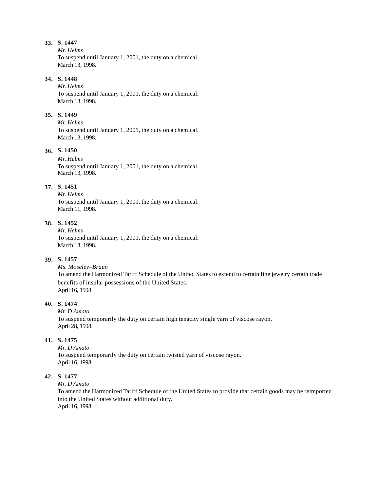*Mr. Helms*

To suspend until January 1, 2001, the duty on a chemical. March 13, 1998.

# **34. S. 1448**

*Mr. Helms* To suspend until January 1, 2001, the duty on a chemical. March 13, 1998.

#### **35. S. 1449**

*Mr. Helms* To suspend until January 1, 2001, the duty on a chemical. March 13, 1998.

# **36. S. 1450**

*Mr. Helms* To suspend until January 1, 2001, the duty on a chemical. March 13, 1998.

# **37. S. 1451**

*Mr. Helms* To suspend until January 1, 2001, the duty on a chemical. March 11, 1998.

### **38. S. 1452**

*Mr. Helms* To suspend until January 1, 2001, the duty on a chemical. March 13, 1998.

# **39. S. 1457**

*Ms. Moseley–Braun*

To amend the Harmonized Tariff Schedule of the United States to extend to certain fine jewelry certain trade benefits of insular possessions of the United States. April 16, 1998.

### **40. S. 1474**

*Mr. D'Amato* To suspend temporarily the duty on certain high tenacity single yarn of viscose rayon. April 28, 1998.

# **41. S. 1475**

*Mr. D'Amato* To suspend temporarily the duty on certain twisted yarn of viscose rayon. April 16, 1998.

#### **42. S. 1477**

*Mr. D'Amato*

To amend the Harmonized Tariff Schedule of the United States to provide that certain goods may be reimported into the United States without additional duty. April 16, 1998.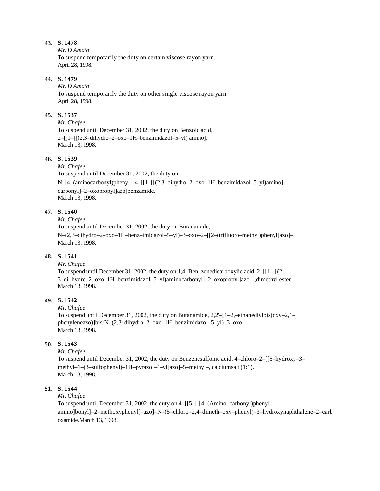*Mr. D'Amato* To suspend temporarily the duty on certain viscose rayon yarn. April 28, 1998.

### **44. S. 1479**

*Mr. D'Amato* To suspend temporarily the duty on other single viscose rayon yarn. April 28, 1998.

### **45. S. 1537**

*Mr. Chafee* To suspend until December 31, 2002, the duty on Benzoic acid,  $2-[1-[[(2,3-dihydro-2-oxo-1H–benzimidazo-5-y])$  amino]. March 13, 1998.

### **46. S. 1539**

*Mr. Chafee* To suspend until December 31, 2002, the duty on N–[4–(aminocarbonyl)phenyl]–4–[[1–[[(2,3–dihydro–2–oxo–1H–benzimidazol–5–yl)amino] carbonyl]–2–oxopropyl]azo]benzamide. March 13, 1998.

# **47. S. 1540**

*Mr. Chafee*

To suspend until December 31, 2002, the duty on Butanamide,

N–(2,3–dihydro–2–oxo–1H–benz–imidazol–5–yl)–3–oxo–2–[[2–(trifluoro–methyl)phenyl]azo]–. March 13, 1998.

# **48. S. 1541**

*Mr. Chafee*

To suspend until December 31, 2002, the duty on  $1,4$ –Ben–zenedicarboxylic acid, 2– $\lceil 1 - \lceil (2, 1) \rceil$ 3–di–hydro–2–oxo–1H–benzimidazol–5–yl)aminocarbonyl]–2–oxopropyl]azo]–,dimethyl ester. March 13, 1998.

# **49. S. 1542**

#### *Mr. Chafee*

To suspend until December 31, 2002, the duty on Butanamide,  $2.2 - [1 - 2]$ , ethanediylbis(oxy-2,1– phenyleneazo)]bis[N–(2,3–dihydro–2–oxo–1H–benzimidazol–5–yl)–3–oxo–. March 13, 1998.

#### **50. S. 1543**

*Mr. Chafee*

To suspend until December 31, 2002, the duty on Benzenesulfonic acid, 4–chloro–2–[[5–hydroxy–3– methyl–1–(3–sulfophenyl)–1H–pyrazol–4–yl]azo]–5–methyl–, calciumsalt (1:1). March 13, 1998.

# **51. S. 1544**

*Mr. Chafee*

To suspend until December 31, 2002, the duty on 4–[[5–[[[4–(Amino–carbonyl)phenyl] amino]bonyl]–2–methoxyphenyl]–azo]–N–(5–chloro–2,4–dimeth–oxy–phenyl)–3–hydroxynaphthalene–2–carb oxamide.March 13, 1998.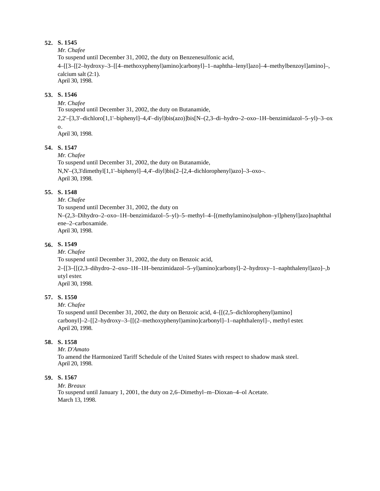#### *Mr. Chafee*

To suspend until December 31, 2002, the duty on Benzenesulfonic acid,

4–[[3–[[2–hydroxy–3–[[4–methoxyphenyl)amino]carbonyl]–1–naphtha–lenyl]azo]–4–methylbenzoyl]amino]–, calcium salt (2:1).

April 30, 1998.

### **53. S. 1546**

### *Mr. Chafee*

To suspend until December 31, 2002, the duty on Butanamide,

2,2'–[3,3'–dichloro[1,1'–biphenyl]–4,4'–diyl)bis(azo)]bis[N–(2,3–di–hydro–2–oxo–1H–benzimidazol–5–yl)–3–ox o.

April 30, 1998.

# **54. S. 1547**

*Mr. Chafee*

To suspend until December 31, 2002, the duty on Butanamide, N,N'–(3,3'dimethyl[1,1'–biphenyl]–4,4'–diyl)bis[2–[2,4–dichlorophenyl)azo]–3–oxo–. April 30, 1998.

### **55. S. 1548**

*Mr. Chafee*

To suspend until December 31, 2002, the duty on N–(2,3–Dihydro–2–oxo–1H–benzimidazol–5–yl)–5–methyl–4–[(methylamino)sulphon–yl]phenyl]azo]naphthal ene–2–carboxamide. April 30, 1998.

# **56. S. 1549**

*Mr. Chafee*

To suspend until December 31, 2002, the duty on Benzoic acid, 2–[[3–[[(2,3–dihydro–2–oxo–1H–1H–benzimidazol–5–yl)amino]carbonyl]–2–hydroxy–1–naphthalenyl]azo]–,b utyl ester. April 30, 1998.

# **57. S. 1550**

*Mr. Chafee*

To suspend until December 31, 2002, the duty on Benzoic acid, 4–[[(2,5–dichlorophenyl)amino] carbonyl]–2–[[2–hydroxy–3–[[(2–methoxyphenyl)amino]carbonyl]–1–naphthalenyl]–, methyl ester. April 20, 1998.

### **58. S. 1558**

*Mr. D'Amato*

To amend the Harmonized Tariff Schedule of the United States with respect to shadow mask steel. April 20, 1998.

### **59. S. 1567**

*Mr. Breaux*

To suspend until January 1, 2001, the duty on 2,6–Dimethyl–m–Dioxan–4–ol Acetate. March 13, 1998.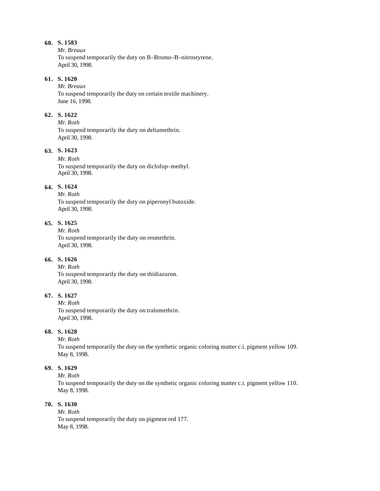#### *Mr. Breaux*

To suspend temporarily the duty on B–Bromo–B–nitrostyrene. April 30, 1998.

# **61. S. 1620**

*Mr. Breaux* To suspend temporarily the duty on certain textile machinery. June 16, 1998.

### **62. S. 1622**

*Mr. Roth* To suspend temporarily the duty on deltamethrin. April 30, 1998.

# **63. S. 1623**

*Mr. Roth* To suspend temporarily the duty on diclofop–methyl. April 30, 1998.

### **64. S. 1624**

*Mr. Roth* To suspend temporarily the duty on piperonyl butoxide. April 30, 1998.

#### **65. S. 1625**

*Mr. Roth* To suspend temporarily the duty on resmethrin. April 30, 1998.

# **66. S. 1626**

*Mr. Roth* To suspend temporarily the duty on thidiazuron. April 30, 1998.

#### **67. S. 1627**

*Mr. Roth* To suspend temporarily the duty on tralomethrin. April 30, 1998.

### **68. S. 1628**

*Mr. Roth*

To suspend temporarily the duty on the synthetic organic coloring matter c.i. pigment yellow 109. May 8, 1998.

# **69. S. 1629**

*Mr. Roth*

To suspend temporarily the duty on the synthetic organic coloring matter c.i. pigment yellow 110. May 8, 1998.

#### **70. S. 1630**

*Mr. Roth* To suspend temporarily the duty on pigment red 177. May 8, 1998.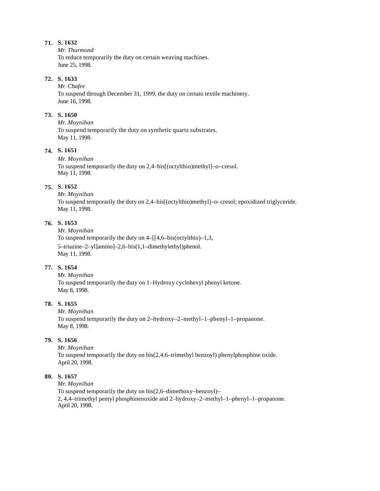*Mr. Thurmond* To reduce temporarily the duty on certain weaving machines. June 25, 1998.

# **72. S. 1633**

*Mr. Chafee* To suspend through December 31, 1999, the duty on certain textile machinery. June 16, 1998.

#### **73. S. 1650**

*Mr. Moynihan* To suspend temporarily the duty on synthetic quartz substrates. May 11, 1998.

# **74. S. 1651**

*Mr. Moynihan*

To suspend temporarily the duty on 2,4–bis[(octylthio)methyl]–o–cresol. May 11, 1998.

# **75. S. 1652**

*Mr. Moynihan* To suspend temporarily the duty on 2,4–bis[(octylthio)methyl]–o–cresol; epoxidized triglyceride. May 11, 1998.

### **76. S. 1653**

*Mr. Moynihan* To suspend temporarily the duty on 4–[[4,6–bis(octylthio)–1,3, 5–triazine–2–yl]amino]–2,6–bis(1,1–dimethylethyl)phenol. May 11, 1998.

# **77. S. 1654**

*Mr. Moynihan* To suspend temporarily the duty on 1–Hydroxy cyclohexyl phenyl ketone. May 8, 1998.

### **78. S. 1655**

*Mr. Moynihan* To suspend temporarily the duty on 2–hydroxy–2–methyl–1–phenyl–1–propanone. May 8, 1998.

### **79. S. 1656**

*Mr. Moynihan* To suspend temporarily the duty on bis(2,4,6–trimethyl benzoyl) phenylphosphine oxide. April 20, 1998.

### **80. S. 1657**

*Mr. Moynihan*

To suspend temporarily the duty on bis(2,6–dimethoxy–benzoyl)– 2, 4,4–trimethyl pentyl phosphinenoxide and 2–hydroxy–2–methyl–1–phenyl–1–propanone. April 20, 1998.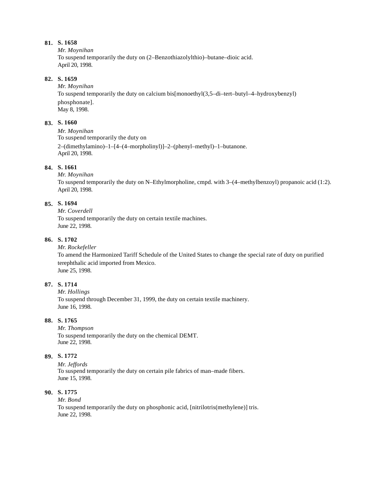*Mr. Moynihan* To suspend temporarily the duty on (2–Benzothiazolylthio)–butane–dioic acid. April 20, 1998.

#### **82. S. 1659**

*Mr. Moynihan* To suspend temporarily the duty on calcium bis[monoethyl(3,5–di–tert–butyl–4–hydroxybenzyl) phosphonate]. May 8, 1998.

### **83. S. 1660**

*Mr. Moynihan* To suspend temporarily the duty on 2–(dimethylamino)–1–[4–(4–morpholinyl)]–2–(phenyl–methyl)–1–butanone. April 20, 1998.

### **84. S. 1661**

*Mr. Moynihan* To suspend temporarily the duty on N–Ethylmorpholine, cmpd. with 3–(4–methylbenzoyl) propanoic acid (1:2). April 20, 1998.

### **85. S. 1694**

*Mr. Coverdell* To suspend temporarily the duty on certain textile machines. June 22, 1998.

# **86. S. 1702**

#### *Mr. Rockefeller*

To amend the Harmonized Tariff Schedule of the United States to change the special rate of duty on purified terephthalic acid imported from Mexico. June 25, 1998.

### **87. S. 1714**

*Mr. Hollings* To suspend through December 31, 1999, the duty on certain textile machinery. June 16, 1998.

# **88. S. 1765**

*Mr. Thompson* To suspend temporarily the duty on the chemical DEMT. June 22, 1998.

#### **89. S. 1772**

*Mr. Jeffords* To suspend temporarily the duty on certain pile fabrics of man–made fibers. June 15, 1998.

# **90. S. 1775**

*Mr. Bond* To suspend temporarily the duty on phosphonic acid, [nitrilotris(methylene)] tris. June 22, 1998.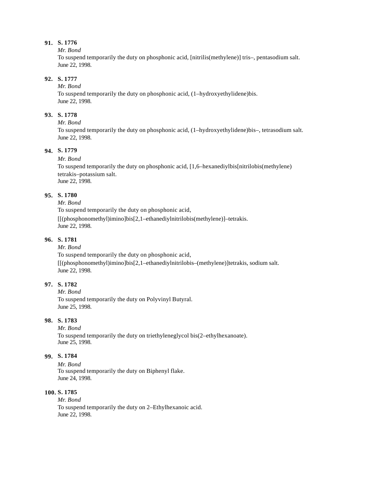*Mr. Bond*

To suspend temporarily the duty on phosphonic acid, [nitrilis(methylene)] tris–, pentasodium salt. June 22, 1998.

# **92. S. 1777**

*Mr. Bond*

To suspend temporarily the duty on phosphonic acid, (1–hydroxyethylidene)bis. June 22, 1998.

### **93. S. 1778**

*Mr. Bond*

To suspend temporarily the duty on phosphonic acid, (1–hydroxyethylidene)bis–, tetrasodium salt. June 22, 1998.

# **94. S. 1779**

#### *Mr. Bond*

To suspend temporarily the duty on phosphonic acid, [1,6–hexanediylbis[nitrilobis(methylene) tetrakis–potassium salt. June 22, 1998.

### **95. S. 1780**

### *Mr. Bond*

To suspend temporarily the duty on phosphonic acid, [[(phosphonomethyl)imino]bis[2,1–ethanediylnitrilobis(methylene)]–tetrakis. June 22, 1998.

# **96. S. 1781**

#### *Mr. Bond*

To suspend temporarily the duty on phosphonic acid, [[(phosphonomethyl)imino]bis[2,1–ethanediylnitrilobis–(methylene)]tetrakis, sodium salt. June 22, 1998.

# **97. S. 1782**

*Mr. Bond* To suspend temporarily the duty on Polyvinyl Butyral. June 25, 1998.

# **98. S. 1783**

*Mr. Bond* To suspend temporarily the duty on triethyleneglycol bis(2–ethylhexanoate). June 25, 1998.

#### **99. S. 1784**

*Mr. Bond* To suspend temporarily the duty on Biphenyl flake. June 24, 1998.

# **100. S. 1785**

*Mr. Bond* To suspend temporarily the duty on 2–Ethylhexanoic acid. June 22, 1998.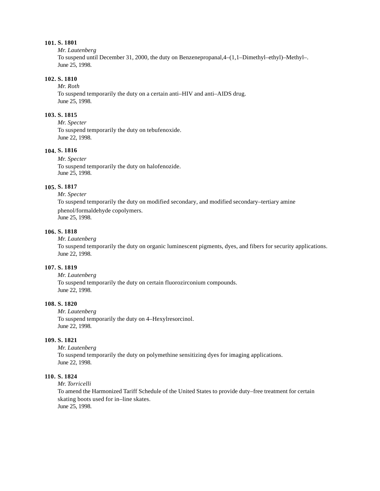*Mr. Lautenberg*

To suspend until December 31, 2000, the duty on Benzenepropanal,4–(1,1–Dimethyl–ethyl)–Methyl–. June 25, 1998.

#### **102. S. 1810**

*Mr. Roth*

To suspend temporarily the duty on a certain anti–HIV and anti–AIDS drug. June 25, 1998.

#### **103. S. 1815**

*Mr. Specter* To suspend temporarily the duty on tebufenoxide. June 22, 1998.

### **104. S. 1816**

*Mr. Specter* To suspend temporarily the duty on halofenozide. June 25, 1998.

#### **105. S. 1817**

*Mr. Specter*

To suspend temporarily the duty on modified secondary, and modified secondary–tertiary amine phenol/formaldehyde copolymers. June 25, 1998.

**106. S. 1818**

#### *Mr. Lautenberg*

To suspend temporarily the duty on organic luminescent pigments, dyes, and fibers for security applications. June 22, 1998.

#### **107. S. 1819**

*Mr. Lautenberg* To suspend temporarily the duty on certain fluorozirconium compounds. June 22, 1998.

### **108. S. 1820**

*Mr. Lautenberg* To suspend temporarily the duty on 4–Hexylresorcinol. June 22, 1998.

#### **109. S. 1821**

*Mr. Lautenberg* To suspend temporarily the duty on polymethine sensitizing dyes for imaging applications. June 22, 1998.

#### **110. S. 1824**

*Mr. Torricelli*

To amend the Harmonized Tariff Schedule of the United States to provide duty–free treatment for certain skating boots used for in–line skates. June 25, 1998.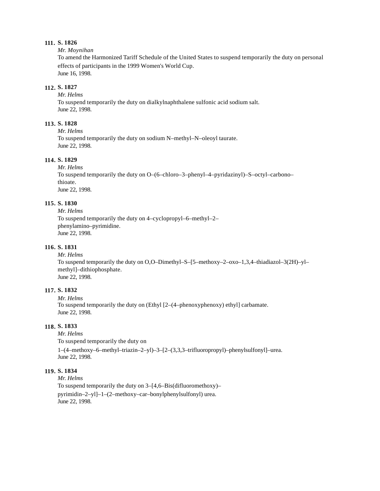#### *Mr. Moynihan*

To amend the Harmonized Tariff Schedule of the United States to suspend temporarily the duty on personal effects of participants in the 1999 Women's World Cup. June 16, 1998.

#### **112. S. 1827**

*Mr. Helms*

To suspend temporarily the duty on dialkylnaphthalene sulfonic acid sodium salt. June 22, 1998.

# **113. S. 1828**

*Mr. Helms* To suspend temporarily the duty on sodium N–methyl–N–oleoyl taurate. June 22, 1998.

### **114. S. 1829**

*Mr. Helms* To suspend temporarily the duty on O–(6–chloro–3–phenyl–4–pyridazinyl)–S–octyl–carbono– thioate. June 22, 1998.

### **115. S. 1830**

*Mr. Helms* To suspend temporarily the duty on 4–cyclopropyl–6–methyl–2– phenylamino–pyrimidine. June 22, 1998.

#### **116. S. 1831**

*Mr. Helms* To suspend temporarily the duty on O,O–Dimethyl–S–[5–methoxy–2–oxo–1,3,4–thiadiazol–3(2H)–yl– methyl]–dithiophosphate. June 22, 1998.

#### **117. S. 1832**

*Mr. Helms* To suspend temporarily the duty on (Ethyl [2–(4–phenoxyphenoxy) ethyl] carbamate. June 22, 1998.

#### **118. S. 1833**

*Mr. Helms*

To suspend temporarily the duty on

1–(4–methoxy–6–methyl–triazin–2–yl)–3–[2–(3,3,3–trifluoropropyl)–phenylsulfonyl]–urea. June 22, 1998.

### **119. S. 1834**

*Mr. Helms* To suspend temporarily the duty on 3–[4,6–Bis(difluoromethoxy)– pyrimidin–2–yl]–1–(2–methoxy–car–bonylphenylsulfonyl) urea. June 22, 1998.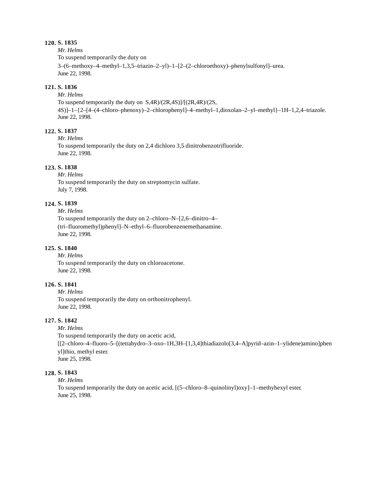#### *Mr. Helms*

To suspend temporarily the duty on 3–(6–methoxy–4–methyl–1,3,5–triazin–2–yl)–1–[2–(2–chloroethoxy)–phenylsulfonyl]–urea. June 22, 1998.

### **121. S. 1836**

*Mr. Helms*

To suspend temporarily the duty on S,4R)/(2R,4S)]/[(2R,4R)/(2S, 4S)]–1–{2–[4–(4–chloro–phenoxy)–2–chlorophenyl]–4–methyl–1,dioxolan–2–yl–methyl}–1H–1,2,4–triazole. June 22, 1998.

#### **122. S. 1837**

*Mr. Helms*

To suspend temporarily the duty on 2,4 dichloro 3,5 dinitrobenzotrifluoride. June 22, 1998.

# **123. S. 1838**

*Mr. Helms* To suspend temporarily the duty on streptomycin sulfate. July 7, 1998.

# **124. S. 1839**

*Mr. Helms*

To suspend temporarily the duty on 2–chloro–N–[2,6–dinitro–4– (tri–fluoromethyl)phenyl]–N–ethyl–6–fluorobenzenemethanamine. June 22, 1998.

### **125. S. 1840**

*Mr. Helms* To suspend temporarily the duty on chloroacetone. June 22, 1998.

### **126. S. 1841**

*Mr. Helms* To suspend temporarily the duty on orthonitrophenyl. June 22, 1998.

# **127. S. 1842**

*Mr. Helms*

To suspend temporarily the duty on acetic acid, [[2–chloro–4–fluoro–5–[(tetrahydro–3–oxo–1H,3H–[1,3,4]thiadiazolo[3,4–A]pyrid–azin–1–ylidene)amino]phen yl]thio, methyl ester. June 25, 1998.

#### **128. S. 1843**

*Mr. Helms*

To suspend temporarily the duty on acetic acid, [(5–chloro–8–quinolinyl)oxy]–1–methyhexyl ester. June 25, 1998.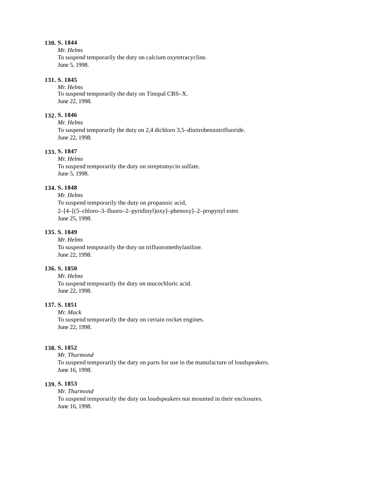#### *Mr. Helms* To suspend temporarily the duty on calcium oxytetracycline. June 5, 1998.

#### **131. S. 1845**

*Mr. Helms* To suspend temporarily the duty on Tinopal CBS–X. June 22, 1998.

### **132. S. 1846**

*Mr. Helms* To suspend temporarily the duty on 2,4 dichloro 3,5–dinitrobenzotrifluoride. June 22, 1998.

### **133. S. 1847**

*Mr. Helms* To suspend temporarily the duty on streptomycin sulfate. June 5, 1998.

# **134. S. 1848**

*Mr. Helms* To suspend temporarily the duty on propanoic acid, 2–[4–[(5–chloro–3–fluoro–2–pyridinyl)oxy]–phenoxy]–2–propynyl ester. June 25, 1998.

### **135. S. 1849**

*Mr. Helms* To suspend temporarily the duty on trifluoromethylaniline. June 22, 1998.

### **136. S. 1850**

*Mr. Helms* To suspend temporarily the duty on mucochloric acid. June 22, 1998.

#### **137. S. 1851**

*Mr. Mack* To suspend temporarily the duty on certain rocket engines. June 22, 1998.

#### **138. S. 1852**

*Mr. Thurmond* To suspend temporarily the duty on parts for use in the manufacture of loudspeakers. June 16, 1998.

### **139. S. 1853**

*Mr. Thurmond*

To suspend temporarily the duty on loudspeakers not mounted in their enclosures. June 16, 1998.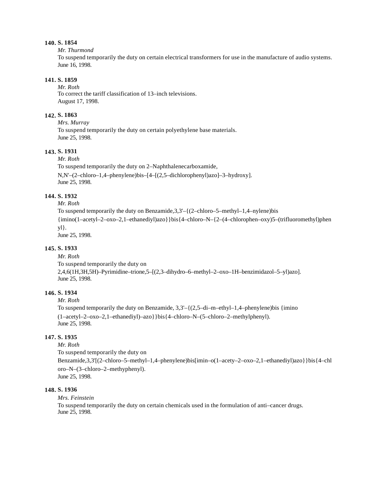#### *Mr. Thurmond*

To suspend temporarily the duty on certain electrical transformers for use in the manufacture of audio systems. June 16, 1998.

#### **141. S. 1859**

*Mr. Roth* To correct the tariff classification of 13–inch televisions. August 17, 1998.

### **142. S. 1863**

*Mrs. Murray* To suspend temporarily the duty on certain polyethylene base materials. June 25, 1998.

### **143. S. 1931**

*Mr. Roth*

To suspend temporarily the duty on 2–Naphthalenecarboxamide, N,N'–(2–chloro–1,4–phenylene)bis–[4–[(2,5–dichlorophenyl)azo]–3–hydroxy]. June 25, 1998.

# **144. S. 1932**

*Mr. Roth*

To suspend temporarily the duty on Benzamide,3,3'–{(2–chloro–5–methyl–1,4–nylene)bis {imino(1–acetyl–2–oxo–2,1–ethanediyl)azo}}bis{4–chloro–N–{2–(4–chlorophen–oxy)5–(trifluoromethyl)phen yl}. June 25, 1998.

#### **145. S. 1933**

*Mr. Roth* To suspend temporarily the duty on 2,4,6(1H,3H,5H)–Pyrimidine–trione,5–[(2,3–dihydro–6–methyl–2–oxo–1H–benzimidazol–5–yl)azo]. June 25, 1998.

#### **146. S. 1934**

*Mr. Roth*

To suspend temporarily the duty on Benzamide,  $3,3'-$  { $(2,5-di-m-ethyl-1,4-phenylene)$ bis {imino} (1–acetyl–2–oxo–2,1–ethanediyl)–azo}}bis{4–chloro–N–(5–chloro–2–methylphenyl). June 25, 1998.

# **147. S. 1935**

*Mr. Roth*

To suspend temporarily the duty on

Benzamide,3,3'[(2–chloro–5–methyl–1,4–phenylene)bis[imin–o(1–acety–2–oxo–2,1–ethanediyl)azo}}bis{4–chl oro–N–(3–chloro–2–methyphenyl). June 25, 1998.

#### **148. S. 1936**

*Mrs. Feinstein* To suspend temporarily the duty on certain chemicals used in the formulation of anti–cancer drugs. June 25, 1998.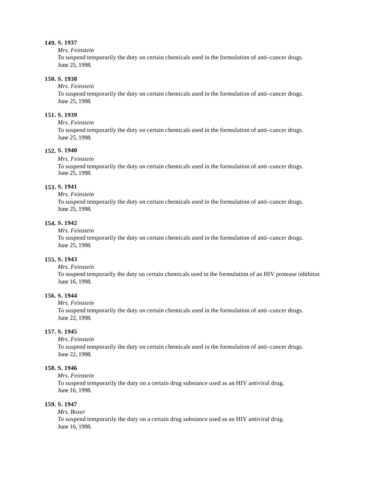#### *Mrs. Feinstein*

To suspend temporarily the duty on certain chemicals used in the formulation of anti–cancer drugs. June 25, 1998.

#### **150. S. 1938**

*Mrs. Feinstein*

To suspend temporarily the duty on certain chemicals used in the formulation of anti–cancer drugs. June 25, 1998.

#### **151. S. 1939**

*Mrs. Feinstein*

To suspend temporarily the duty on certain chemicals used in the formulation of anti–cancer drugs. June 25, 1998.

#### **152. S. 1940**

#### *Mrs. Feinstein*

To suspend temporarily the duty on certain chemicals used in the formulation of anti–cancer drugs. June 25, 1998.

#### **153. S. 1941**

*Mrs. Feinstein*

To suspend temporarily the duty on certain chemicals used in the formulation of anti–cancer drugs. June 25, 1998.

#### **154. S. 1942**

*Mrs. Feinstein*

To suspend temporarily the duty on certain chemicals used in the formulation of anti–cancer drugs. June 25, 1998.

#### **155. S. 1943**

#### *Mrs. Feinstein*

To suspend temporarily the duty on certain chemicals used in the formulation of an HIV protease inhibitor. June 16, 1998.

#### **156. S. 1944**

*Mrs. Feinstein*

To suspend temporarily the duty on certain chemicals used in the formulation of anti–cancer drugs. June 22, 1998.

#### **157. S. 1945**

*Mrs. Feinstein*

To suspend temporarily the duty on certain chemicals used in the formulation of anti–cancer drugs. June 22, 1998.

### **158. S. 1946**

*Mrs. Feinstein*

To suspend temporarily the duty on a certain drug substance used as an HIV antiviral drug. June 16, 1998.

#### **159. S. 1947**

#### *Mrs. Boxer*

To suspend temporarily the duty on a certain drug substance used as an HIV antiviral drug. June 16, 1998.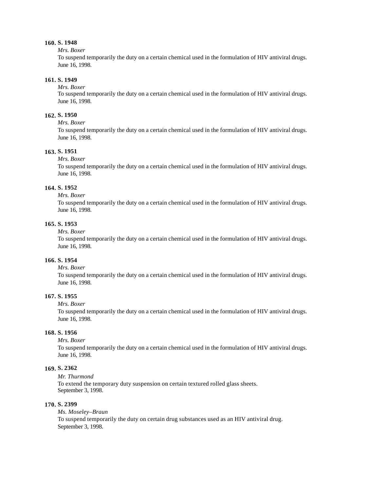#### *Mrs. Boxer*

To suspend temporarily the duty on a certain chemical used in the formulation of HIV antiviral drugs. June 16, 1998.

#### **161. S. 1949**

#### *Mrs. Boxer*

To suspend temporarily the duty on a certain chemical used in the formulation of HIV antiviral drugs. June 16, 1998.

#### **162. S. 1950**

#### *Mrs. Boxer*

To suspend temporarily the duty on a certain chemical used in the formulation of HIV antiviral drugs. June 16, 1998.

#### **163. S. 1951**

#### *Mrs. Boxer*

To suspend temporarily the duty on a certain chemical used in the formulation of HIV antiviral drugs. June 16, 1998.

### **164. S. 1952**

#### *Mrs. Boxer*

To suspend temporarily the duty on a certain chemical used in the formulation of HIV antiviral drugs. June 16, 1998.

#### **165. S. 1953**

*Mrs. Boxer*

To suspend temporarily the duty on a certain chemical used in the formulation of HIV antiviral drugs. June 16, 1998.

### **166. S. 1954**

#### *Mrs. Boxer*

To suspend temporarily the duty on a certain chemical used in the formulation of HIV antiviral drugs. June 16, 1998.

#### **167. S. 1955**

#### *Mrs. Boxer*

To suspend temporarily the duty on a certain chemical used in the formulation of HIV antiviral drugs. June 16, 1998.

#### **168. S. 1956**

*Mrs. Boxer*

To suspend temporarily the duty on a certain chemical used in the formulation of HIV antiviral drugs. June 16, 1998.

# **169. S. 2362**

*Mr. Thurmond* To extend the temporary duty suspension on certain textured rolled glass sheets. September 3, 1998.

#### **170. S. 2399**

*Ms. Moseley–Braun* To suspend temporarily the duty on certain drug substances used as an HIV antiviral drug. September 3, 1998.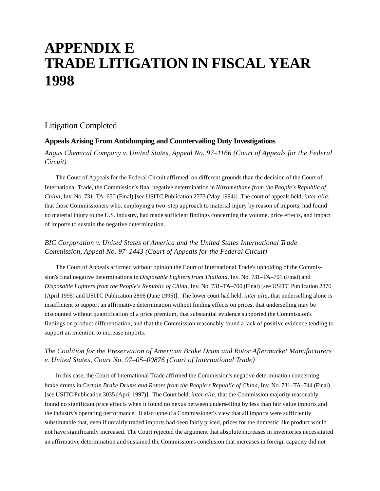# **APPENDIX E TRADE LITIGATION IN FISCAL YEAR 1998**

# Litigation Completed

# **Appeals Arising From Antidumping and Countervailing Duty Investigations**

# *Angus Chemical Company v. United States, Appeal No. 97–1166 (Court of Appeals for the Federal Circuit)*

The Court of Appeals for the Federal Circuit affirmed, on different grounds than the decision of the Court of International Trade, the Commission's final negative determination in *Nitromethane from the People's Republic of China*, Inv. No. 731–TA–650 (Final) [see USITC Publication 2773 (May 1994)]. The court of appeals held, *inter alia*, that those Commissioners who, employing a two–step approach to material injury by reason of imports, had found no material injury to the U.S. industry, had made sufficient findings concerning the volume, price effects, and impact of imports to sustain the negative determination.

# *BIC Corporation v. United States of America and the United States International Trade Commission, Appeal No. 97–1443 (Court of Appeals for the Federal Circuit)*

The Court of Appeals affirmed without opinion the Court of International Trade's upholding of the Commission's final negative determinations in *Disposable Lighters from Thailand*, Inv. No. 731–TA–701 (Final) and *Disposable Lighters from the People's Republic of China*, Inv. No. 731–TA–700 (Final) [see USITC Publication 2876 (April 1995) and USITC Publication 2896 (June 1995)]. The lower court had held, *inter alia,* that underselling alone is insufficient to support an affirmative determination without finding effects on prices, that underselling may be discounted without quantification of a price premium, that substantial evidence supported the Commission's findings on product differentiation, and that the Commission reasonably found a lack of positive evidence tending to support an intention to increase imports.

# *The Coalition for the Preservation of American Brake Drum and Rotor Aftermarket Manufacturers v. United States, Court No. 97–05–00876 (Court of International Trade)*

In this case, the Court of International Trade affirmed the Commission's negative determination concerning brake drums in *Certain Brake Drums and Rotors from the People's Republic of China*, Inv. No. 731–TA–744 (Final) [see USITC Publication 3035 (April 1997)]. The Court held, *inter alia*, that the Commission majority reasonably found no significant price effects when it found no nexus between underselling by less than fair value imports and the industry's operating performance. It also upheld a Commissioner's view that all imports were sufficiently substitutable that, even if unfairly traded imports had been fairly priced, prices for the domestic like product would not have significantly increased. The Court rejected the argument that absolute increases in inventories necessitated an affirmative determination and sustained the Commission's conclusion that increases in foreign capacity did not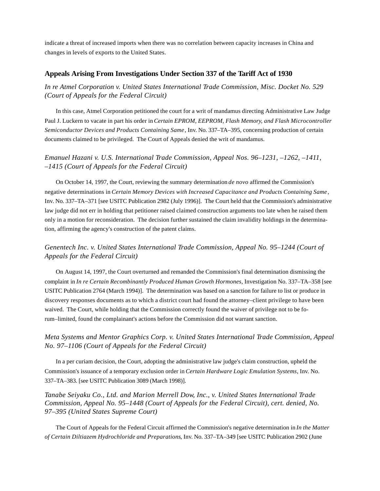indicate a threat of increased imports when there was no correlation between capacity increases in China and changes in levels of exports to the United States.

#### **Appeals Arising From Investigations Under Section 337 of the Tariff Act of 1930**

*In re Atmel Corporation v. United States International Trade Commission, Misc. Docket No. 529 (Court of Appeals for the Federal Circuit)*

In this case, Atmel Corporation petitioned the court for a writ of mandamus directing Administrative Law Judge Paul J. Luckern to vacate in part his order in *Certain EPROM, EEPROM, Flash Memory, and Flash Microcontroller Semiconductor Devices and Products Containing Same*, Inv. No. 337–TA–395, concerning production of certain documents claimed to be privileged. The Court of Appeals denied the writ of mandamus.

# *Emanuel Hazani v. U.S. International Trade Commission, Appeal Nos. 96–1231, –1262, –1411, –1415 (Court of Appeals for the Federal Circuit)*

On October 14, 1997, the Court, reviewing the summary determination *de novo* affirmed the Commission's negative determinations in *Certain Memory Devices with Increased Capacitance and Products Containing Same*, Inv. No. 337–TA–371 [see USITC Publication 2982 (July 1996)]. The Court held that the Commission's administrative law judge did not err in holding that petitioner raised claimed construction arguments too late when he raised them only in a motion for reconsideration. The decision further sustained the claim invalidity holdings in the determination, affirming the agency's construction of the patent claims.

# *Genentech Inc. v. United States International Trade Commission, Appeal No. 95–1244 (Court of Appeals for the Federal Circuit)*

On August 14, 1997, the Court overturned and remanded the Commission's final determination dismissing the complaint in *In re Certain Recombinantly Produced Human Growth Hormones*, Investigation No. 337–TA–358 [see USITC Publication 2764 (March 1994)]. The determination was based on a sanction for failure to list or produce in discovery responses documents as to which a district court had found the attorney–client privilege to have been waived. The Court, while holding that the Commission correctly found the waiver of privilege not to be forum–limited, found the complainant's actions before the Commission did not warrant sanction.

# *Meta Systems and Mentor Graphics Corp. v. United States International Trade Commission, Appeal No. 97–1106 (Court of Appeals for the Federal Circuit)*

In a per curiam decision, the Court, adopting the administrative law judge's claim construction, upheld the Commission's issuance of a temporary exclusion order in *Certain Hardware Logic Emulation Systems*, Inv. No. 337–TA–383. [see USITC Publication 3089 (March 1998)].

*Tanabe Seiyaku Co., Ltd. and Marion Merrell Dow, Inc., v. United States International Trade Commission, Appeal No. 95–1448 (Court of Appeals for the Federal Circuit), cert. denied, No. 97–395 (United States Supreme Court)* 

The Court of Appeals for the Federal Circuit affirmed the Commission's negative determination in *In the Matter of Certain Diltiazem Hydrochloride and Preparations*, Inv. No. 337–TA–349 [see USITC Publication 2902 (June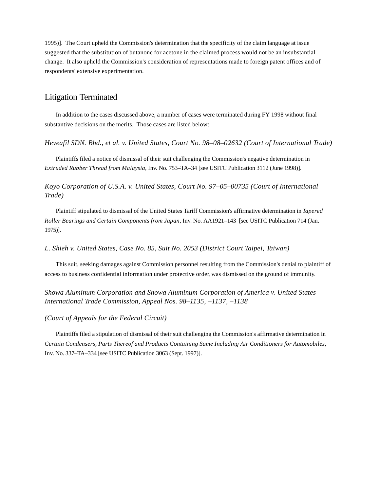1995)]. The Court upheld the Commission's determination that the specificity of the claim language at issue suggested that the substitution of butanone for acetone in the claimed process would not be an insubstantial change. It also upheld the Commission's consideration of representations made to foreign patent offices and of respondents' extensive experimentation.

# Litigation Terminated

In addition to the cases discussed above, a number of cases were terminated during FY 1998 without final substantive decisions on the merits. Those cases are listed below:

*Heveafil SDN. Bhd., et al. v. United States, Court No. 98–08–02632 (Court of International Trade)* 

Plaintiffs filed a notice of dismissal of their suit challenging the Commission's negative determination in *Extruded Rubber Thread from Malaysia*, Inv. No. 753–TA–34 [see USITC Publication 3112 (June 1998)].

*Koyo Corporation of U.S.A. v. United States, Court No. 97–05–00735 (Court of International Trade)*

Plaintiff stipulated to dismissal of the United States Tariff Commission's affirmative determination in *Tapered Roller Bearings and Certain Components from Japan*, Inv. No. AA1921–143 [see USITC Publication 714 (Jan. 1975)].

*L. Shieh v. United States, Case No. 85, Suit No. 2053 (District Court Taipei, Taiwan)* 

This suit, seeking damages against Commission personnel resulting from the Commission's denial to plaintiff of access to business confidential information under protective order, was dismissed on the ground of immunity.

*Showa Aluminum Corporation and Showa Aluminum Corporation of America v. United States International Trade Commission, Appeal Nos. 98–1135, –1137, –1138* 

*(Court of Appeals for the Federal Circuit)* 

Plaintiffs filed a stipulation of dismissal of their suit challenging the Commission's affirmative determination in *Certain Condensers, Parts Thereof and Products Containing Same Including Air Conditioners for Automobiles*, Inv. No. 337–TA–334 [see USITC Publication 3063 (Sept. 1997)].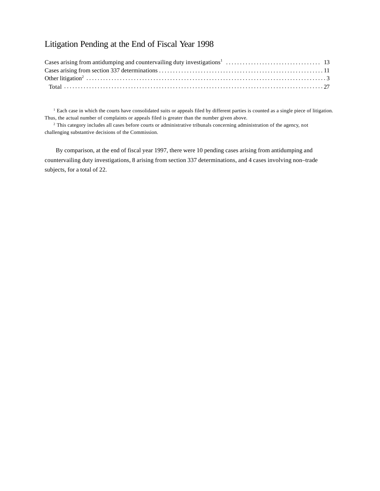# Litigation Pending at the End of Fiscal Year 1998

<sup>1</sup> Each case in which the courts have consolidated suits or appeals filed by different parties is counted as a single piece of litigation. Thus, the actual number of complaints or appeals filed is greater than the number given above.

<sup>2</sup> This category includes all cases before courts or administrative tribunals concerning administration of the agency, not challenging substantive decisions of the Commission.

By comparison, at the end of fiscal year 1997, there were 10 pending cases arising from antidumping and countervailing duty investigations, 8 arising from section 337 determinations, and 4 cases involving non–trade subjects, for a total of 22.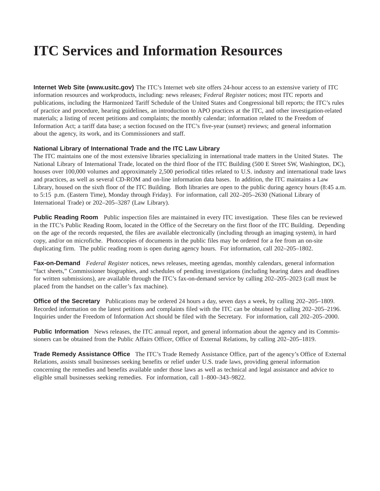# **ITC Services and Information Resources**

**Internet Web Site (www.usitc.gov)** The ITC's Internet web site offers 24-hour access to an extensive variety of ITC information resources and workproducts, including: news releases; *Federal Register* notices; most ITC reports and publications, including the Harmonized Tariff Schedule of the United States and Congressional bill reports; the ITC's rules of practice and procedure, hearing guidelines, an introduction to APO practices at the ITC, and other investigation-related materials; a listing of recent petitions and complaints; the monthly calendar; information related to the Freedom of Information Act; a tariff data base; a section focused on the ITC's five-year (sunset) reviews; and general information about the agency, its work, and its Commissioners and staff.

### **National Library of International Trade and the ITC Law Library**

The ITC maintains one of the most extensive libraries specializing in international trade matters in the United States. The National Library of International Trade, located on the third floor of the ITC Building (500 E Street SW, Washington, DC), houses over 100,000 volumes and approximately 2,500 periodical titles related to U.S. industry and international trade laws and practices, as well as several CD-ROM and on-line information data bases. In addition, the ITC maintains a Law Library, housed on the sixth floor of the ITC Building. Both libraries are open to the public during agency hours (8:45 a.m. to 5:15 p.m. (Eastern Time), Monday through Friday). For information, call 202–205–2630 (National Library of International Trade) or 202–205–3287 (Law Library).

**Public Reading Room** Public inspection files are maintained in every ITC investigation. These files can be reviewed in the ITC's Public Reading Room, located in the Office of the Secretary on the first floor of the ITC Building. Depending on the age of the records requested, the files are available electronically (including through an imaging system), in hard copy, and/or on microfiche. Photocopies of documents in the public files may be ordered for a fee from an on-site duplicating firm. The public reading room is open during agency hours. For information, call 202–205–1802.

**Fax-on-Demand** *Federal Register* notices, news releases, meeting agendas, monthly calendars, general information "fact sheets," Commissioner biographies, and schedules of pending investigations (including hearing dates and deadlines for written submissions), are available through the ITC's fax-on-demand service by calling 202–205–2023 (call must be placed from the handset on the caller's fax machine).

**Office of the Secretary** Publications may be ordered 24 hours a day, seven days a week, by calling 202–205–1809. Recorded information on the latest petitions and complaints filed with the ITC can be obtained by calling 202–205–2196. Inquiries under the Freedom of Information Act should be filed with the Secretary. For information, call 202–205–2000.

**Public Information** News releases, the ITC annual report, and general information about the agency and its Commissioners can be obtained from the Public Affairs Officer, Office of External Relations, by calling 202–205–1819.

**Trade Remedy Assistance Office**The ITC's Trade Remedy Assistance Office, part of the agency's Office of External Relations, assists small businesses seeking benefits or relief under U.S. trade laws, providing general information concerning the remedies and benefits available under those laws as well as technical and legal assistance and advice to eligible small businesses seeking remedies. For information, call 1–800–343–9822.